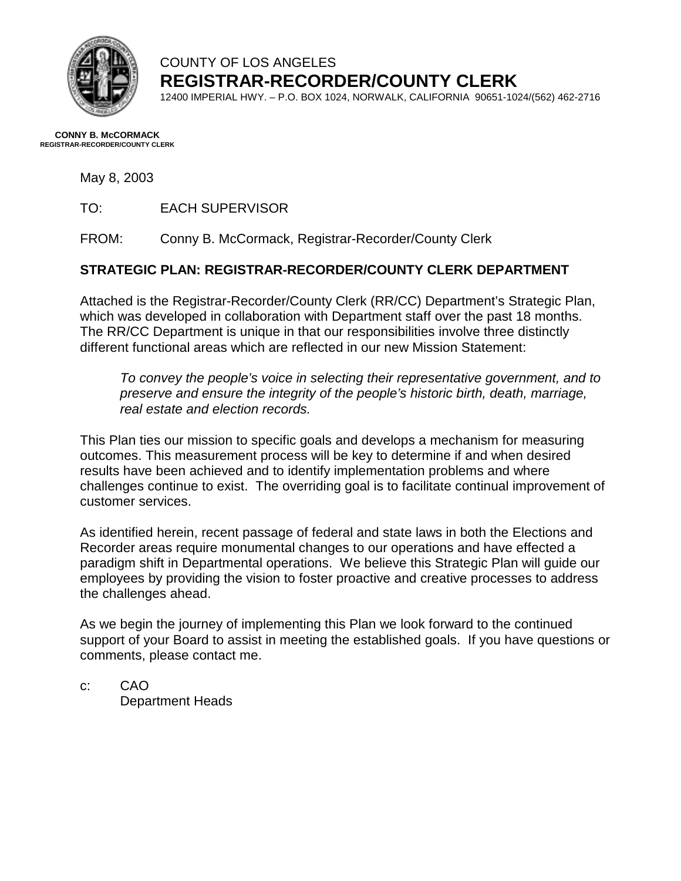

### COUNTY OF LOS ANGELES **REGISTRAR-RECORDER/COUNTY CLERK**

12400 IMPERIAL HWY. – P.O. BOX 1024, NORWALK, CALIFORNIA 90651-1024/(562) 462-2716

#### **CONNY B. McCORMACK REGISTRAR-RECORDER/COUNTY CLERK**

May 8, 2003

TO: EACH SUPERVISOR

FROM: Conny B. McCormack, Registrar-Recorder/County Clerk

#### **STRATEGIC PLAN: REGISTRAR-RECORDER/COUNTY CLERK DEPARTMENT**

Attached is the Registrar-Recorder/County Clerk (RR/CC) Department's Strategic Plan, which was developed in collaboration with Department staff over the past 18 months. The RR/CC Department is unique in that our responsibilities involve three distinctly different functional areas which are reflected in our new Mission Statement:

*To convey the people's voice in selecting their representative government, and to preserve and ensure the integrity of the people's historic birth, death, marriage, real estate and election records.* 

This Plan ties our mission to specific goals and develops a mechanism for measuring outcomes. This measurement process will be key to determine if and when desired results have been achieved and to identify implementation problems and where challenges continue to exist. The overriding goal is to facilitate continual improvement of customer services.

As identified herein, recent passage of federal and state laws in both the Elections and Recorder areas require monumental changes to our operations and have effected a paradigm shift in Departmental operations. We believe this Strategic Plan will guide our employees by providing the vision to foster proactive and creative processes to address the challenges ahead.

As we begin the journey of implementing this Plan we look forward to the continued support of your Board to assist in meeting the established goals. If you have questions or comments, please contact me.

c: CAO Department Heads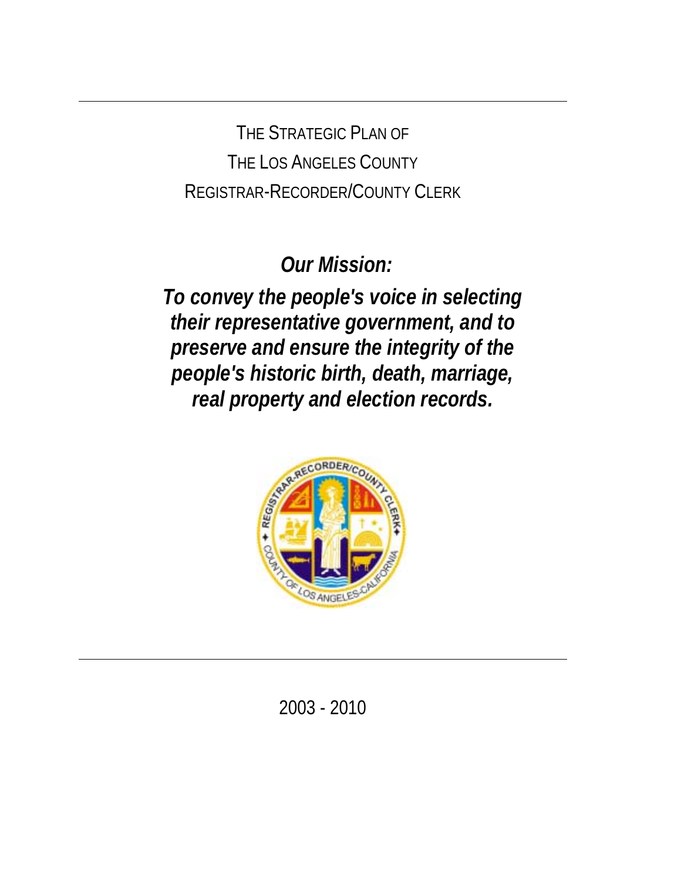THE STRATEGIC PLAN OF THE LOS ANGELES COUNTY REGISTRAR-RECORDER/COUNTY CLERK

 *Our Mission:* 

*To convey the people's voice in selecting their representative government, and to preserve and ensure the integrity of the people's historic birth, death, marriage, real property and election records.* 



2003 - 2010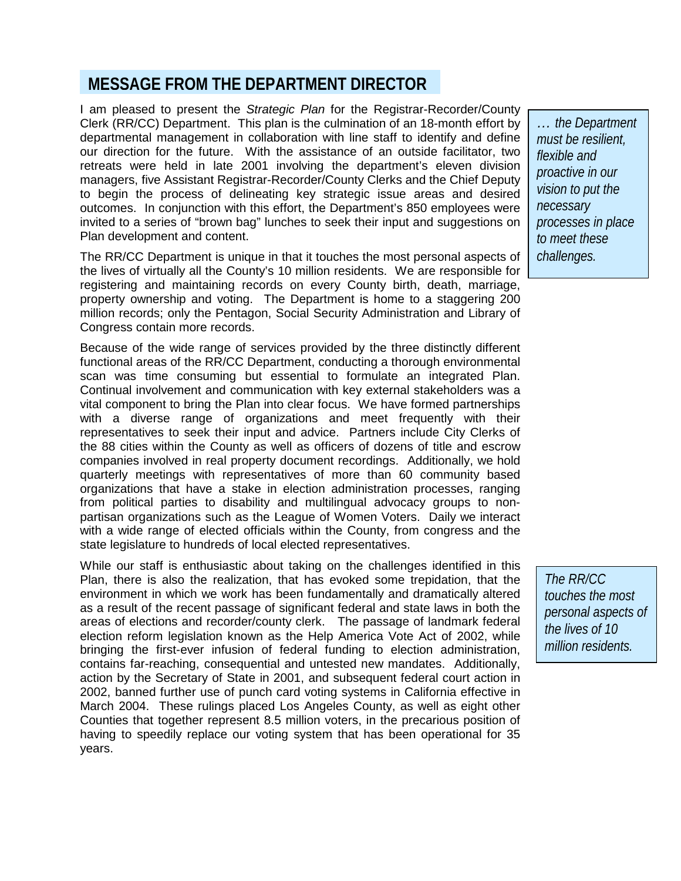## **MESSAGE FROM THE DEPARTMENT DIRECTOR**

I am pleased to present the *Strategic Plan* for the Registrar-Recorder/County Clerk (RR/CC) Department. This plan is the culmination of an 18-month effort by departmental management in collaboration with line staff to identify and define our direction for the future. With the assistance of an outside facilitator, two retreats were held in late 2001 involving the department's eleven division managers, five Assistant Registrar-Recorder/County Clerks and the Chief Deputy to begin the process of delineating key strategic issue areas and desired outcomes. In conjunction with this effort, the Department's 850 employees were invited to a series of "brown bag" lunches to seek their input and suggestions on Plan development and content.

The RR/CC Department is unique in that it touches the most personal aspects of the lives of virtually all the County's 10 million residents. We are responsible for registering and maintaining records on every County birth, death, marriage, property ownership and voting. The Department is home to a staggering 200 million records; only the Pentagon, Social Security Administration and Library of Congress contain more records.

Because of the wide range of services provided by the three distinctly different functional areas of the RR/CC Department, conducting a thorough environmental scan was time consuming but essential to formulate an integrated Plan. Continual involvement and communication with key external stakeholders was a vital component to bring the Plan into clear focus. We have formed partnerships with a diverse range of organizations and meet frequently with their representatives to seek their input and advice. Partners include City Clerks of the 88 cities within the County as well as officers of dozens of title and escrow companies involved in real property document recordings. Additionally, we hold quarterly meetings with representatives of more than 60 community based organizations that have a stake in election administration processes, ranging from political parties to disability and multilingual advocacy groups to nonpartisan organizations such as the League of Women Voters. Daily we interact with a wide range of elected officials within the County, from congress and the state legislature to hundreds of local elected representatives.

While our staff is enthusiastic about taking on the challenges identified in this Plan, there is also the realization, that has evoked some trepidation, that the environment in which we work has been fundamentally and dramatically altered as a result of the recent passage of significant federal and state laws in both the areas of elections and recorder/county clerk. The passage of landmark federal election reform legislation known as the Help America Vote Act of 2002, while bringing the first-ever infusion of federal funding to election administration, contains far-reaching, consequential and untested new mandates. Additionally, action by the Secretary of State in 2001, and subsequent federal court action in 2002, banned further use of punch card voting systems in California effective in March 2004. These rulings placed Los Angeles County, as well as eight other Counties that together represent 8.5 million voters, in the precarious position of having to speedily replace our voting system that has been operational for 35 years.

*… the Department must be resilient, flexible and proactive in our vision to put the necessary processes in place to meet these challenges.*

*The RR/CC touches the most personal aspects of the lives of 10 million residents.*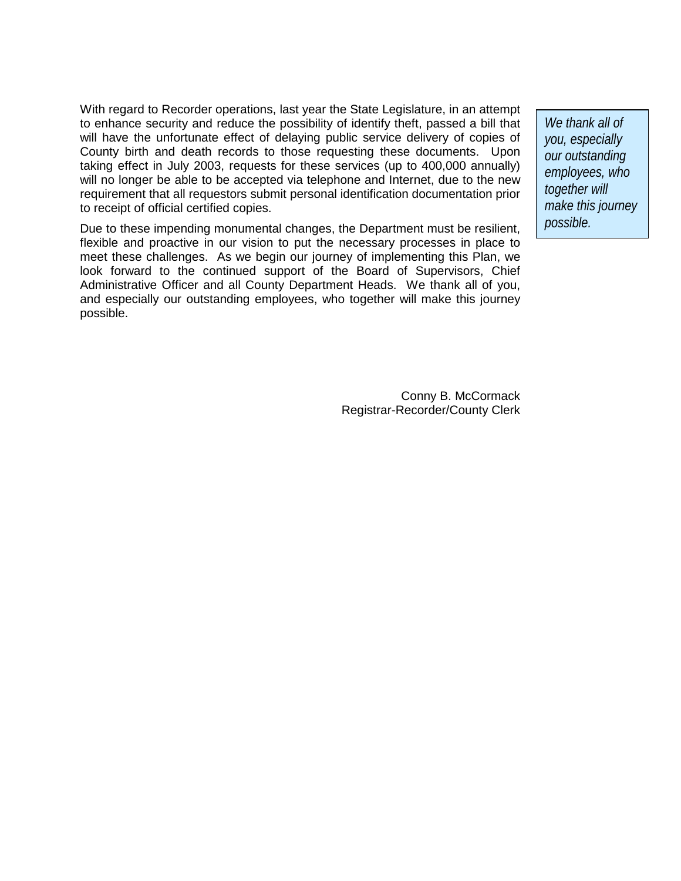With regard to Recorder operations, last year the State Legislature, in an attempt to enhance security and reduce the possibility of identify theft, passed a bill that will have the unfortunate effect of delaying public service delivery of copies of County birth and death records to those requesting these documents. Upon taking effect in July 2003, requests for these services (up to 400,000 annually) will no longer be able to be accepted via telephone and Internet, due to the new requirement that all requestors submit personal identification documentation prior to receipt of official certified copies.

Due to these impending monumental changes, the Department must be resilient, flexible and proactive in our vision to put the necessary processes in place to meet these challenges. As we begin our journey of implementing this Plan, we look forward to the continued support of the Board of Supervisors, Chief Administrative Officer and all County Department Heads. We thank all of you, and especially our outstanding employees, who together will make this journey possible.

> Conny B. McCormack Registrar-Recorder/County Clerk

*We thank all of you, especially our outstanding employees, who together will make this journey possible.*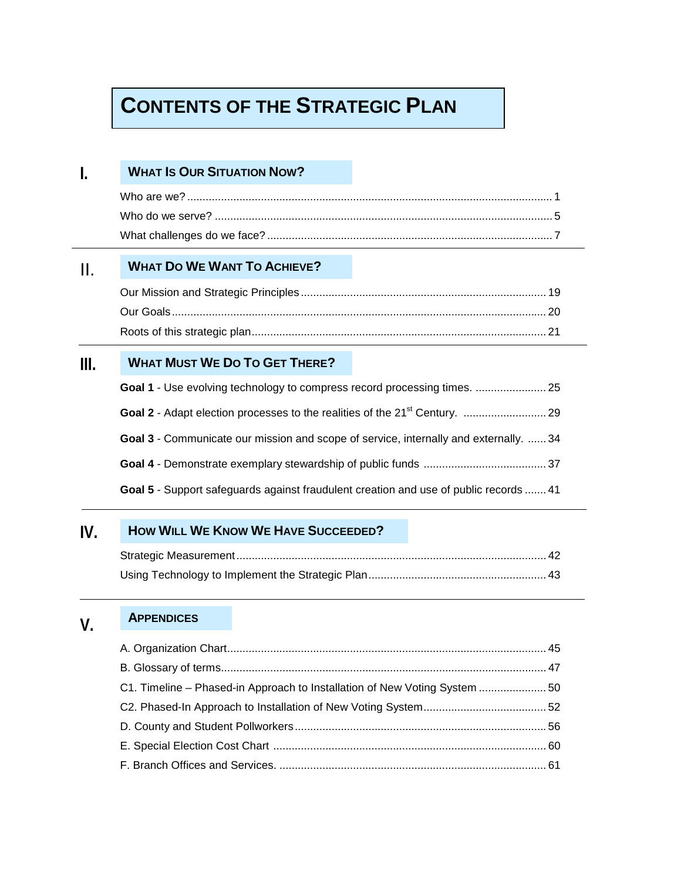## **CONTENTS OF THE STRATEGIC PLAN**

#### **I. WHAT IS OUR SITUATION NOW?**

#### II. **WHAT DO WE WANT TO ACHIEVE?**

#### **III. WHAT MUST WE DO TO GET THERE?**

| <b>Goal 3</b> - Communicate our mission and scope of service, internally and externally.  34 |  |
|----------------------------------------------------------------------------------------------|--|
|                                                                                              |  |
| <b>Goal 5</b> - Support safeguards against fraudulent creation and use of public records  41 |  |

#### **IV. HOW WILL WE KNOW WE HAVE SUCCEEDED?**

#### **V. APPENDICES**

| C1. Timeline – Phased-in Approach to Installation of New Voting System  50 |  |  |
|----------------------------------------------------------------------------|--|--|
|                                                                            |  |  |
|                                                                            |  |  |
|                                                                            |  |  |
|                                                                            |  |  |
|                                                                            |  |  |
|                                                                            |  |  |
|                                                                            |  |  |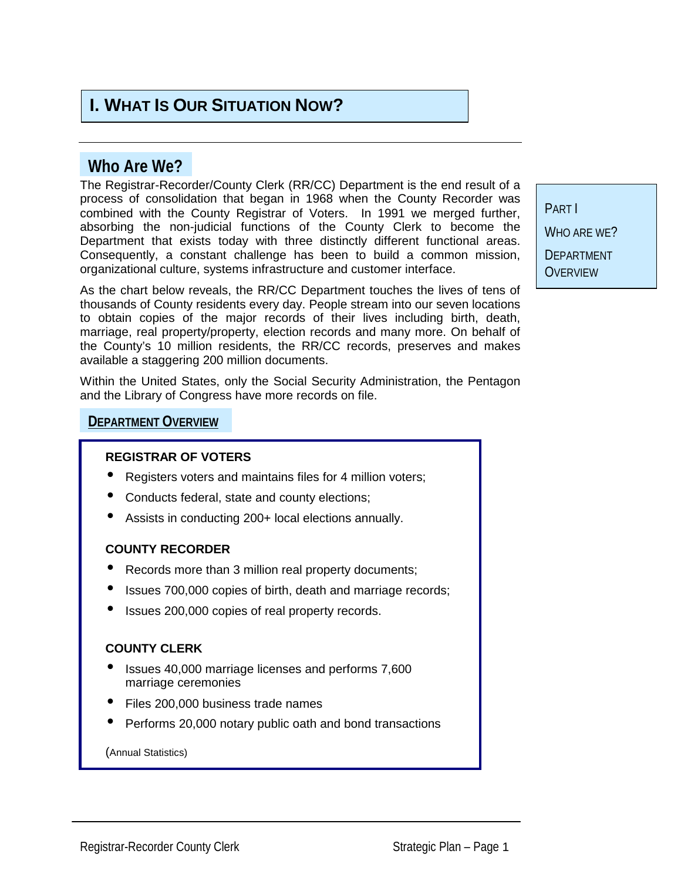## **I. WHAT IS OUR SITUATION NOW?**

## **Who Are We?**

The Registrar-Recorder/County Clerk (RR/CC) Department is the end result of a process of consolidation that began in 1968 when the County Recorder was combined with the County Registrar of Voters. In 1991 we merged further, absorbing the non-judicial functions of the County Clerk to become the Department that exists today with three distinctly different functional areas. Consequently, a constant challenge has been to build a common mission, organizational culture, systems infrastructure and customer interface.

As the chart below reveals, the RR/CC Department touches the lives of tens of thousands of County residents every day. People stream into our seven locations to obtain copies of the major records of their lives including birth, death, marriage, real property/property, election records and many more. On behalf of the County's 10 million residents, the RR/CC records, preserves and makes available a staggering 200 million documents.

Within the United States, only the Social Security Administration, the Pentagon and the Library of Congress have more records on file.

#### **DEPARTMENT OVERVIEW**

#### **REGISTRAR OF VOTERS**

- Registers voters and maintains files for 4 million voters;
- Conducts federal, state and county elections;
- Assists in conducting 200+ local elections annually.

#### **COUNTY RECORDER**

- Records more than 3 million real property documents;
- Issues 700,000 copies of birth, death and marriage records;
- Issues 200,000 copies of real property records.

#### **COUNTY CLERK**

- Issues 40,000 marriage licenses and performs 7,600 marriage ceremonies
- Files 200,000 business trade names
- Performs 20,000 notary public oath and bond transactions

(Annual Statistics)

PART I WHO ARF WF? **DEPARTMENT OVERVIEW**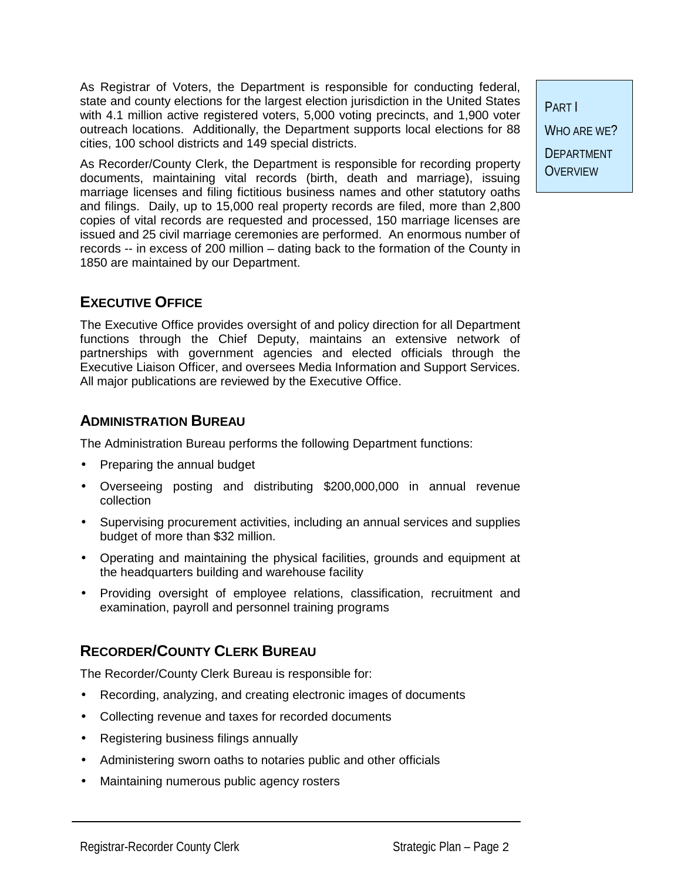As Registrar of Voters, the Department is responsible for conducting federal, state and county elections for the largest election jurisdiction in the United States with 4.1 million active registered voters, 5,000 voting precincts, and 1,900 voter outreach locations. Additionally, the Department supports local elections for 88 cities, 100 school districts and 149 special districts.

As Recorder/County Clerk, the Department is responsible for recording property documents, maintaining vital records (birth, death and marriage), issuing marriage licenses and filing fictitious business names and other statutory oaths and filings. Daily, up to 15,000 real property records are filed, more than 2,800 copies of vital records are requested and processed, 150 marriage licenses are issued and 25 civil marriage ceremonies are performed. An enormous number of records -- in excess of 200 million – dating back to the formation of the County in 1850 are maintained by our Department.

## **EXECUTIVE OFFICE**

The Executive Office provides oversight of and policy direction for all Department functions through the Chief Deputy, maintains an extensive network of partnerships with government agencies and elected officials through the Executive Liaison Officer, and oversees Media Information and Support Services. All major publications are reviewed by the Executive Office.

### **ADMINISTRATION BUREAU**

The Administration Bureau performs the following Department functions:

- Preparing the annual budget
- Overseeing posting and distributing \$200,000,000 in annual revenue collection
- Supervising procurement activities, including an annual services and supplies budget of more than \$32 million.
- Operating and maintaining the physical facilities, grounds and equipment at the headquarters building and warehouse facility
- Providing oversight of employee relations, classification, recruitment and examination, payroll and personnel training programs

## **RECORDER/COUNTY CLERK BUREAU**

The Recorder/County Clerk Bureau is responsible for:

- Recording, analyzing, and creating electronic images of documents
- Collecting revenue and taxes for recorded documents
- Registering business filings annually
- Administering sworn oaths to notaries public and other officials
- Maintaining numerous public agency rosters

PART I WHO ARF WF? DEPARTMENT **OVERVIEW**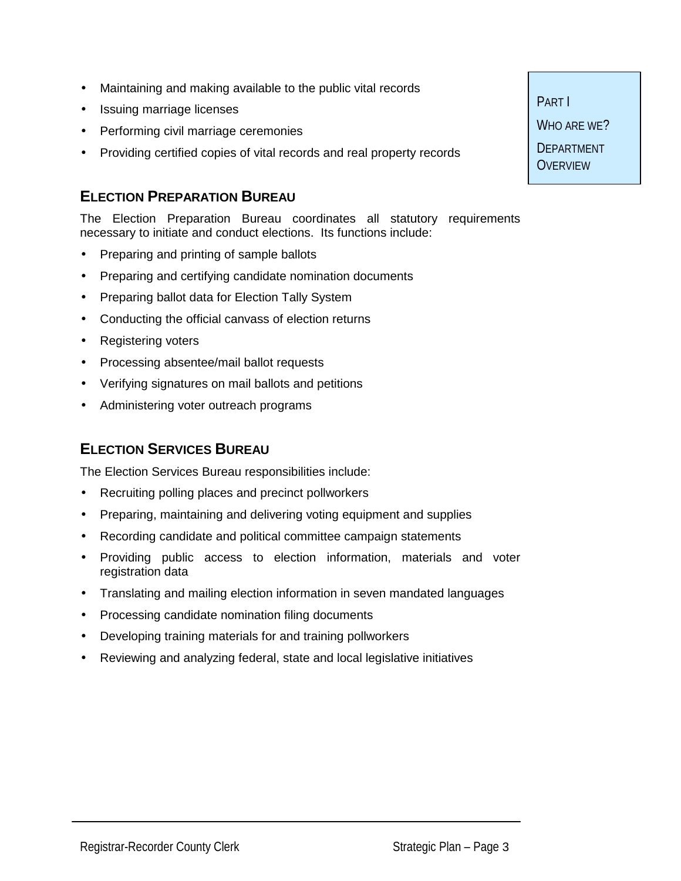- Maintaining and making available to the public vital records
- Issuing marriage licenses
- Performing civil marriage ceremonies
- Providing certified copies of vital records and real property records

### **ELECTION PREPARATION BUREAU**

The Election Preparation Bureau coordinates all statutory requirements necessary to initiate and conduct elections. Its functions include:

- Preparing and printing of sample ballots
- Preparing and certifying candidate nomination documents
- Preparing ballot data for Election Tally System
- Conducting the official canvass of election returns
- **Registering voters**
- Processing absentee/mail ballot requests
- Verifying signatures on mail ballots and petitions
- Administering voter outreach programs

## **ELECTION SERVICES BUREAU**

The Election Services Bureau responsibilities include:

- Recruiting polling places and precinct pollworkers
- Preparing, maintaining and delivering voting equipment and supplies
- Recording candidate and political committee campaign statements
- Providing public access to election information, materials and voter registration data
- Translating and mailing election information in seven mandated languages
- Processing candidate nomination filing documents
- Developing training materials for and training pollworkers
- Reviewing and analyzing federal, state and local legislative initiatives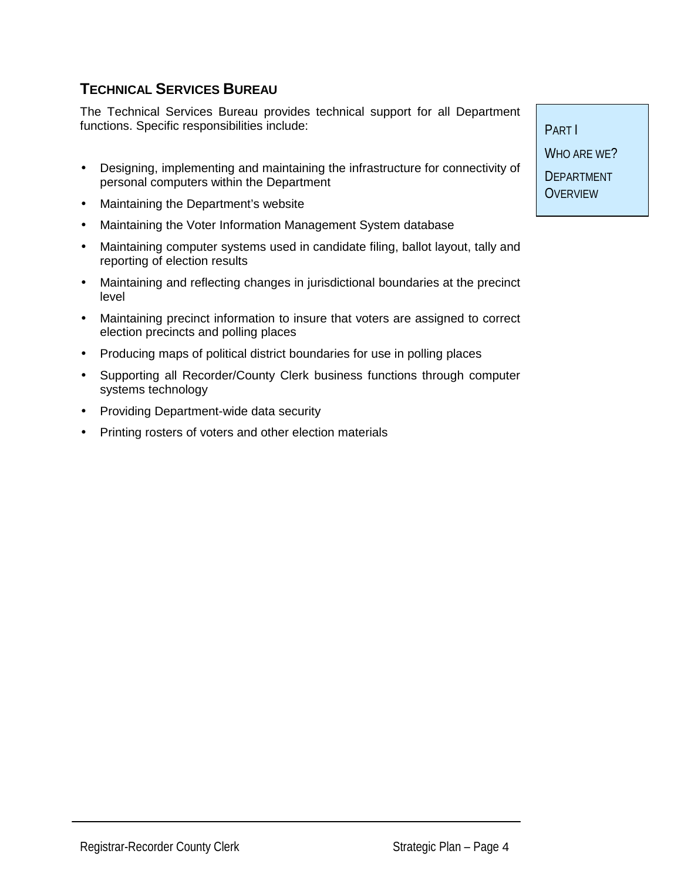## **TECHNICAL SERVICES BUREAU**

The Technical Services Bureau provides technical support for all Department functions. Specific responsibilities include:

- Designing, implementing and maintaining the infrastructure for connectivity of personal computers within the Department
- Maintaining the Department's website
- Maintaining the Voter Information Management System database
- Maintaining computer systems used in candidate filing, ballot layout, tally and reporting of election results
- Maintaining and reflecting changes in jurisdictional boundaries at the precinct level
- Maintaining precinct information to insure that voters are assigned to correct election precincts and polling places
- Producing maps of political district boundaries for use in polling places
- Supporting all Recorder/County Clerk business functions through computer systems technology
- Providing Department-wide data security
- Printing rosters of voters and other election materials

PART I WHO ARE WE? **DEPARTMENT OVERVIEW**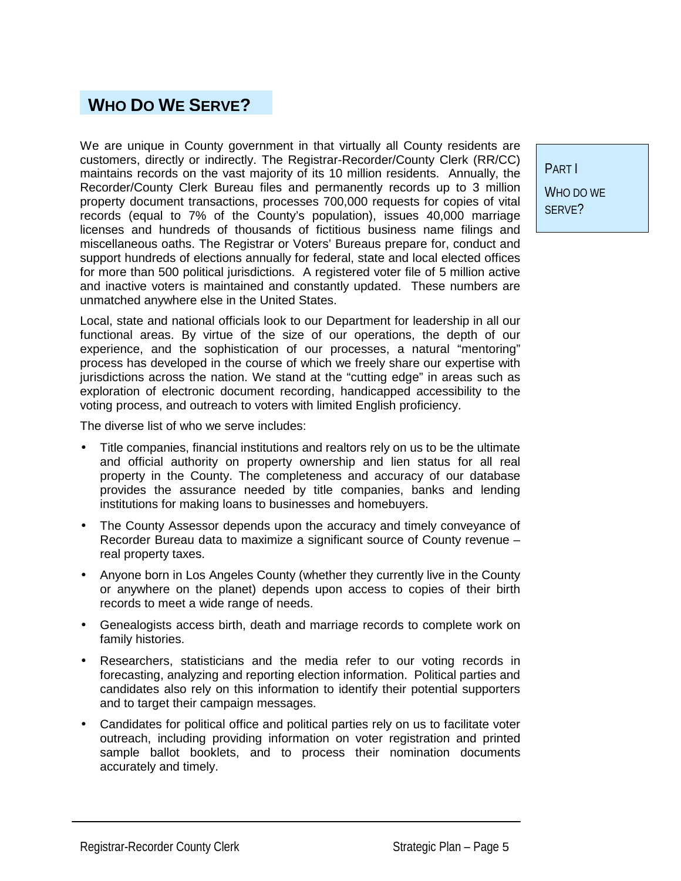## **WHO DO WE SERVE?**

We are unique in County government in that virtually all County residents are customers, directly or indirectly. The Registrar-Recorder/County Clerk (RR/CC) maintains records on the vast majority of its 10 million residents. Annually, the Recorder/County Clerk Bureau files and permanently records up to 3 million property document transactions, processes 700,000 requests for copies of vital records (equal to 7% of the County's population), issues 40,000 marriage licenses and hundreds of thousands of fictitious business name filings and miscellaneous oaths. The Registrar or Voters' Bureaus prepare for, conduct and support hundreds of elections annually for federal, state and local elected offices for more than 500 political jurisdictions. A registered voter file of 5 million active and inactive voters is maintained and constantly updated. These numbers are unmatched anywhere else in the United States.

Local, state and national officials look to our Department for leadership in all our functional areas. By virtue of the size of our operations, the depth of our experience, and the sophistication of our processes, a natural "mentoring" process has developed in the course of which we freely share our expertise with jurisdictions across the nation. We stand at the "cutting edge" in areas such as exploration of electronic document recording, handicapped accessibility to the voting process, and outreach to voters with limited English proficiency.

The diverse list of who we serve includes:

- Title companies, financial institutions and realtors rely on us to be the ultimate and official authority on property ownership and lien status for all real property in the County. The completeness and accuracy of our database provides the assurance needed by title companies, banks and lending institutions for making loans to businesses and homebuyers.
- The County Assessor depends upon the accuracy and timely conveyance of Recorder Bureau data to maximize a significant source of County revenue – real property taxes.
- Anyone born in Los Angeles County (whether they currently live in the County or anywhere on the planet) depends upon access to copies of their birth records to meet a wide range of needs.
- Genealogists access birth, death and marriage records to complete work on family histories.
- Researchers, statisticians and the media refer to our voting records in forecasting, analyzing and reporting election information. Political parties and candidates also rely on this information to identify their potential supporters and to target their campaign messages.
- Candidates for political office and political parties rely on us to facilitate voter outreach, including providing information on voter registration and printed sample ballot booklets, and to process their nomination documents accurately and timely.

PART I WHO DO WE SERVE?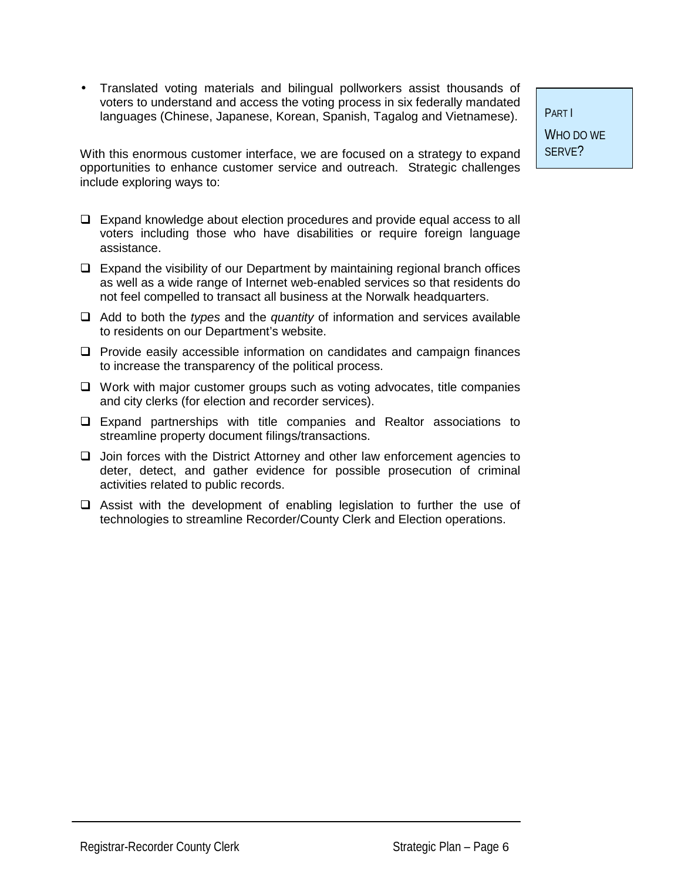• Translated voting materials and bilingual pollworkers assist thousands of voters to understand and access the voting process in six federally mandated languages (Chinese, Japanese, Korean, Spanish, Tagalog and Vietnamese).

With this enormous customer interface, we are focused on a strategy to expand opportunities to enhance customer service and outreach. Strategic challenges include exploring ways to:

- $\Box$  Expand knowledge about election procedures and provide equal access to all voters including those who have disabilities or require foreign language assistance.
- $\Box$  Expand the visibility of our Department by maintaining regional branch offices as well as a wide range of Internet web-enabled services so that residents do not feel compelled to transact all business at the Norwalk headquarters.
- ! Add to both the *types* and the *quantity* of information and services available to residents on our Department's website.
- $\Box$  Provide easily accessible information on candidates and campaign finances to increase the transparency of the political process.
- $\Box$  Work with major customer groups such as voting advocates, title companies and city clerks (for election and recorder services).
- $\Box$  Expand partnerships with title companies and Realtor associations to streamline property document filings/transactions.
- $\Box$  Join forces with the District Attorney and other law enforcement agencies to deter, detect, and gather evidence for possible prosecution of criminal activities related to public records.
- $\Box$  Assist with the development of enabling legislation to further the use of technologies to streamline Recorder/County Clerk and Election operations.

PART I WHO DO WE SERVE?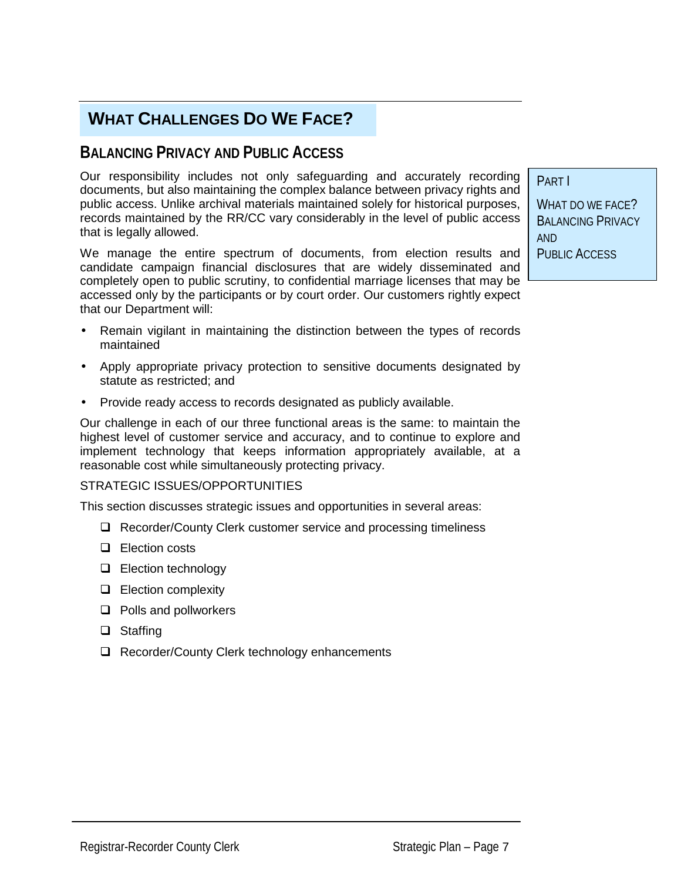## **WHAT CHALLENGES DO WE FACE?**

## **BALANCING PRIVACY AND PUBLIC ACCESS**

Our responsibility includes not only safeguarding and accurately recording documents, but also maintaining the complex balance between privacy rights and public access. Unlike archival materials maintained solely for historical purposes, records maintained by the RR/CC vary considerably in the level of public access that is legally allowed.

We manage the entire spectrum of documents, from election results and candidate campaign financial disclosures that are widely disseminated and completely open to public scrutiny, to confidential marriage licenses that may be accessed only by the participants or by court order. Our customers rightly expect that our Department will:

- Remain vigilant in maintaining the distinction between the types of records maintained
- Apply appropriate privacy protection to sensitive documents designated by statute as restricted; and
- Provide ready access to records designated as publicly available.

Our challenge in each of our three functional areas is the same: to maintain the highest level of customer service and accuracy, and to continue to explore and implement technology that keeps information appropriately available, at a reasonable cost while simultaneously protecting privacy.

#### STRATEGIC ISSUES/OPPORTUNITIES

This section discusses strategic issues and opportunities in several areas:

- $\Box$  Recorder/County Clerk customer service and processing timeliness
- $\Box$  Election costs
- $\Box$  Election technology
- $\Box$  Election complexity
- $\Box$  Polls and pollworkers
- $\Box$  Staffing
- $\Box$  Recorder/County Clerk technology enhancements

WHAT DO WE FACE? BALANCING PRIVACY AND PUBLIC ACCESS

PART I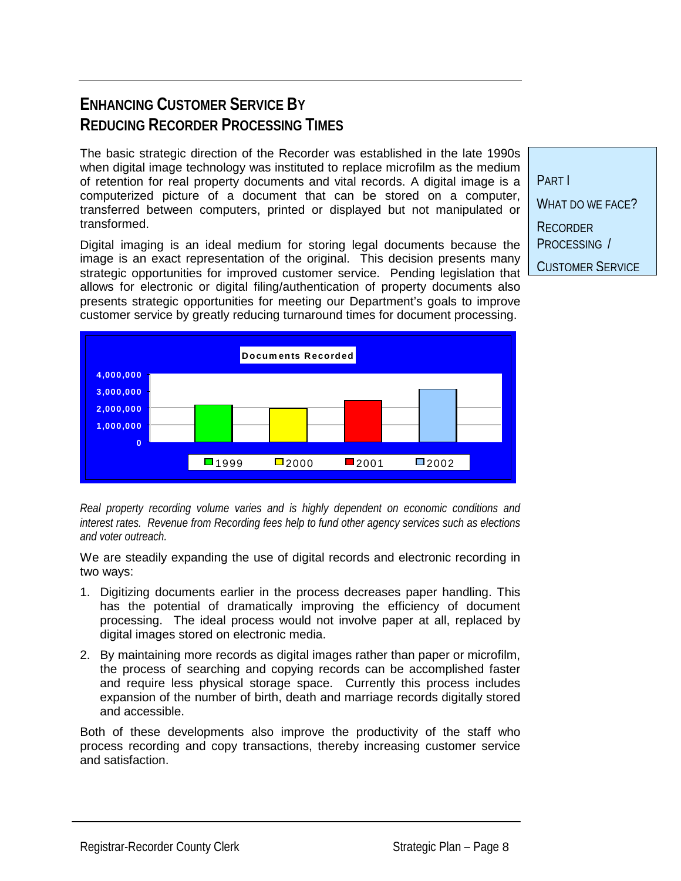## **ENHANCING CUSTOMER SERVICE BY REDUCING RECORDER PROCESSING TIMES**

The basic strategic direction of the Recorder was established in the late 1990s when digital image technology was instituted to replace microfilm as the medium of retention for real property documents and vital records. A digital image is a computerized picture of a document that can be stored on a computer, transferred between computers, printed or displayed but not manipulated or transformed.

Digital imaging is an ideal medium for storing legal documents because the image is an exact representation of the original. This decision presents many strategic opportunities for improved customer service. Pending legislation that allows for electronic or digital filing/authentication of property documents also presents strategic opportunities for meeting our Department's goals to improve customer service by greatly reducing turnaround times for document processing.



*Real property recording volume varies and is highly dependent on economic conditions and interest rates. Revenue from Recording fees help to fund other agency services such as elections and voter outreach.*

We are steadily expanding the use of digital records and electronic recording in two ways:

- 1. Digitizing documents earlier in the process decreases paper handling. This has the potential of dramatically improving the efficiency of document processing. The ideal process would not involve paper at all, replaced by digital images stored on electronic media.
- 2. By maintaining more records as digital images rather than paper or microfilm, the process of searching and copying records can be accomplished faster and require less physical storage space. Currently this process includes expansion of the number of birth, death and marriage records digitally stored and accessible.

Both of these developments also improve the productivity of the staff who process recording and copy transactions, thereby increasing customer service and satisfaction.

PART I WHAT DO WE FACE? **RECORDER** PROCESSING / CUSTOMER SERVICE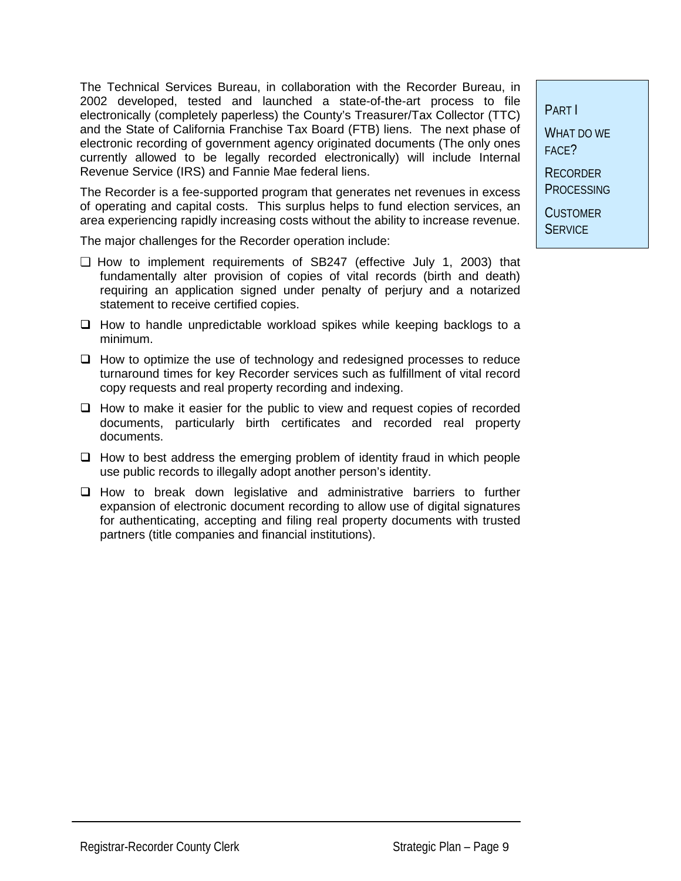The Technical Services Bureau, in collaboration with the Recorder Bureau, in 2002 developed, tested and launched a state-of-the-art process to file electronically (completely paperless) the County's Treasurer/Tax Collector (TTC) and the State of California Franchise Tax Board (FTB) liens. The next phase of electronic recording of government agency originated documents (The only ones currently allowed to be legally recorded electronically) will include Internal Revenue Service (IRS) and Fannie Mae federal liens.

The Recorder is a fee-supported program that generates net revenues in excess of operating and capital costs. This surplus helps to fund election services, an area experiencing rapidly increasing costs without the ability to increase revenue.

The major challenges for the Recorder operation include:

- ❏ How to implement requirements of SB247 (effective July 1, 2003) that fundamentally alter provision of copies of vital records (birth and death) requiring an application signed under penalty of perjury and a notarized statement to receive certified copies.
- $\Box$  How to handle unpredictable workload spikes while keeping backlogs to a minimum.
- $\Box$  How to optimize the use of technology and redesigned processes to reduce turnaround times for key Recorder services such as fulfillment of vital record copy requests and real property recording and indexing.
- $\Box$  How to make it easier for the public to view and request copies of recorded documents, particularly birth certificates and recorded real property documents.
- $\Box$  How to best address the emerging problem of identity fraud in which people use public records to illegally adopt another person's identity.
- $\Box$  How to break down legislative and administrative barriers to further expansion of electronic document recording to allow use of digital signatures for authenticating, accepting and filing real property documents with trusted partners (title companies and financial institutions).

PART I WHAT DO WE

FACE? **RECORDER** 

**PROCESSING** 

**CUSTOMER SERVICE**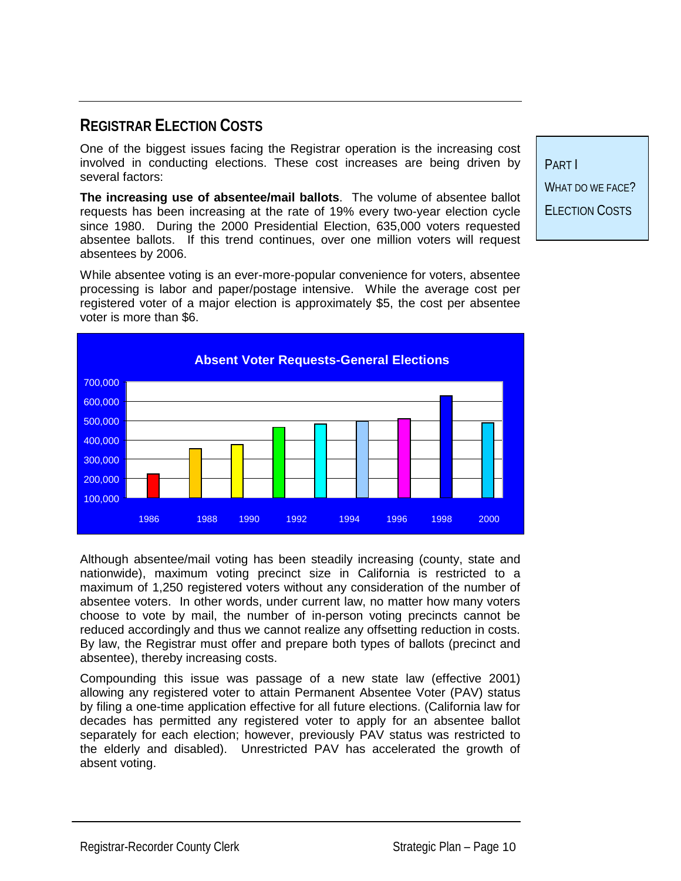## **REGISTRAR ELECTION COSTS**

One of the biggest issues facing the Registrar operation is the increasing cost involved in conducting elections. These cost increases are being driven by several factors:

**The increasing use of absentee/mail ballots**. The volume of absentee ballot requests has been increasing at the rate of 19% every two-year election cycle since 1980. During the 2000 Presidential Election, 635,000 voters requested absentee ballots. If this trend continues, over one million voters will request absentees by 2006.

While absentee voting is an ever-more-popular convenience for voters, absentee processing is labor and paper/postage intensive. While the average cost per registered voter of a major election is approximately \$5, the cost per absentee voter is more than \$6.



Although absentee/mail voting has been steadily increasing (county, state and nationwide), maximum voting precinct size in California is restricted to a maximum of 1,250 registered voters without any consideration of the number of absentee voters. In other words, under current law, no matter how many voters choose to vote by mail, the number of in-person voting precincts cannot be reduced accordingly and thus we cannot realize any offsetting reduction in costs. By law, the Registrar must offer and prepare both types of ballots (precinct and absentee), thereby increasing costs.

Compounding this issue was passage of a new state law (effective 2001) allowing any registered voter to attain Permanent Absentee Voter (PAV) status by filing a one-time application effective for all future elections. (California law for decades has permitted any registered voter to apply for an absentee ballot separately for each election; however, previously PAV status was restricted to the elderly and disabled). Unrestricted PAV has accelerated the growth of absent voting.

PART I WHAT DO WE FACE? ELECTION COSTS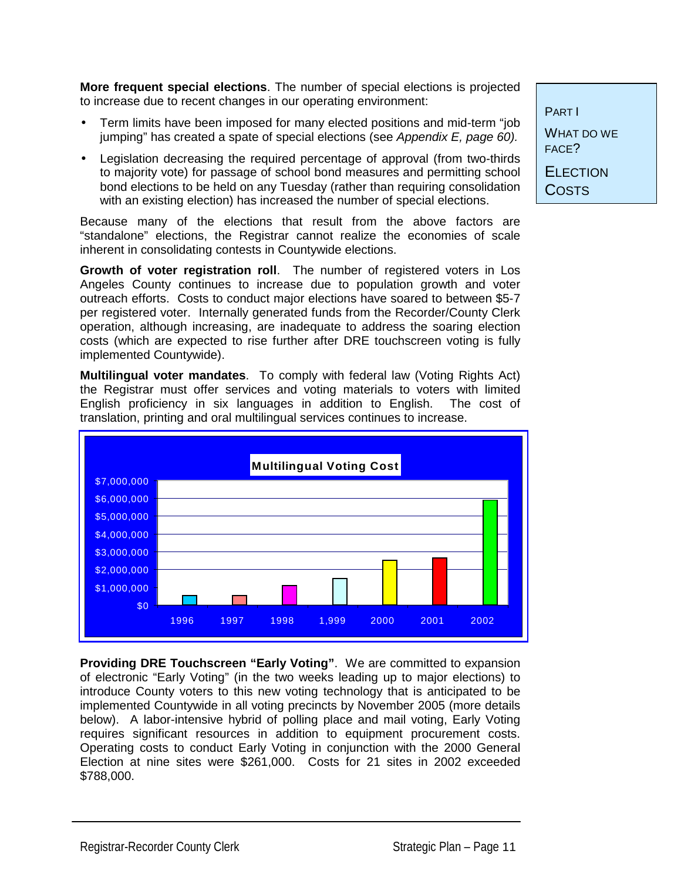**More frequent special elections**. The number of special elections is projected to increase due to recent changes in our operating environment:

- Term limits have been imposed for many elected positions and mid-term "job jumping" has created a spate of special elections (see *Appendix E, page 60).*
- Legislation decreasing the required percentage of approval (from two-thirds to majority vote) for passage of school bond measures and permitting school bond elections to be held on any Tuesday (rather than requiring consolidation with an existing election) has increased the number of special elections.

Because many of the elections that result from the above factors are "standalone" elections, the Registrar cannot realize the economies of scale inherent in consolidating contests in Countywide elections.

**Growth of voter registration roll**. The number of registered voters in Los Angeles County continues to increase due to population growth and voter outreach efforts. Costs to conduct major elections have soared to between \$5-7 per registered voter. Internally generated funds from the Recorder/County Clerk operation, although increasing, are inadequate to address the soaring election costs (which are expected to rise further after DRE touchscreen voting is fully implemented Countywide).

**Multilingual voter mandates**. To comply with federal law (Voting Rights Act) the Registrar must offer services and voting materials to voters with limited English proficiency in six languages in addition to English. The cost of translation, printing and oral multilingual services continues to increase.



**Providing DRE Touchscreen "Early Voting"**. We are committed to expansion of electronic "Early Voting" (in the two weeks leading up to major elections) to introduce County voters to this new voting technology that is anticipated to be implemented Countywide in all voting precincts by November 2005 (more details below). A labor-intensive hybrid of polling place and mail voting, Early Voting requires significant resources in addition to equipment procurement costs. Operating costs to conduct Early Voting in conjunction with the 2000 General Election at nine sites were \$261,000. Costs for 21 sites in 2002 exceeded \$788,000.

PART I WHAT DO WE FACE? **ELECTION** 

**COSTS**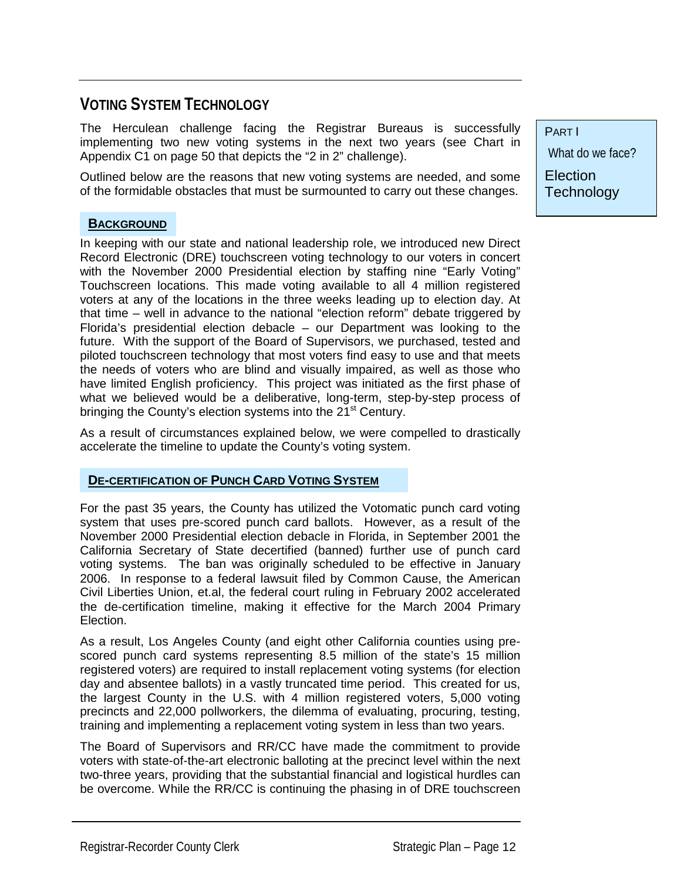## **VOTING SYSTEM TECHNOLOGY**

The Herculean challenge facing the Registrar Bureaus is successfully implementing two new voting systems in the next two years (see Chart in Appendix C1 on page 50 that depicts the "2 in 2" challenge).

Outlined below are the reasons that new voting systems are needed, and some of the formidable obstacles that must be surmounted to carry out these changes.

#### **BACKGROUND**

In keeping with our state and national leadership role, we introduced new Direct Record Electronic (DRE) touchscreen voting technology to our voters in concert with the November 2000 Presidential election by staffing nine "Early Voting" Touchscreen locations. This made voting available to all 4 million registered voters at any of the locations in the three weeks leading up to election day. At that time – well in advance to the national "election reform" debate triggered by Florida's presidential election debacle – our Department was looking to the future. With the support of the Board of Supervisors, we purchased, tested and piloted touchscreen technology that most voters find easy to use and that meets the needs of voters who are blind and visually impaired, as well as those who have limited English proficiency. This project was initiated as the first phase of what we believed would be a deliberative, long-term, step-by-step process of bringing the County's election systems into the  $21<sup>st</sup>$  Century.

As a result of circumstances explained below, we were compelled to drastically accelerate the timeline to update the County's voting system.

#### **DE-CERTIFICATION OF PUNCH CARD VOTING SYSTEM**

For the past 35 years, the County has utilized the Votomatic punch card voting system that uses pre-scored punch card ballots. However, as a result of the November 2000 Presidential election debacle in Florida, in September 2001 the California Secretary of State decertified (banned) further use of punch card voting systems. The ban was originally scheduled to be effective in January 2006. In response to a federal lawsuit filed by Common Cause, the American Civil Liberties Union, et.al, the federal court ruling in February 2002 accelerated the de-certification timeline, making it effective for the March 2004 Primary Election.

As a result, Los Angeles County (and eight other California counties using prescored punch card systems representing 8.5 million of the state's 15 million registered voters) are required to install replacement voting systems (for election day and absentee ballots) in a vastly truncated time period. This created for us, the largest County in the U.S. with 4 million registered voters, 5,000 voting precincts and 22,000 pollworkers, the dilemma of evaluating, procuring, testing, training and implementing a replacement voting system in less than two years.

The Board of Supervisors and RR/CC have made the commitment to provide voters with state-of-the-art electronic balloting at the precinct level within the next two-three years, providing that the substantial financial and logistical hurdles can be overcome. While the RR/CC is continuing the phasing in of DRE touchscreen

PART I

What do we face?

**Election Technology**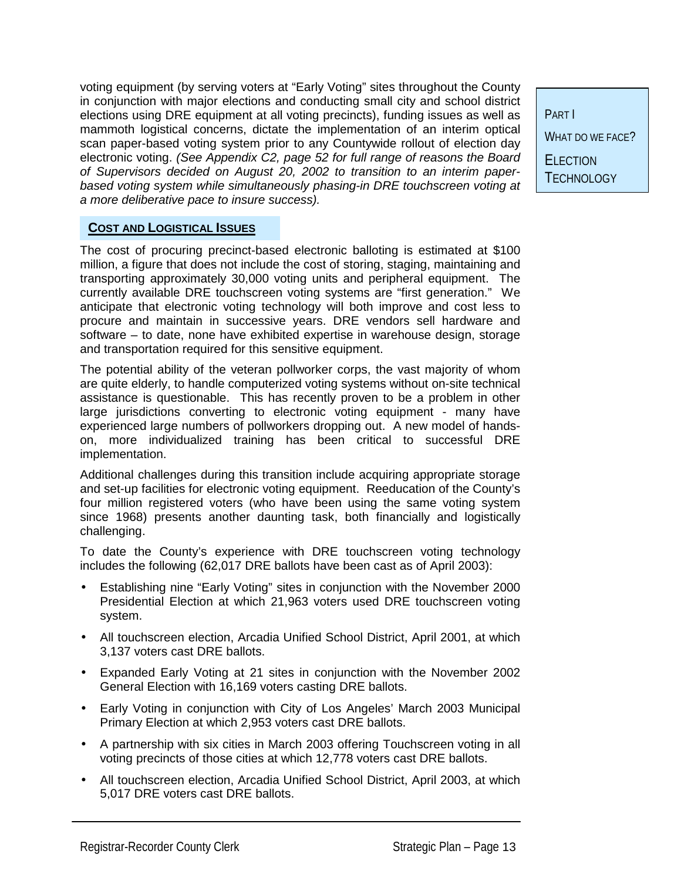voting equipment (by serving voters at "Early Voting" sites throughout the County in conjunction with major elections and conducting small city and school district elections using DRE equipment at all voting precincts), funding issues as well as mammoth logistical concerns, dictate the implementation of an interim optical scan paper-based voting system prior to any Countywide rollout of election day electronic voting. *(See Appendix C2, page 52 for full range of reasons the Board of Supervisors decided on August 20, 2002 to transition to an interim paperbased voting system while simultaneously phasing-in DRE touchscreen voting at a more deliberative pace to insure success).*

PART I WHAT DO WE FACE? **ELECTION TECHNOLOGY** 

#### **COST AND LOGISTICAL ISSUES**

The cost of procuring precinct-based electronic balloting is estimated at \$100 million, a figure that does not include the cost of storing, staging, maintaining and transporting approximately 30,000 voting units and peripheral equipment. The currently available DRE touchscreen voting systems are "first generation." We anticipate that electronic voting technology will both improve and cost less to procure and maintain in successive years. DRE vendors sell hardware and software – to date, none have exhibited expertise in warehouse design, storage and transportation required for this sensitive equipment.

The potential ability of the veteran pollworker corps, the vast majority of whom are quite elderly, to handle computerized voting systems without on-site technical assistance is questionable. This has recently proven to be a problem in other large jurisdictions converting to electronic voting equipment - many have experienced large numbers of pollworkers dropping out. A new model of handson, more individualized training has been critical to successful DRE implementation.

Additional challenges during this transition include acquiring appropriate storage and set-up facilities for electronic voting equipment. Reeducation of the County's four million registered voters (who have been using the same voting system since 1968) presents another daunting task, both financially and logistically challenging.

To date the County's experience with DRE touchscreen voting technology includes the following (62,017 DRE ballots have been cast as of April 2003):

- Establishing nine "Early Voting" sites in conjunction with the November 2000 Presidential Election at which 21,963 voters used DRE touchscreen voting system.
- All touchscreen election, Arcadia Unified School District, April 2001, at which 3,137 voters cast DRE ballots.
- Expanded Early Voting at 21 sites in conjunction with the November 2002 General Election with 16,169 voters casting DRE ballots.
- Early Voting in conjunction with City of Los Angeles' March 2003 Municipal Primary Election at which 2,953 voters cast DRE ballots.
- A partnership with six cities in March 2003 offering Touchscreen voting in all voting precincts of those cities at which 12,778 voters cast DRE ballots.
- All touchscreen election, Arcadia Unified School District, April 2003, at which 5,017 DRE voters cast DRE ballots.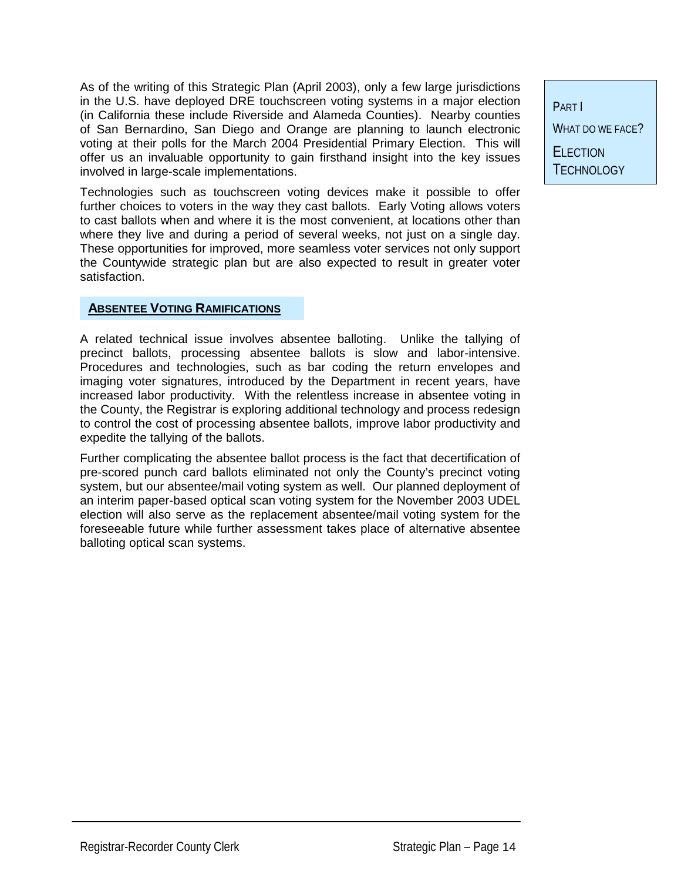As of the writing of this Strategic Plan (April 2003), only a few large jurisdictions in the U.S. have deployed DRE touchscreen voting systems in a major election (in California these include Riverside and Alameda Counties). Nearby counties of San Bernardino, San Diego and Orange are planning to launch electronic voting at their polls for the March 2004 Presidential Primary Election. This will offer us an invaluable opportunity to gain firsthand insight into the key issues involved in large-scale implementations.

Technologies such as touchscreen voting devices make it possible to offer further choices to voters in the way they cast ballots. Early Voting allows voters to cast ballots when and where it is the most convenient, at locations other than where they live and during a period of several weeks, not just on a single day. These opportunities for improved, more seamless voter services not only support the Countywide strategic plan but are also expected to result in greater voter satisfaction.

#### **ABSENTEE VOTING RAMIFICATIONS**

A related technical issue involves absentee balloting. Unlike the tallying of precinct ballots, processing absentee ballots is slow and labor-intensive. Procedures and technologies, such as bar coding the return envelopes and imaging voter signatures, introduced by the Department in recent years, have increased labor productivity. With the relentless increase in absentee voting in the County, the Registrar is exploring additional technology and process redesign to control the cost of processing absentee ballots, improve labor productivity and expedite the tallying of the ballots.

Further complicating the absentee ballot process is the fact that decertification of pre-scored punch card ballots eliminated not only the County's precinct voting system, but our absentee/mail voting system as well. Our planned deployment of an interim paper-based optical scan voting system for the November 2003 UDEL election will also serve as the replacement absentee/mail voting system for the foreseeable future while further assessment takes place of alternative absentee balloting optical scan systems.

PART I WHAT DO WE FACE? **FLECTION** TECHNOLOGY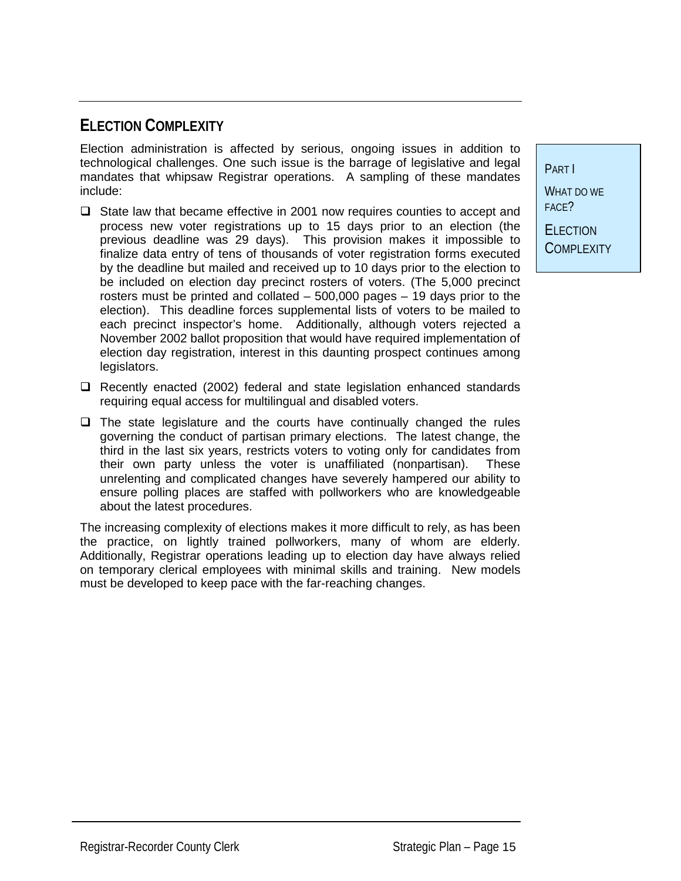## **ELECTION COMPLEXITY**

Election administration is affected by serious, ongoing issues in addition to technological challenges. One such issue is the barrage of legislative and legal mandates that whipsaw Registrar operations. A sampling of these mandates include:

- $\Box$  State law that became effective in 2001 now requires counties to accept and process new voter registrations up to 15 days prior to an election (the previous deadline was 29 days). This provision makes it impossible to finalize data entry of tens of thousands of voter registration forms executed by the deadline but mailed and received up to 10 days prior to the election to be included on election day precinct rosters of voters. (The 5,000 precinct rosters must be printed and collated – 500,000 pages – 19 days prior to the election). This deadline forces supplemental lists of voters to be mailed to each precinct inspector's home. Additionally, although voters rejected a November 2002 ballot proposition that would have required implementation of election day registration, interest in this daunting prospect continues among legislators.
- $\Box$  Recently enacted (2002) federal and state legislation enhanced standards requiring equal access for multilingual and disabled voters.
- $\Box$  The state legislature and the courts have continually changed the rules governing the conduct of partisan primary elections. The latest change, the third in the last six years, restricts voters to voting only for candidates from their own party unless the voter is unaffiliated (nonpartisan). These unrelenting and complicated changes have severely hampered our ability to ensure polling places are staffed with pollworkers who are knowledgeable about the latest procedures.

The increasing complexity of elections makes it more difficult to rely, as has been the practice, on lightly trained pollworkers, many of whom are elderly. Additionally, Registrar operations leading up to election day have always relied on temporary clerical employees with minimal skills and training. New models must be developed to keep pace with the far-reaching changes.

PART I WHAT DO WE FACE? **ELECTION** 

**COMPLEXITY**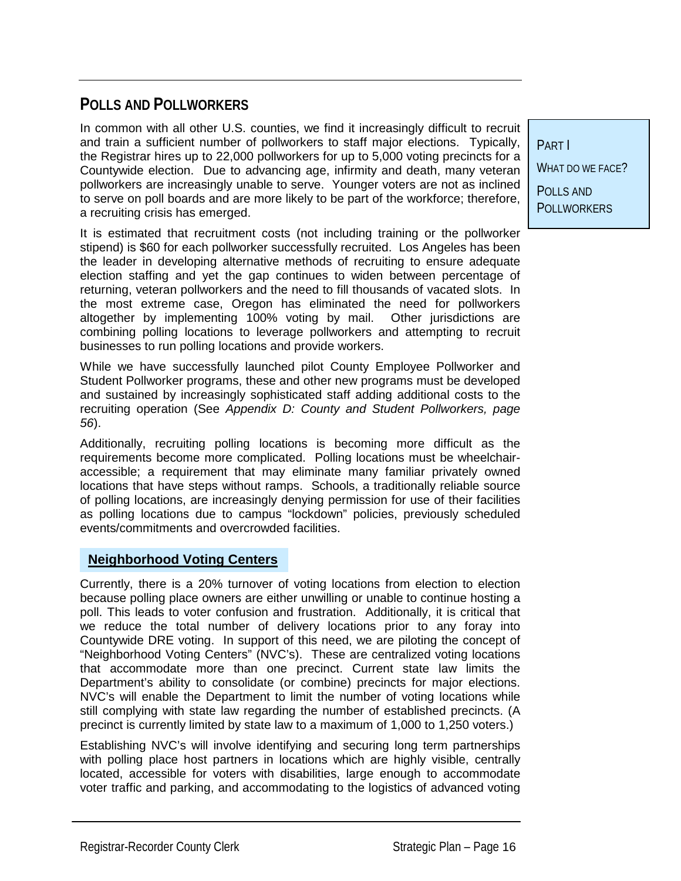## **POLLS AND POLLWORKERS**

In common with all other U.S. counties, we find it increasingly difficult to recruit and train a sufficient number of pollworkers to staff major elections. Typically, the Registrar hires up to 22,000 pollworkers for up to 5,000 voting precincts for a Countywide election. Due to advancing age, infirmity and death, many veteran pollworkers are increasingly unable to serve. Younger voters are not as inclined to serve on poll boards and are more likely to be part of the workforce; therefore, a recruiting crisis has emerged.

It is estimated that recruitment costs (not including training or the pollworker stipend) is \$60 for each pollworker successfully recruited. Los Angeles has been the leader in developing alternative methods of recruiting to ensure adequate election staffing and yet the gap continues to widen between percentage of returning, veteran pollworkers and the need to fill thousands of vacated slots. In the most extreme case, Oregon has eliminated the need for pollworkers altogether by implementing 100% voting by mail. Other jurisdictions are combining polling locations to leverage pollworkers and attempting to recruit businesses to run polling locations and provide workers.

While we have successfully launched pilot County Employee Pollworker and Student Pollworker programs, these and other new programs must be developed and sustained by increasingly sophisticated staff adding additional costs to the recruiting operation (See *Appendix D: County and Student Pollworkers, page 56*).

Additionally, recruiting polling locations is becoming more difficult as the requirements become more complicated. Polling locations must be wheelchairaccessible; a requirement that may eliminate many familiar privately owned locations that have steps without ramps. Schools, a traditionally reliable source of polling locations, are increasingly denying permission for use of their facilities as polling locations due to campus "lockdown" policies, previously scheduled events/commitments and overcrowded facilities.

#### **Neighborhood Voting Centers**

Currently, there is a 20% turnover of voting locations from election to election because polling place owners are either unwilling or unable to continue hosting a poll. This leads to voter confusion and frustration. Additionally, it is critical that we reduce the total number of delivery locations prior to any foray into Countywide DRE voting. In support of this need, we are piloting the concept of "Neighborhood Voting Centers" (NVC's). These are centralized voting locations that accommodate more than one precinct. Current state law limits the Department's ability to consolidate (or combine) precincts for major elections. NVC's will enable the Department to limit the number of voting locations while still complying with state law regarding the number of established precincts. (A precinct is currently limited by state law to a maximum of 1,000 to 1,250 voters.)

Establishing NVC's will involve identifying and securing long term partnerships with polling place host partners in locations which are highly visible, centrally located, accessible for voters with disabilities, large enough to accommodate voter traffic and parking, and accommodating to the logistics of advanced voting

PART I WHAT DO WE FACE? POLLS AND **POLLWORKERS**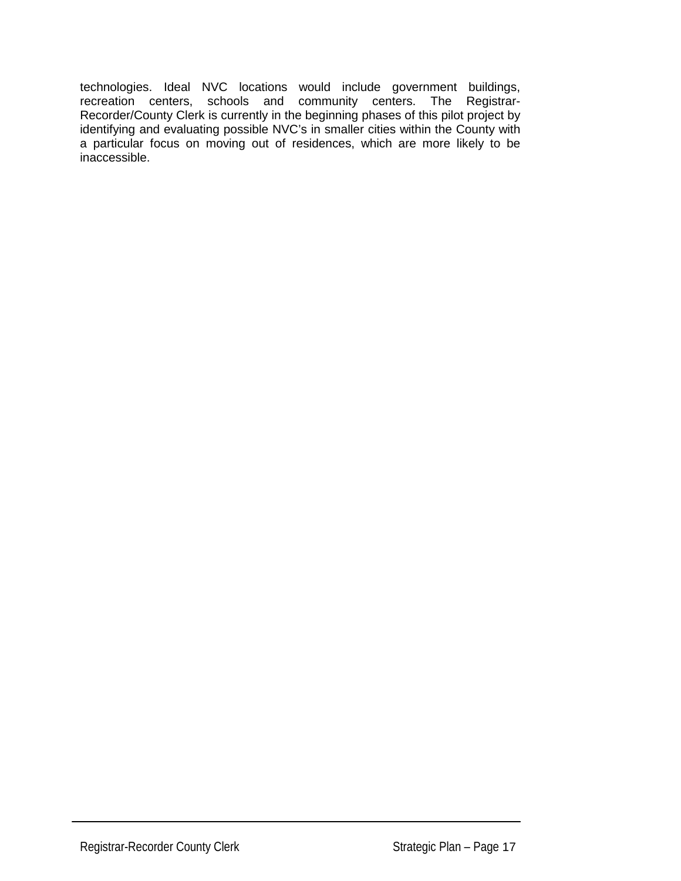technologies. Ideal NVC locations would include government buildings, recreation centers, schools and community centers. The Registrar-Recorder/County Clerk is currently in the beginning phases of this pilot project by identifying and evaluating possible NVC's in smaller cities within the County with a particular focus on moving out of residences, which are more likely to be inaccessible.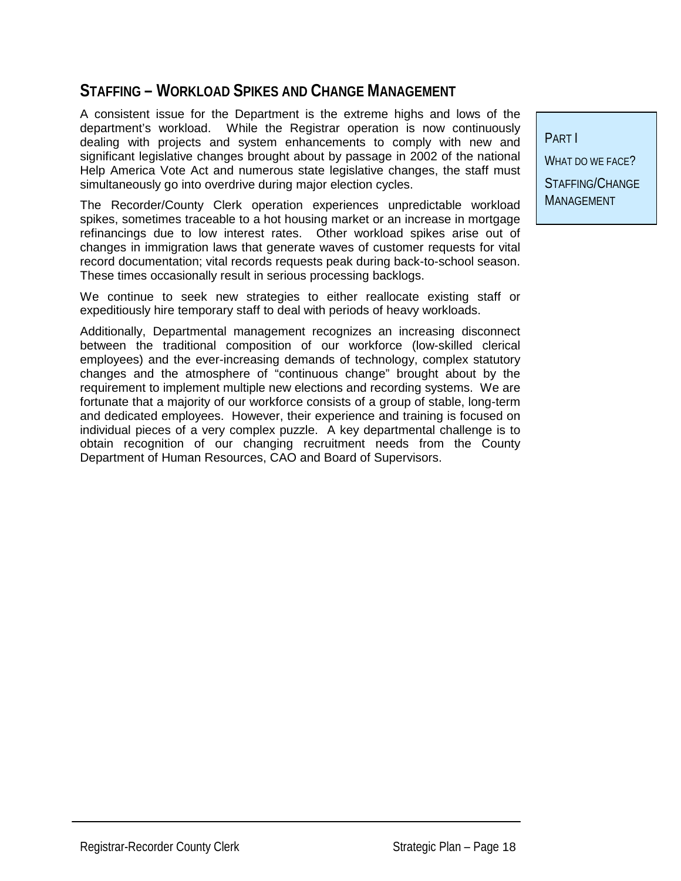## **STAFFING – WORKLOAD SPIKES AND CHANGE MANAGEMENT**

A consistent issue for the Department is the extreme highs and lows of the department's workload. While the Registrar operation is now continuously dealing with projects and system enhancements to comply with new and significant legislative changes brought about by passage in 2002 of the national Help America Vote Act and numerous state legislative changes, the staff must simultaneously go into overdrive during major election cycles.

The Recorder/County Clerk operation experiences unpredictable workload spikes, sometimes traceable to a hot housing market or an increase in mortgage refinancings due to low interest rates. Other workload spikes arise out of changes in immigration laws that generate waves of customer requests for vital record documentation; vital records requests peak during back-to-school season. These times occasionally result in serious processing backlogs.

We continue to seek new strategies to either reallocate existing staff or expeditiously hire temporary staff to deal with periods of heavy workloads.

Additionally, Departmental management recognizes an increasing disconnect between the traditional composition of our workforce (low-skilled clerical employees) and the ever-increasing demands of technology, complex statutory changes and the atmosphere of "continuous change" brought about by the requirement to implement multiple new elections and recording systems. We are fortunate that a majority of our workforce consists of a group of stable, long-term and dedicated employees. However, their experience and training is focused on individual pieces of a very complex puzzle. A key departmental challenge is to obtain recognition of our changing recruitment needs from the County Department of Human Resources, CAO and Board of Supervisors.

PART I WHAT DO WE FACE? STAFFING/CHANGE **MANAGEMENT**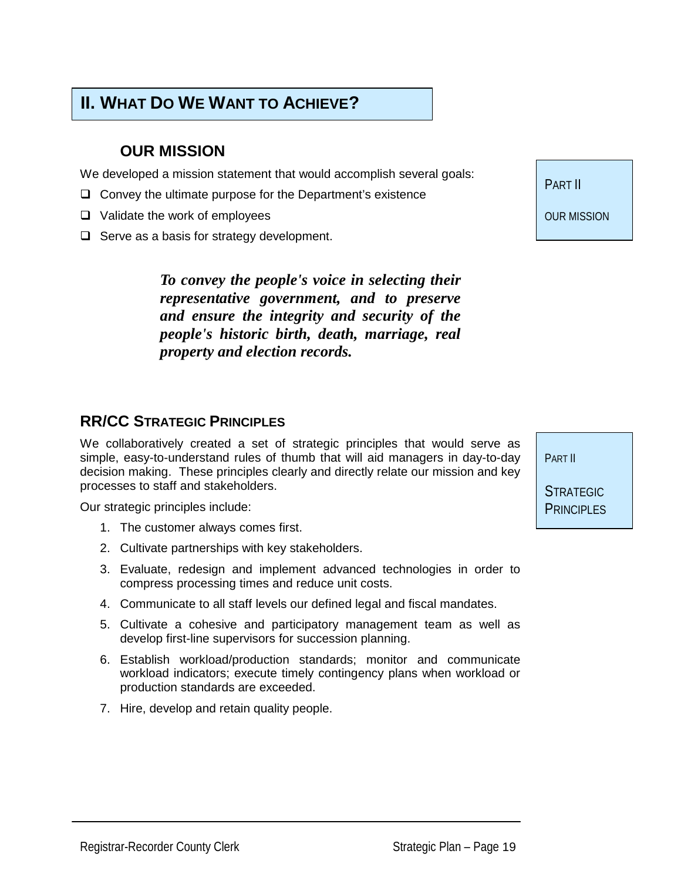## **II. WHAT DO WE WANT TO ACHIEVE?**

## **OUR MISSION**

We developed a mission statement that would accomplish several goals:

- $\Box$  Convey the ultimate purpose for the Department's existence
- $\Box$  Validate the work of employees
- $\Box$  Serve as a basis for strategy development.

*To convey the people's voice in selecting their representative government, and to preserve and ensure the integrity and security of the people's historic birth, death, marriage, real property and election records.* 

#### **RR/CC STRATEGIC PRINCIPLES**

We collaboratively created a set of strategic principles that would serve as simple, easy-to-understand rules of thumb that will aid managers in day-to-day decision making. These principles clearly and directly relate our mission and key processes to staff and stakeholders.

Our strategic principles include:

- 1. The customer always comes first.
- 2. Cultivate partnerships with key stakeholders.
- 3. Evaluate, redesign and implement advanced technologies in order to compress processing times and reduce unit costs.
- 4. Communicate to all staff levels our defined legal and fiscal mandates.
- 5. Cultivate a cohesive and participatory management team as well as develop first-line supervisors for succession planning.
- 6. Establish workload/production standards; monitor and communicate workload indicators; execute timely contingency plans when workload or production standards are exceeded.
- 7. Hire, develop and retain quality people.

PART II

OUR MISSION

PART II

**STRATEGIC** PRINCIPLES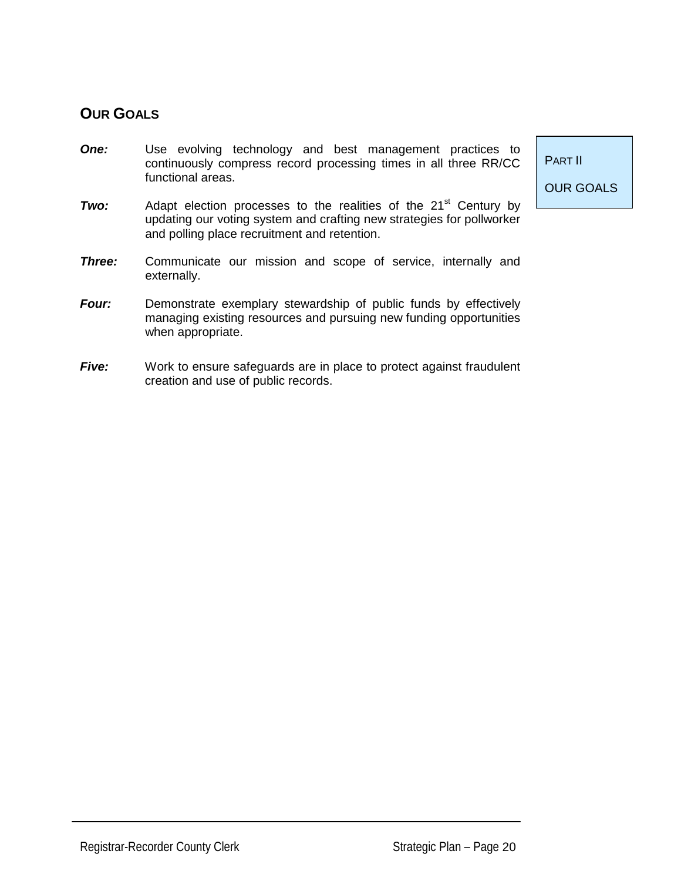## **OUR GOALS**

- **One:** Use evolving technology and best management practices to continuously compress record processing times in all three RR/CC functional areas.
- **Two:** Adapt election processes to the realities of the 21<sup>st</sup> Century by updating our voting system and crafting new strategies for pollworker and polling place recruitment and retention.
- *Three:* Communicate our mission and scope of service, internally and externally.
- *Four:* Demonstrate exemplary stewardship of public funds by effectively managing existing resources and pursuing new funding opportunities when appropriate.
- **Five:** Work to ensure safeguards are in place to protect against fraudulent creation and use of public records.

PART II

OUR GOALS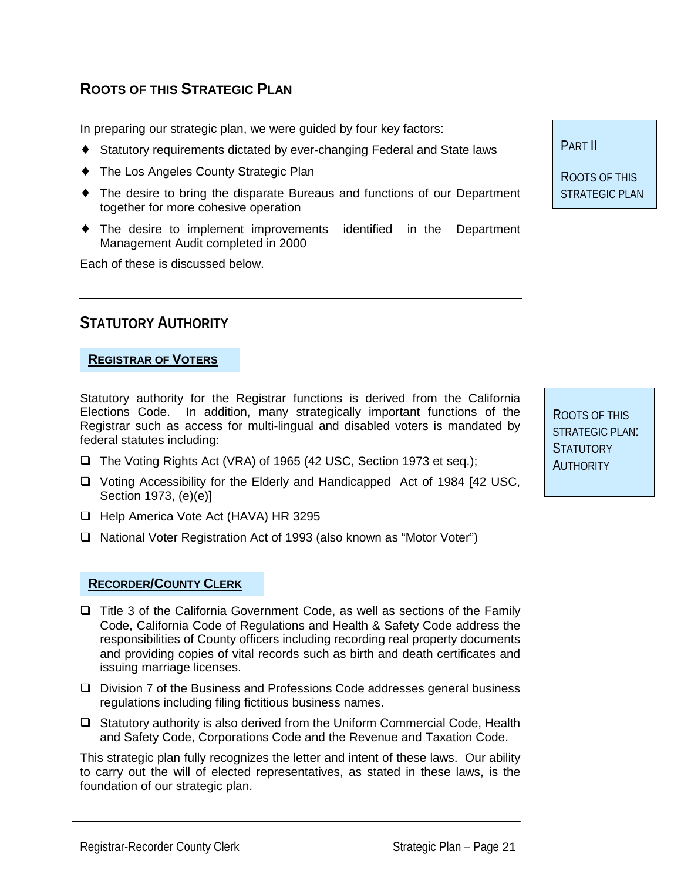## **ROOTS OF THIS STRATEGIC PLAN**

In preparing our strategic plan, we were guided by four key factors:

- ♦ Statutory requirements dictated by ever-changing Federal and State laws
- ♦ The Los Angeles County Strategic Plan
- The desire to bring the disparate Bureaus and functions of our Department together for more cohesive operation
- ♦ The desire to implement improvements identified in the Department Management Audit completed in 2000

Each of these is discussed below.

## **STATUTORY AUTHORITY**

#### **REGISTRAR OF VOTERS**

Statutory authority for the Registrar functions is derived from the California Elections Code. In addition, many strategically important functions of the Registrar such as access for multi-lingual and disabled voters is mandated by federal statutes including:

- □ The Voting Rights Act (VRA) of 1965 (42 USC, Section 1973 et seq.);
- □ Voting Accessibility for the Elderly and Handicapped Act of 1984 [42 USC, Section 1973, (e)(e)]
- □ Help America Vote Act (HAVA) HR 3295
- □ National Voter Registration Act of 1993 (also known as "Motor Voter")

#### **RECORDER/COUNTY CLERK**

- $\Box$  Title 3 of the California Government Code, as well as sections of the Family Code, California Code of Regulations and Health & Safety Code address the responsibilities of County officers including recording real property documents and providing copies of vital records such as birth and death certificates and issuing marriage licenses.
- □ Division 7 of the Business and Professions Code addresses general business regulations including filing fictitious business names.
- $\Box$  Statutory authority is also derived from the Uniform Commercial Code, Health and Safety Code, Corporations Code and the Revenue and Taxation Code.

This strategic plan fully recognizes the letter and intent of these laws. Our ability to carry out the will of elected representatives, as stated in these laws, is the foundation of our strategic plan.

ROOTS OF THIS STRATEGIC PLAN: **STATUTORY AUTHORITY** 

PART II

ROOTS OF THIS STRATEGIC PLAN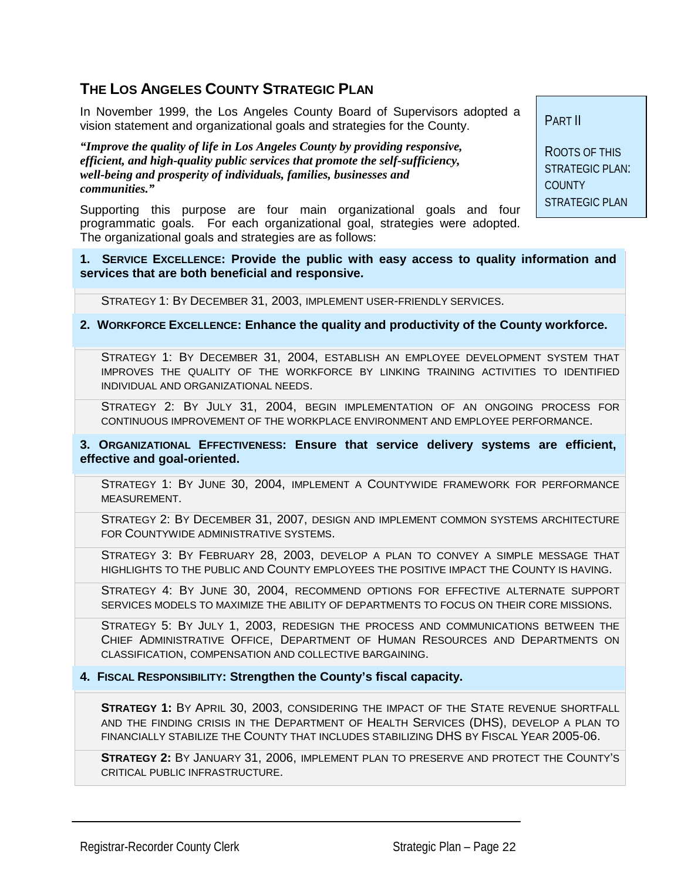## **THE LOS ANGELES COUNTY STRATEGIC PLAN**

In November 1999, the Los Angeles County Board of Supervisors adopted a vision statement and organizational goals and strategies for the County.

*"Improve the quality of life in Los Angeles County by providing responsive, efficient, and high-quality public services that promote the self-sufficiency, well-being and prosperity of individuals, families, businesses and communities."* 

Supporting this purpose are four main organizational goals and four programmatic goals. For each organizational goal, strategies were adopted. The organizational goals and strategies are as follows:

PART II

ROOTS OF THIS STRATEGIC PLAN: COUNTY STRATEGIC PLAN

**1. SERVICE EXCELLENCE: Provide the public with easy access to quality information and services that are both beneficial and responsive.**

STRATEGY 1: BY DECEMBER 31, 2003, IMPLEMENT USER-FRIENDLY SERVICES.

**2. WORKFORCE EXCELLENCE: Enhance the quality and productivity of the County workforce.**

STRATEGY 1: BY DECEMBER 31, 2004, ESTABLISH AN EMPLOYEE DEVELOPMENT SYSTEM THAT IMPROVES THE QUALITY OF THE WORKFORCE BY LINKING TRAINING ACTIVITIES TO IDENTIFIED INDIVIDUAL AND ORGANIZATIONAL NEEDS.

STRATEGY 2: BY JULY 31, 2004, BEGIN IMPLEMENTATION OF AN ONGOING PROCESS FOR CONTINUOUS IMPROVEMENT OF THE WORKPLACE ENVIRONMENT AND EMPLOYEE PERFORMANCE.

**3. ORGANIZATIONAL EFFECTIVENESS: Ensure that service delivery systems are efficient, effective and goal-oriented.**

STRATEGY 1: BY JUNE 30, 2004, IMPLEMENT A COUNTYWIDE FRAMEWORK FOR PERFORMANCE MEASUREMENT.

STRATEGY 2: BY DECEMBER 31, 2007, DESIGN AND IMPLEMENT COMMON SYSTEMS ARCHITECTURE FOR COUNTYWIDE ADMINISTRATIVE SYSTEMS.

STRATEGY 3: BY FEBRUARY 28, 2003, DEVELOP A PLAN TO CONVEY A SIMPLE MESSAGE THAT HIGHLIGHTS TO THE PUBLIC AND COUNTY EMPLOYEES THE POSITIVE IMPACT THE COUNTY IS HAVING.

STRATEGY 4: BY JUNE 30, 2004, RECOMMEND OPTIONS FOR EFFECTIVE ALTERNATE SUPPORT SERVICES MODELS TO MAXIMIZE THE ABILITY OF DEPARTMENTS TO FOCUS ON THEIR CORE MISSIONS.

STRATEGY 5: BY JULY 1, 2003, REDESIGN THE PROCESS AND COMMUNICATIONS BETWEEN THE CHIEF ADMINISTRATIVE OFFICE, DEPARTMENT OF HUMAN RESOURCES AND DEPARTMENTS ON CLASSIFICATION, COMPENSATION AND COLLECTIVE BARGAINING.

**4. FISCAL RESPONSIBILITY: Strengthen the County's fiscal capacity.**

**STRATEGY 1:** BY APRIL 30, 2003, CONSIDERING THE IMPACT OF THE STATE REVENUE SHORTFALL AND THE FINDING CRISIS IN THE DEPARTMENT OF HEALTH SERVICES (DHS), DEVELOP A PLAN TO FINANCIALLY STABILIZE THE COUNTY THAT INCLUDES STABILIZING DHS BY FISCAL YEAR 2005-06.

**STRATEGY 2:** BY JANUARY 31, 2006, IMPLEMENT PLAN TO PRESERVE AND PROTECT THE COUNTY'S CRITICAL PUBLIC INFRASTRUCTURE.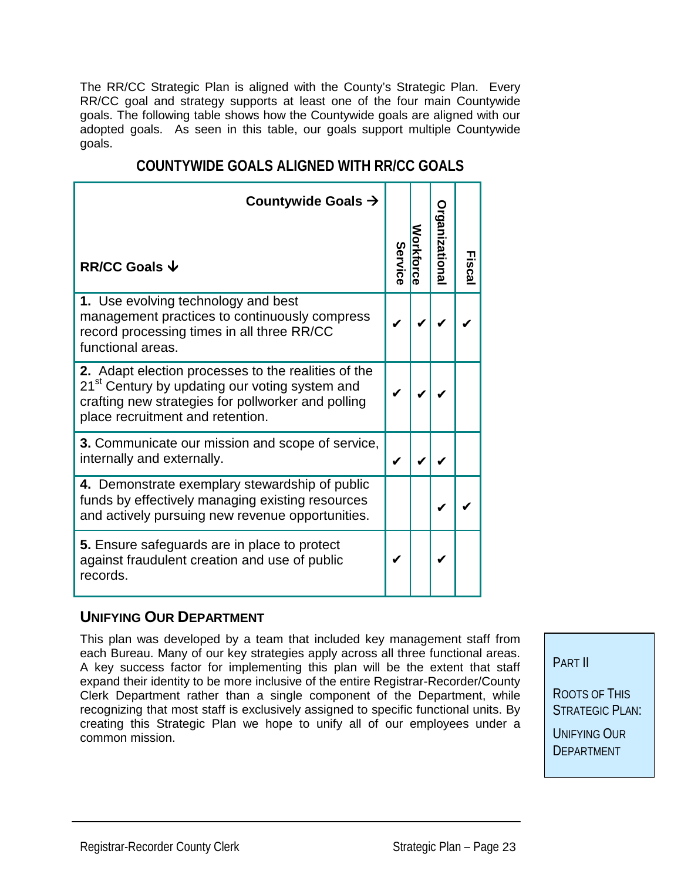The RR/CC Strategic Plan is aligned with the County's Strategic Plan. Every RR/CC goal and strategy supports at least one of the four main Countywide goals. The following table shows how the Countywide goals are aligned with our adopted goals. As seen in this table, our goals support multiple Countywide goals.

| Countywide Goals $\rightarrow$<br><b>RR/CC Goals ↓</b>                                                                                                                                                      | Service | <b>Organizationa</b> | Fisca |
|-------------------------------------------------------------------------------------------------------------------------------------------------------------------------------------------------------------|---------|----------------------|-------|
| 1. Use evolving technology and best<br>management practices to continuously compress<br>record processing times in all three RR/CC<br>functional areas.                                                     |         |                      |       |
| 2. Adapt election processes to the realities of the<br>21 <sup>st</sup> Century by updating our voting system and<br>crafting new strategies for pollworker and polling<br>place recruitment and retention. |         |                      |       |
| <b>3.</b> Communicate our mission and scope of service,<br>internally and externally.                                                                                                                       |         |                      |       |
| 4. Demonstrate exemplary stewardship of public<br>funds by effectively managing existing resources<br>and actively pursuing new revenue opportunities.                                                      |         |                      |       |
| <b>5.</b> Ensure safeguards are in place to protect<br>against fraudulent creation and use of public<br>records.                                                                                            |         |                      |       |

## **COUNTYWIDE GOALS ALIGNED WITH RR/CC GOALS**

#### **UNIFYING OUR DEPARTMENT**

This plan was developed by a team that included key management staff from each Bureau. Many of our key strategies apply across all three functional areas. A key success factor for implementing this plan will be the extent that staff expand their identity to be more inclusive of the entire Registrar-Recorder/County Clerk Department rather than a single component of the Department, while recognizing that most staff is exclusively assigned to specific functional units. By creating this Strategic Plan we hope to unify all of our employees under a common mission.

PART II

ROOTS OF THIS STRATEGIC PLAN: UNIFYING OUR **DEPARTMENT**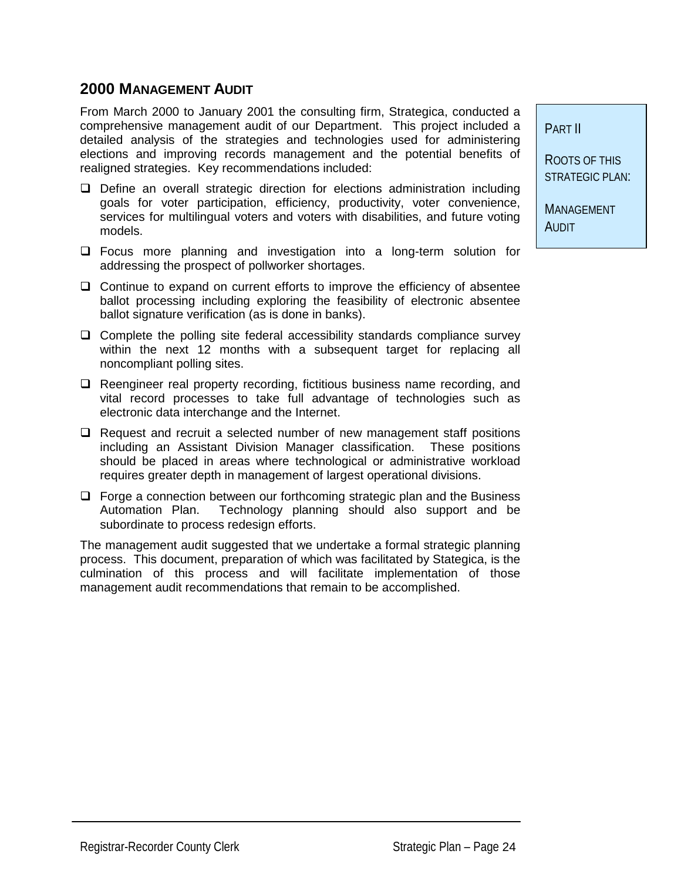#### **2000 MANAGEMENT AUDIT**

From March 2000 to January 2001 the consulting firm, Strategica, conducted a comprehensive management audit of our Department. This project included a detailed analysis of the strategies and technologies used for administering elections and improving records management and the potential benefits of realigned strategies. Key recommendations included:

- $\Box$  Define an overall strategic direction for elections administration including goals for voter participation, efficiency, productivity, voter convenience, services for multilingual voters and voters with disabilities, and future voting models.
- $\Box$  Focus more planning and investigation into a long-term solution for addressing the prospect of pollworker shortages.
- $\Box$  Continue to expand on current efforts to improve the efficiency of absentee ballot processing including exploring the feasibility of electronic absentee ballot signature verification (as is done in banks).
- $\Box$  Complete the polling site federal accessibility standards compliance survey within the next 12 months with a subsequent target for replacing all noncompliant polling sites.
- $\Box$  Reengineer real property recording, fictitious business name recording, and vital record processes to take full advantage of technologies such as electronic data interchange and the Internet.
- $\Box$  Request and recruit a selected number of new management staff positions including an Assistant Division Manager classification. These positions should be placed in areas where technological or administrative workload requires greater depth in management of largest operational divisions.
- $\Box$  Forge a connection between our forthcoming strategic plan and the Business Automation Plan. Technology planning should also support and be subordinate to process redesign efforts.

The management audit suggested that we undertake a formal strategic planning process. This document, preparation of which was facilitated by Stategica, is the culmination of this process and will facilitate implementation of those management audit recommendations that remain to be accomplished.

PART II

ROOTS OF THIS STRATEGIC PLAN:

MANAGEMENT AUDIT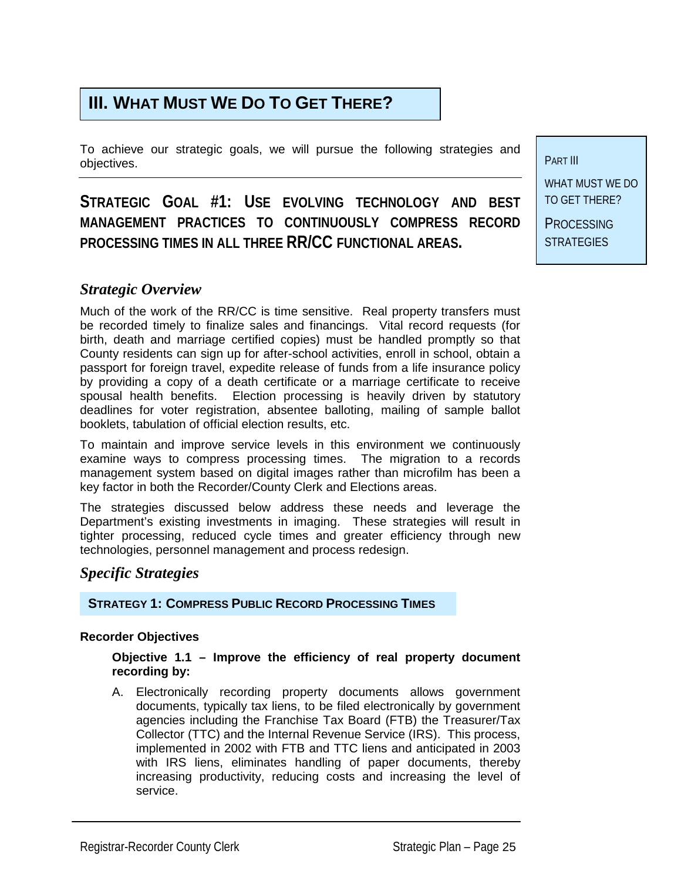## **III. WHAT MUST WE DO TO GET THERE?**

To achieve our strategic goals, we will pursue the following strategies and objectives.

## **STRATEGIC GOAL #1: USE EVOLVING TECHNOLOGY AND BEST MANAGEMENT PRACTICES TO CONTINUOUSLY COMPRESS RECORD PROCESSING TIMES IN ALL THREE RR/CC FUNCTIONAL AREAS.**

PART III WHAT MUST WE DO

TO GET THERE? **PROCESSING STRATEGIES** 

#### *Strategic Overview*

Much of the work of the RR/CC is time sensitive. Real property transfers must be recorded timely to finalize sales and financings. Vital record requests (for birth, death and marriage certified copies) must be handled promptly so that County residents can sign up for after-school activities, enroll in school, obtain a passport for foreign travel, expedite release of funds from a life insurance policy by providing a copy of a death certificate or a marriage certificate to receive spousal health benefits. Election processing is heavily driven by statutory deadlines for voter registration, absentee balloting, mailing of sample ballot booklets, tabulation of official election results, etc.

To maintain and improve service levels in this environment we continuously examine ways to compress processing times. The migration to a records management system based on digital images rather than microfilm has been a key factor in both the Recorder/County Clerk and Elections areas.

The strategies discussed below address these needs and leverage the Department's existing investments in imaging. These strategies will result in tighter processing, reduced cycle times and greater efficiency through new technologies, personnel management and process redesign.

#### *Specific Strategies*

**STRATEGY 1: COMPRESS PUBLIC RECORD PROCESSING TIMES**

#### **Recorder Objectives**

#### **Objective 1.1 – Improve the efficiency of real property document recording by:**

A. Electronically recording property documents allows government documents, typically tax liens, to be filed electronically by government agencies including the Franchise Tax Board (FTB) the Treasurer/Tax Collector (TTC) and the Internal Revenue Service (IRS). This process, implemented in 2002 with FTB and TTC liens and anticipated in 2003 with IRS liens, eliminates handling of paper documents, thereby increasing productivity, reducing costs and increasing the level of service.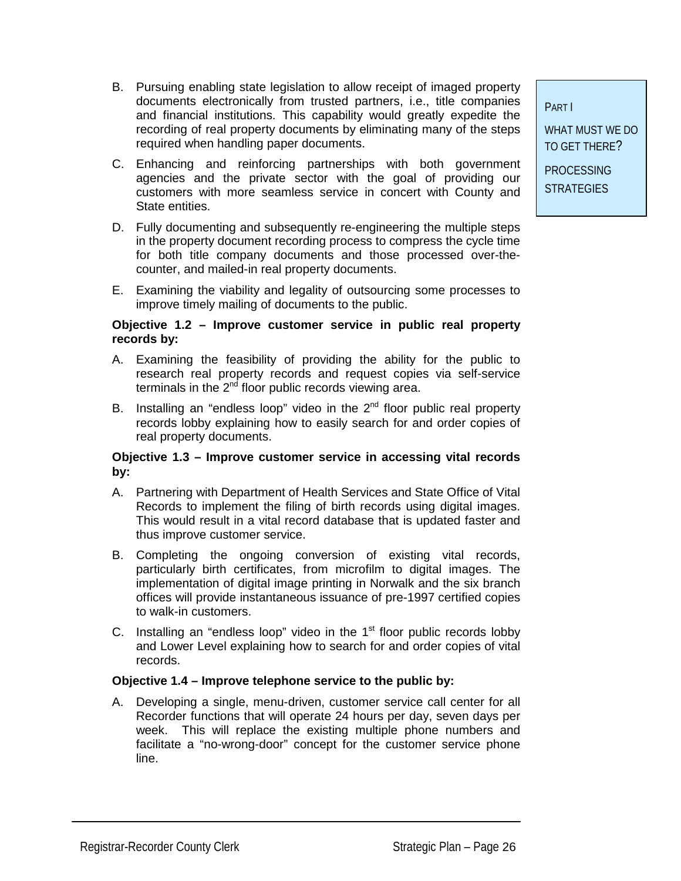- C. Enhancing and reinforcing partnerships with both government agencies and the private sector with the goal of providing our customers with more seamless service in concert with County and State entities.
- D. Fully documenting and subsequently re-engineering the multiple steps in the property document recording process to compress the cycle time for both title company documents and those processed over-thecounter, and mailed-in real property documents.
- E. Examining the viability and legality of outsourcing some processes to improve timely mailing of documents to the public.

#### **Objective 1.2 – Improve customer service in public real property records by:**

- A. Examining the feasibility of providing the ability for the public to research real property records and request copies via self-service terminals in the 2<sup>nd</sup> floor public records viewing area.
- B. Installing an "endless loop" video in the  $2<sup>nd</sup>$  floor public real property records lobby explaining how to easily search for and order copies of real property documents.

#### **Objective 1.3 – Improve customer service in accessing vital records by:**

- A. Partnering with Department of Health Services and State Office of Vital Records to implement the filing of birth records using digital images. This would result in a vital record database that is updated faster and thus improve customer service.
- B. Completing the ongoing conversion of existing vital records, particularly birth certificates, from microfilm to digital images. The implementation of digital image printing in Norwalk and the six branch offices will provide instantaneous issuance of pre-1997 certified copies to walk-in customers.
- C. Installing an "endless loop" video in the  $1<sup>st</sup>$  floor public records lobby and Lower Level explaining how to search for and order copies of vital records.

#### **Objective 1.4 – Improve telephone service to the public by:**

A. Developing a single, menu-driven, customer service call center for all Recorder functions that will operate 24 hours per day, seven days per week. This will replace the existing multiple phone numbers and facilitate a "no-wrong-door" concept for the customer service phone line.

PART I

WHAT MUST WE DO TO GET THERE?

**PROCESSING STRATEGIES**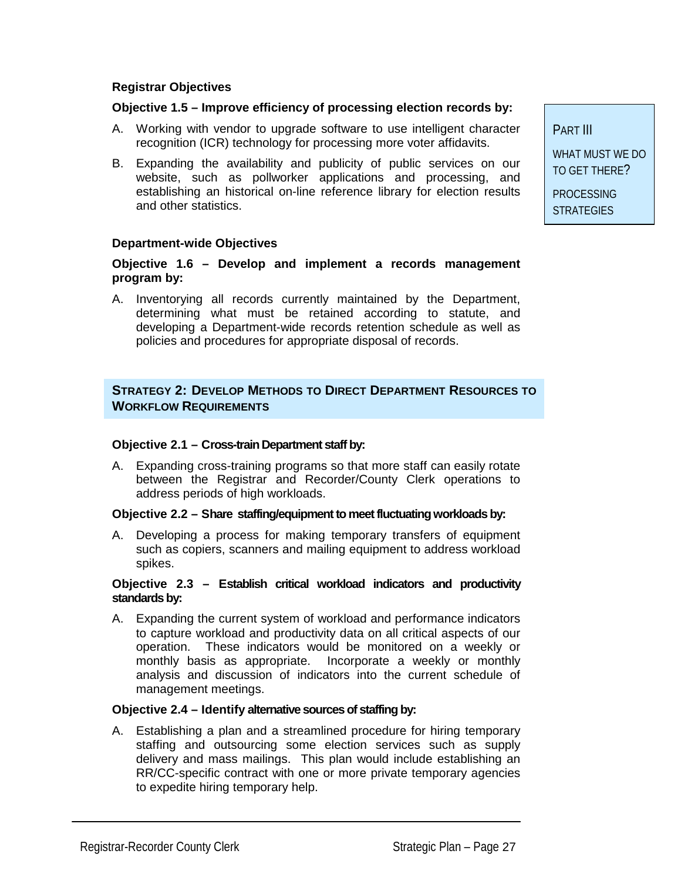#### **Registrar Objectives**

#### **Objective 1.5 – Improve efficiency of processing election records by:**

- A. Working with vendor to upgrade software to use intelligent character recognition (ICR) technology for processing more voter affidavits.
- B. Expanding the availability and publicity of public services on our website, such as pollworker applications and processing, and establishing an historical on-line reference library for election results and other statistics.

#### **Department-wide Objectives**

#### **Objective 1.6 – Develop and implement a records management program by:**

A. Inventorying all records currently maintained by the Department, determining what must be retained according to statute, and developing a Department-wide records retention schedule as well as policies and procedures for appropriate disposal of records.

#### **STRATEGY 2: DEVELOP METHODS TO DIRECT DEPARTMENT RESOURCES TO WORKFLOW REQUIREMENTS**

#### **Objective 2.1 – Cross-train Department staff by:**

A. Expanding cross-training programs so that more staff can easily rotate between the Registrar and Recorder/County Clerk operations to address periods of high workloads.

#### **Objective 2.2 – Share staffing/equipment to meet fluctuating workloads by:**

A. Developing a process for making temporary transfers of equipment such as copiers, scanners and mailing equipment to address workload spikes.

#### **Objective 2.3 – Establish critical workload indicators and productivity standards by:**

A. Expanding the current system of workload and performance indicators to capture workload and productivity data on all critical aspects of our operation. These indicators would be monitored on a weekly or monthly basis as appropriate. Incorporate a weekly or monthly analysis and discussion of indicators into the current schedule of management meetings.

#### **Objective 2.4 – Identify alternative sources of staffing by:**

A. Establishing a plan and a streamlined procedure for hiring temporary staffing and outsourcing some election services such as supply delivery and mass mailings. This plan would include establishing an RR/CC-specific contract with one or more private temporary agencies to expedite hiring temporary help.

PART III WHAT MUST WE DO TO GET THERE? PROCESSING

**STRATEGIES**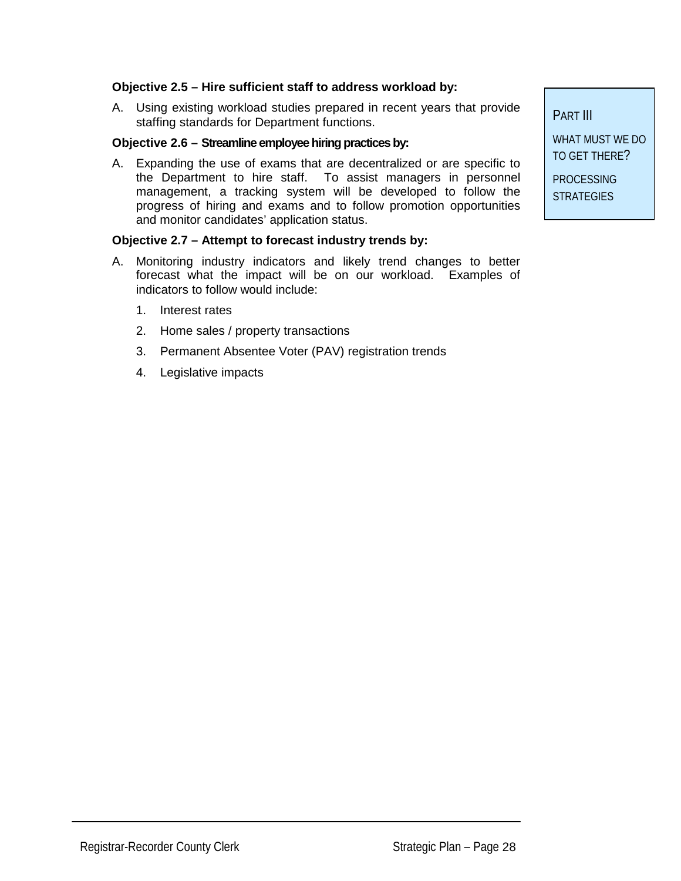#### **Objective 2.5 – Hire sufficient staff to address workload by:**

A. Using existing workload studies prepared in recent years that provide staffing standards for Department functions.

#### **Objective 2.6 – Streamline employee hiring practices by:**

A. Expanding the use of exams that are decentralized or are specific to the Department to hire staff. To assist managers in personnel management, a tracking system will be developed to follow the progress of hiring and exams and to follow promotion opportunities and monitor candidates' application status.

#### **Objective 2.7 – Attempt to forecast industry trends by:**

- A. Monitoring industry indicators and likely trend changes to better forecast what the impact will be on our workload. Examples of indicators to follow would include:
	- 1. Interest rates
	- 2. Home sales / property transactions
	- 3. Permanent Absentee Voter (PAV) registration trends
	- 4. Legislative impacts

PART III

WHAT MUST WE DO TO GET THERE?

PROCESSING **STRATEGIES**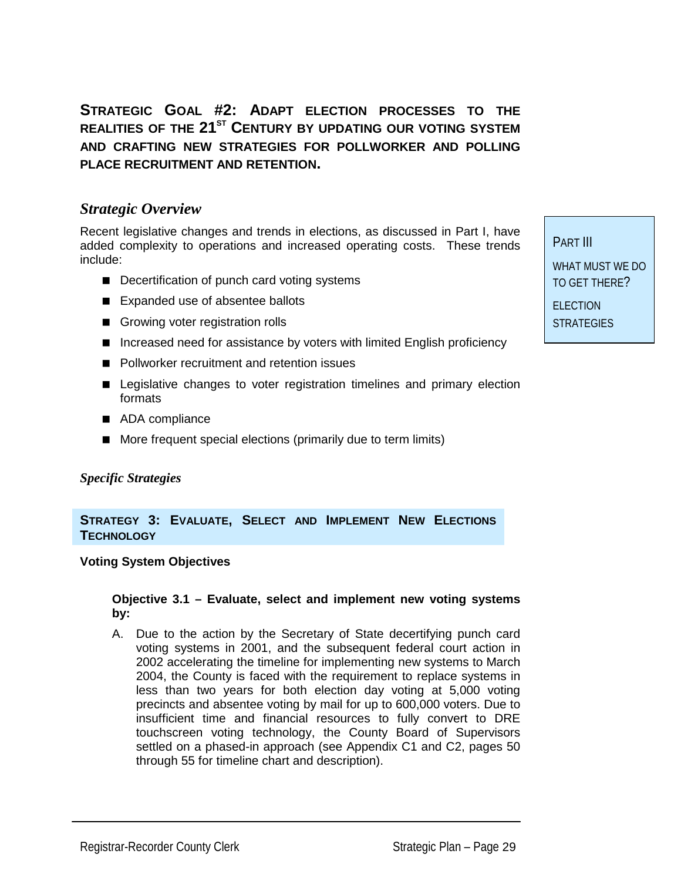**STRATEGIC GOAL #2: ADAPT ELECTION PROCESSES TO THE**  REALITIES OF THE 21<sup>ST</sup> CENTURY BY UPDATING OUR VOTING SYSTEM **AND CRAFTING NEW STRATEGIES FOR POLLWORKER AND POLLING PLACE RECRUITMENT AND RETENTION.** 

#### *Strategic Overview*

Recent legislative changes and trends in elections, as discussed in Part I, have added complexity to operations and increased operating costs. These trends include:

- **Decertification of punch card voting systems**
- Expanded use of absentee ballots
- **E** Growing voter registration rolls
- Increased need for assistance by voters with limited English proficiency
- Pollworker recruitment and retention issues
- **E** Legislative changes to voter registration timelines and primary election formats
- ADA compliance
- **I** More frequent special elections (primarily due to term limits)

#### *Specific Strategies*

#### **STRATEGY 3: EVALUATE, SELECT AND IMPLEMENT NEW ELECTIONS TECHNOLOGY**

#### **Voting System Objectives**

#### **Objective 3.1 – Evaluate, select and implement new voting systems by:**

A. Due to the action by the Secretary of State decertifying punch card voting systems in 2001, and the subsequent federal court action in 2002 accelerating the timeline for implementing new systems to March 2004, the County is faced with the requirement to replace systems in less than two years for both election day voting at 5,000 voting precincts and absentee voting by mail for up to 600,000 voters. Due to insufficient time and financial resources to fully convert to DRE touchscreen voting technology, the County Board of Supervisors settled on a phased-in approach (see Appendix C1 and C2, pages 50 through 55 for timeline chart and description).

PART III WHAT MUST WE DO TO GET THERE? ELECTION

**STRATEGIES** 

Registrar-Recorder County Clerk Strategic Plan – Page 29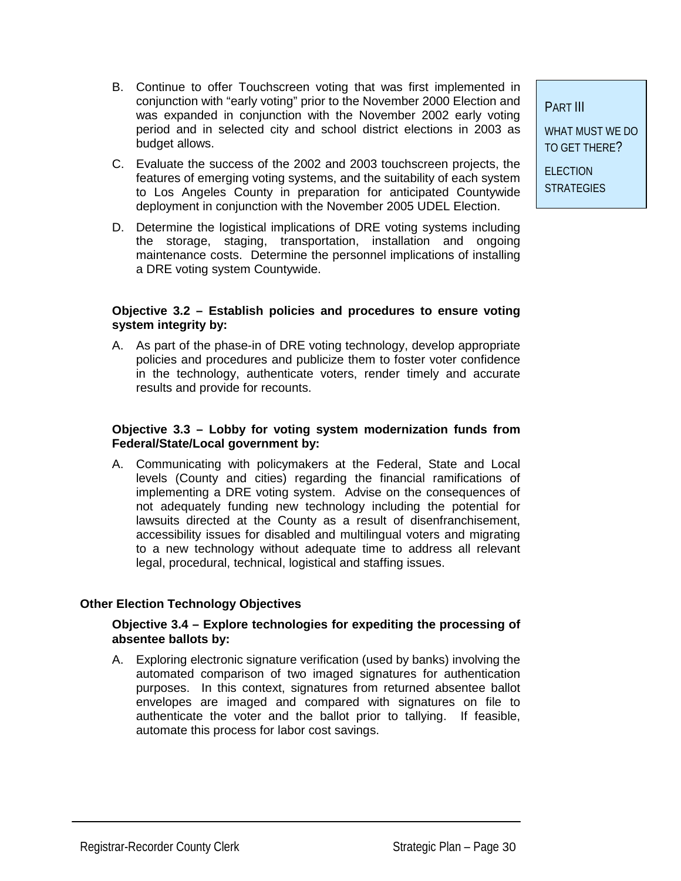- B. Continue to offer Touchscreen voting that was first implemented in conjunction with "early voting" prior to the November 2000 Election and was expanded in conjunction with the November 2002 early voting period and in selected city and school district elections in 2003 as budget allows.
- C. Evaluate the success of the 2002 and 2003 touchscreen projects, the features of emerging voting systems, and the suitability of each system to Los Angeles County in preparation for anticipated Countywide deployment in conjunction with the November 2005 UDEL Election.
- D. Determine the logistical implications of DRE voting systems including the storage, staging, transportation, installation and ongoing maintenance costs. Determine the personnel implications of installing a DRE voting system Countywide.

#### **Objective 3.2 – Establish policies and procedures to ensure voting system integrity by:**

A. As part of the phase-in of DRE voting technology, develop appropriate policies and procedures and publicize them to foster voter confidence in the technology, authenticate voters, render timely and accurate results and provide for recounts.

#### **Objective 3.3 – Lobby for voting system modernization funds from Federal/State/Local government by:**

A. Communicating with policymakers at the Federal, State and Local levels (County and cities) regarding the financial ramifications of implementing a DRE voting system. Advise on the consequences of not adequately funding new technology including the potential for lawsuits directed at the County as a result of disenfranchisement, accessibility issues for disabled and multilingual voters and migrating to a new technology without adequate time to address all relevant legal, procedural, technical, logistical and staffing issues.

#### **Other Election Technology Objectives**

#### **Objective 3.4 – Explore technologies for expediting the processing of absentee ballots by:**

A. Exploring electronic signature verification (used by banks) involving the automated comparison of two imaged signatures for authentication purposes. In this context, signatures from returned absentee ballot envelopes are imaged and compared with signatures on file to authenticate the voter and the ballot prior to tallying. If feasible, automate this process for labor cost savings.

PART III

WHAT MUST WE DO TO GET THERE?

**ELECTION STRATEGIES**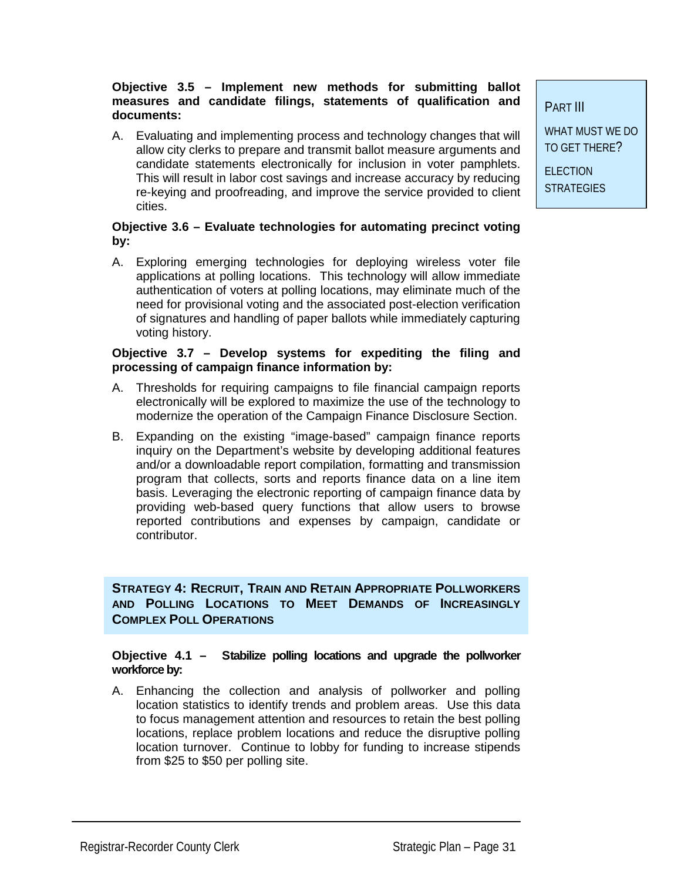#### **Objective 3.5 – Implement new methods for submitting ballot measures and candidate filings, statements of qualification and documents:**

A. Evaluating and implementing process and technology changes that will allow city clerks to prepare and transmit ballot measure arguments and candidate statements electronically for inclusion in voter pamphlets. This will result in labor cost savings and increase accuracy by reducing re-keying and proofreading, and improve the service provided to client cities.

#### **Objective 3.6 – Evaluate technologies for automating precinct voting by:**

A. Exploring emerging technologies for deploying wireless voter file applications at polling locations. This technology will allow immediate authentication of voters at polling locations, may eliminate much of the need for provisional voting and the associated post-election verification of signatures and handling of paper ballots while immediately capturing voting history.

#### **Objective 3.7 – Develop systems for expediting the filing and processing of campaign finance information by:**

- A. Thresholds for requiring campaigns to file financial campaign reports electronically will be explored to maximize the use of the technology to modernize the operation of the Campaign Finance Disclosure Section.
- B. Expanding on the existing "image-based" campaign finance reports inquiry on the Department's website by developing additional features and/or a downloadable report compilation, formatting and transmission program that collects, sorts and reports finance data on a line item basis. Leveraging the electronic reporting of campaign finance data by providing web-based query functions that allow users to browse reported contributions and expenses by campaign, candidate or contributor.

 **COMPLEX POLL OPERATIONS STRATEGY 4: RECRUIT, TRAIN AND RETAIN APPROPRIATE POLLWORKERS AND POLLING LOCATIONS TO MEET DEMANDS OF INCREASINGLY** 

#### **Objective 4.1 – Stabilize polling locations and upgrade the pollworker workforce by:**

A. Enhancing the collection and analysis of pollworker and polling location statistics to identify trends and problem areas. Use this data to focus management attention and resources to retain the best polling locations, replace problem locations and reduce the disruptive polling location turnover. Continue to lobby for funding to increase stipends from \$25 to \$50 per polling site.

PART III

WHAT MUST WE DO TO GET THERE?

**ELECTION STRATEGIES**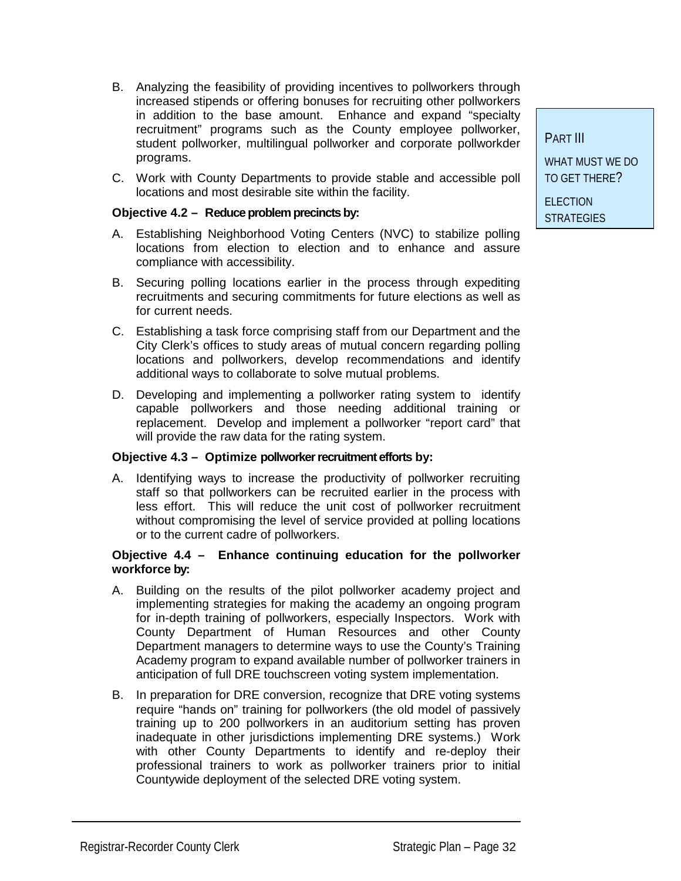- B. Analyzing the feasibility of providing incentives to pollworkers through increased stipends or offering bonuses for recruiting other pollworkers in addition to the base amount. Enhance and expand "specialty recruitment" programs such as the County employee pollworker, student pollworker, multilingual pollworker and corporate pollworkder programs.
- C. Work with County Departments to provide stable and accessible poll locations and most desirable site within the facility.

#### **Objective 4.2 – Reduce problem precincts by:**

- A. Establishing Neighborhood Voting Centers (NVC) to stabilize polling locations from election to election and to enhance and assure compliance with accessibility.
- B. Securing polling locations earlier in the process through expediting recruitments and securing commitments for future elections as well as for current needs.
- C. Establishing a task force comprising staff from our Department and the City Clerk's offices to study areas of mutual concern regarding polling locations and pollworkers, develop recommendations and identify additional ways to collaborate to solve mutual problems.
- D. Developing and implementing a pollworker rating system to identify capable pollworkers and those needing additional training or replacement. Develop and implement a pollworker "report card" that will provide the raw data for the rating system.

#### **Objective 4.3 – Optimize pollworker recruitment efforts by:**

A. Identifying ways to increase the productivity of pollworker recruiting staff so that pollworkers can be recruited earlier in the process with less effort. This will reduce the unit cost of pollworker recruitment without compromising the level of service provided at polling locations or to the current cadre of pollworkers.

#### **Objective 4.4 – Enhance continuing education for the pollworker workforce by:**

- A. Building on the results of the pilot pollworker academy project and implementing strategies for making the academy an ongoing program for in-depth training of pollworkers, especially Inspectors. Work with County Department of Human Resources and other County Department managers to determine ways to use the County's Training Academy program to expand available number of pollworker trainers in anticipation of full DRE touchscreen voting system implementation.
- B. In preparation for DRE conversion, recognize that DRE voting systems require "hands on" training for pollworkers (the old model of passively training up to 200 pollworkers in an auditorium setting has proven inadequate in other jurisdictions implementing DRE systems.) Work with other County Departments to identify and re-deploy their professional trainers to work as pollworker trainers prior to initial Countywide deployment of the selected DRE voting system.

PART III WHAT MUST WE DO TO GET THERE? **ELECTION** 

**STRATEGIES**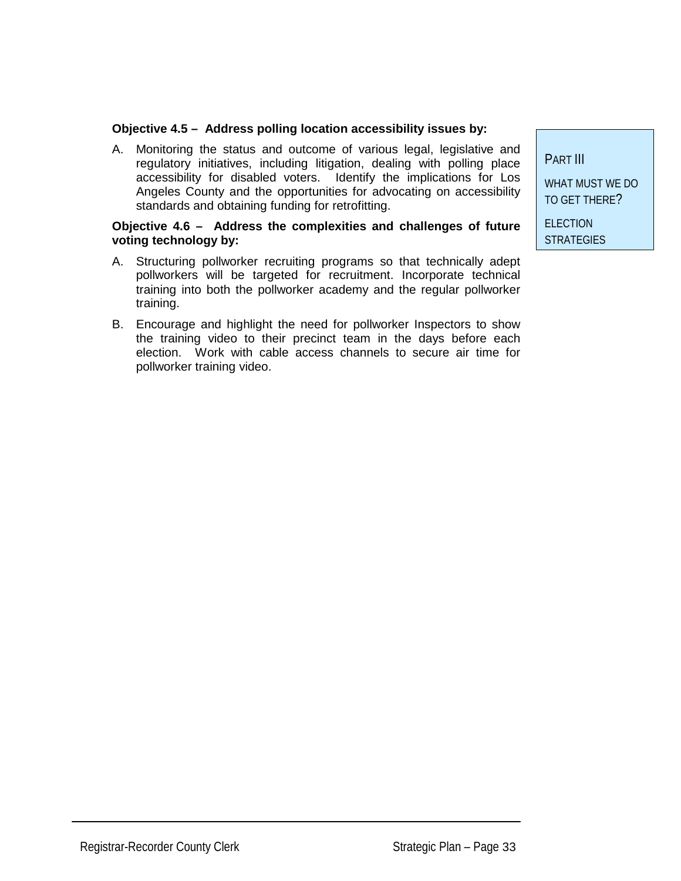#### **Objective 4.5 – Address polling location accessibility issues by:**

A. Monitoring the status and outcome of various legal, legislative and regulatory initiatives, including litigation, dealing with polling place accessibility for disabled voters. Identify the implications for Los Angeles County and the opportunities for advocating on accessibility standards and obtaining funding for retrofitting.

#### **Objective 4.6 – Address the complexities and challenges of future voting technology by:**

- A. Structuring pollworker recruiting programs so that technically adept pollworkers will be targeted for recruitment. Incorporate technical training into both the pollworker academy and the regular pollworker training.
- B. Encourage and highlight the need for pollworker Inspectors to show the training video to their precinct team in the days before each election. Work with cable access channels to secure air time for pollworker training video.

PART III WHAT MUST WE DO TO GET THERE? **ELECTION** 

**STRATEGIES** 

Registrar-Recorder County Clerk Strategic Plan – Page 33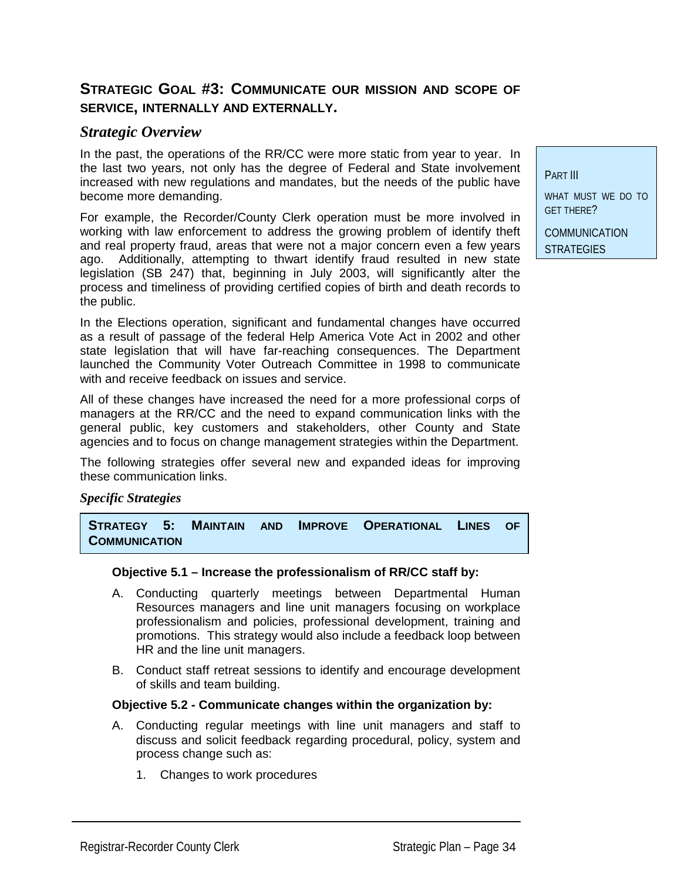### **STRATEGIC GOAL #3: COMMUNICATE OUR MISSION AND SCOPE OF SERVICE, INTERNALLY AND EXTERNALLY.**

#### *Strategic Overview*

In the past, the operations of the RR/CC were more static from year to year. In the last two years, not only has the degree of Federal and State involvement increased with new regulations and mandates, but the needs of the public have become more demanding.

For example, the Recorder/County Clerk operation must be more involved in working with law enforcement to address the growing problem of identify theft and real property fraud, areas that were not a major concern even a few years ago. Additionally, attempting to thwart identify fraud resulted in new state legislation (SB 247) that, beginning in July 2003, will significantly alter the process and timeliness of providing certified copies of birth and death records to the public.

In the Elections operation, significant and fundamental changes have occurred as a result of passage of the federal Help America Vote Act in 2002 and other state legislation that will have far-reaching consequences. The Department launched the Community Voter Outreach Committee in 1998 to communicate with and receive feedback on issues and service.

All of these changes have increased the need for a more professional corps of managers at the RR/CC and the need to expand communication links with the general public, key customers and stakeholders, other County and State agencies and to focus on change management strategies within the Department.

The following strategies offer several new and expanded ideas for improving these communication links.

#### *Specific Strategies*

 **COMMUNICATION STRATEGY 5: MAINTAIN AND IMPROVE OPERATIONAL LINES OF** 

#### **Objective 5.1 – Increase the professionalism of RR/CC staff by:**

- A. Conducting quarterly meetings between Departmental Human Resources managers and line unit managers focusing on workplace professionalism and policies, professional development, training and promotions. This strategy would also include a feedback loop between HR and the line unit managers.
- B. Conduct staff retreat sessions to identify and encourage development of skills and team building.

#### **Objective 5.2 - Communicate changes within the organization by:**

- A. Conducting regular meetings with line unit managers and staff to discuss and solicit feedback regarding procedural, policy, system and process change such as:
	- 1. Changes to work procedures

PART III

WHAT MUST WE DO TO GET THERE?

COMMUNICATION **STRATEGIES**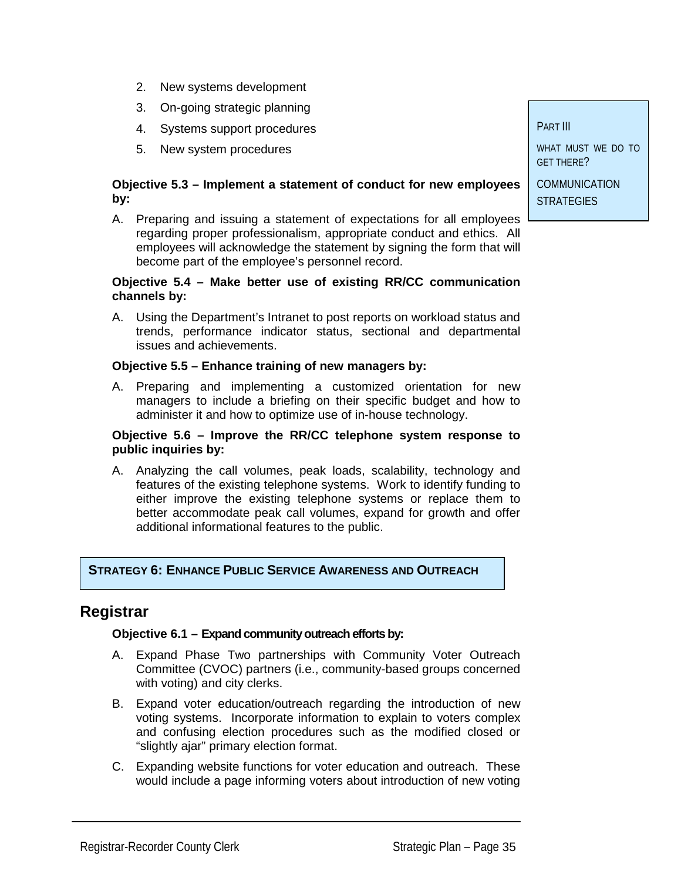- 2. New systems development
- 3. On-going strategic planning
- 4. Systems support procedures
- 5. New system procedures

#### **Objective 5.3 – Implement a statement of conduct for new employees by:**

A. Preparing and issuing a statement of expectations for all employees regarding proper professionalism, appropriate conduct and ethics. All employees will acknowledge the statement by signing the form that will become part of the employee's personnel record.

#### **Objective 5.4 – Make better use of existing RR/CC communication channels by:**

A. Using the Department's Intranet to post reports on workload status and trends, performance indicator status, sectional and departmental issues and achievements.

#### **Objective 5.5 – Enhance training of new managers by:**

A. Preparing and implementing a customized orientation for new managers to include a briefing on their specific budget and how to administer it and how to optimize use of in-house technology.

#### **Objective 5.6 – Improve the RR/CC telephone system response to public inquiries by:**

A. Analyzing the call volumes, peak loads, scalability, technology and features of the existing telephone systems. Work to identify funding to either improve the existing telephone systems or replace them to better accommodate peak call volumes, expand for growth and offer additional informational features to the public.

#### **STRATEGY 6: ENHANCE PUBLIC SERVICE AWARENESS AND OUTREACH**

#### **Registrar**

#### **Objective 6.1 – Expand community outreach efforts by:**

- A. Expand Phase Two partnerships with Community Voter Outreach Committee (CVOC) partners (i.e., community-based groups concerned with voting) and city clerks.
- B. Expand voter education/outreach regarding the introduction of new voting systems. Incorporate information to explain to voters complex and confusing election procedures such as the modified closed or "slightly ajar" primary election format.
- C. Expanding website functions for voter education and outreach. These would include a page informing voters about introduction of new voting

PART III

WHAT MUST WE DO TO GET THERE?

COMMUNICATION **STRATEGIES**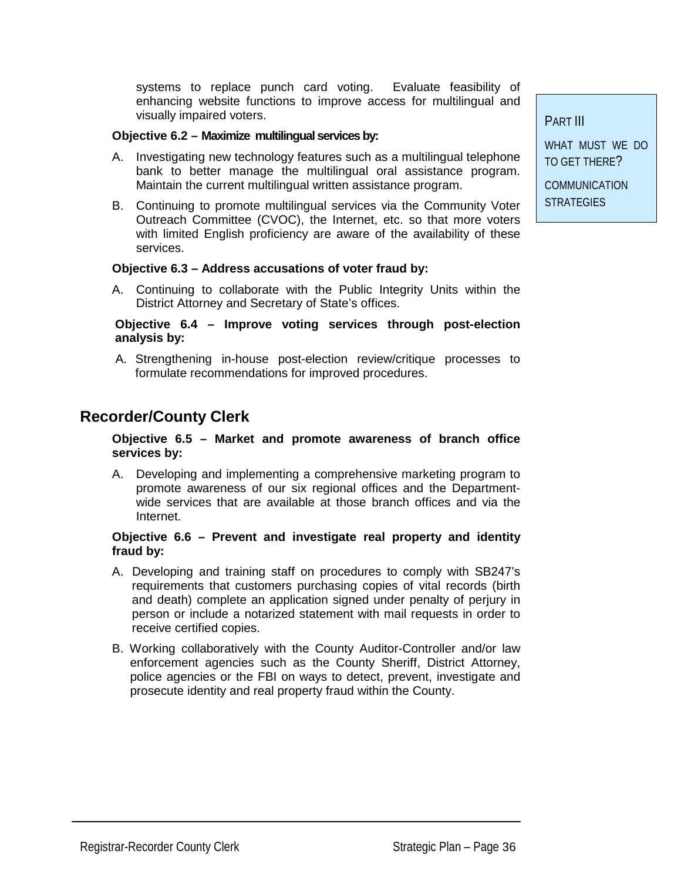systems to replace punch card voting. Evaluate feasibility of enhancing website functions to improve access for multilingual and visually impaired voters.

#### **Objective 6.2 – Maximize multilingual services by:**

- A. Investigating new technology features such as a multilingual telephone bank to better manage the multilingual oral assistance program. Maintain the current multilingual written assistance program.
- B. Continuing to promote multilingual services via the Community Voter Outreach Committee (CVOC), the Internet, etc. so that more voters with limited English proficiency are aware of the availability of these services.

#### **Objective 6.3 – Address accusations of voter fraud by:**

A. Continuing to collaborate with the Public Integrity Units within the District Attorney and Secretary of State's offices.

#### **Objective 6.4 – Improve voting services through post-election analysis by:**

A. Strengthening in-house post-election review/critique processes to formulate recommendations for improved procedures.

## **Recorder/County Clerk**

#### **Objective 6.5 – Market and promote awareness of branch office services by:**

A. Developing and implementing a comprehensive marketing program to promote awareness of our six regional offices and the Departmentwide services that are available at those branch offices and via the Internet.

#### **Objective 6.6 – Prevent and investigate real property and identity fraud by:**

- A. Developing and training staff on procedures to comply with SB247's requirements that customers purchasing copies of vital records (birth and death) complete an application signed under penalty of perjury in person or include a notarized statement with mail requests in order to receive certified copies.
- B. Working collaboratively with the County Auditor-Controller and/or law enforcement agencies such as the County Sheriff, District Attorney, police agencies or the FBI on ways to detect, prevent, investigate and prosecute identity and real property fraud within the County.

PART III

WHAT MUST WE DO TO GET THERE?

COMMUNICATION **STRATEGIES**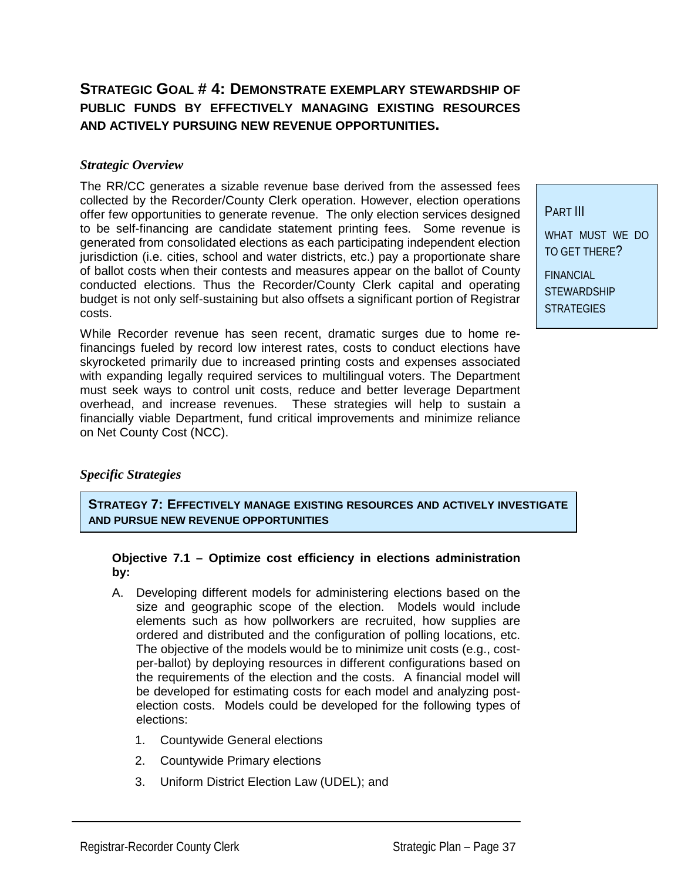## **STRATEGIC GOAL # 4: DEMONSTRATE EXEMPLARY STEWARDSHIP OF PUBLIC FUNDS BY EFFECTIVELY MANAGING EXISTING RESOURCES AND ACTIVELY PURSUING NEW REVENUE OPPORTUNITIES.**

#### *Strategic Overview*

The RR/CC generates a sizable revenue base derived from the assessed fees collected by the Recorder/County Clerk operation. However, election operations offer few opportunities to generate revenue. The only election services designed to be self-financing are candidate statement printing fees. Some revenue is generated from consolidated elections as each participating independent election jurisdiction (i.e. cities, school and water districts, etc.) pay a proportionate share of ballot costs when their contests and measures appear on the ballot of County conducted elections. Thus the Recorder/County Clerk capital and operating budget is not only self-sustaining but also offsets a significant portion of Registrar costs.

While Recorder revenue has seen recent, dramatic surges due to home refinancings fueled by record low interest rates, costs to conduct elections have skyrocketed primarily due to increased printing costs and expenses associated with expanding legally required services to multilingual voters. The Department must seek ways to control unit costs, reduce and better leverage Department overhead, and increase revenues. These strategies will help to sustain a financially viable Department, fund critical improvements and minimize reliance on Net County Cost (NCC).

#### *Specific Strategies*

**STRATEGY 7: EFFECTIVELY MANAGE EXISTING RESOURCES AND ACTIVELY INVESTIGATE AND PURSUE NEW REVENUE OPPORTUNITIES**

#### **Objective 7.1 – Optimize cost efficiency in elections administration by:**

- A. Developing different models for administering elections based on the size and geographic scope of the election. Models would include elements such as how pollworkers are recruited, how supplies are ordered and distributed and the configuration of polling locations, etc. The objective of the models would be to minimize unit costs (e.g., costper-ballot) by deploying resources in different configurations based on the requirements of the election and the costs. A financial model will be developed for estimating costs for each model and analyzing postelection costs. Models could be developed for the following types of elections:
	- 1. Countywide General elections
	- 2. Countywide Primary elections
	- 3. Uniform District Election Law (UDEL); and

PART III WHAT MUST WE DO TO GET THERE?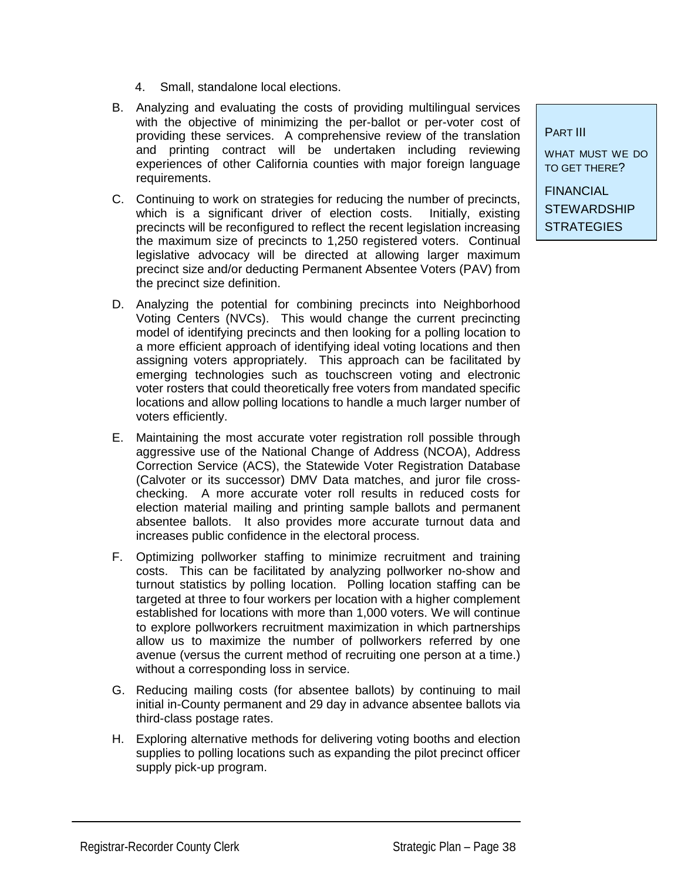- 4. Small, standalone local elections.
- B. Analyzing and evaluating the costs of providing multilingual services with the objective of minimizing the per-ballot or per-voter cost of providing these services. A comprehensive review of the translation and printing contract will be undertaken including reviewing experiences of other California counties with major foreign language requirements.
- C. Continuing to work on strategies for reducing the number of precincts, which is a significant driver of election costs. Initially, existing precincts will be reconfigured to reflect the recent legislation increasing the maximum size of precincts to 1,250 registered voters. Continual legislative advocacy will be directed at allowing larger maximum precinct size and/or deducting Permanent Absentee Voters (PAV) from the precinct size definition.
- D. Analyzing the potential for combining precincts into Neighborhood Voting Centers (NVCs). This would change the current precincting model of identifying precincts and then looking for a polling location to a more efficient approach of identifying ideal voting locations and then assigning voters appropriately. This approach can be facilitated by emerging technologies such as touchscreen voting and electronic voter rosters that could theoretically free voters from mandated specific locations and allow polling locations to handle a much larger number of voters efficiently.
- E. Maintaining the most accurate voter registration roll possible through aggressive use of the National Change of Address (NCOA), Address Correction Service (ACS), the Statewide Voter Registration Database (Calvoter or its successor) DMV Data matches, and juror file crosschecking. A more accurate voter roll results in reduced costs for election material mailing and printing sample ballots and permanent absentee ballots. It also provides more accurate turnout data and increases public confidence in the electoral process.
- F. Optimizing pollworker staffing to minimize recruitment and training costs. This can be facilitated by analyzing pollworker no-show and turnout statistics by polling location. Polling location staffing can be targeted at three to four workers per location with a higher complement established for locations with more than 1,000 voters. We will continue to explore pollworkers recruitment maximization in which partnerships allow us to maximize the number of pollworkers referred by one avenue (versus the current method of recruiting one person at a time.) without a corresponding loss in service.
- G. Reducing mailing costs (for absentee ballots) by continuing to mail initial in-County permanent and 29 day in advance absentee ballots via third-class postage rates.
- H. Exploring alternative methods for delivering voting booths and election supplies to polling locations such as expanding the pilot precinct officer supply pick-up program.

PART III

WHAT MUST WE DO TO GET THERE?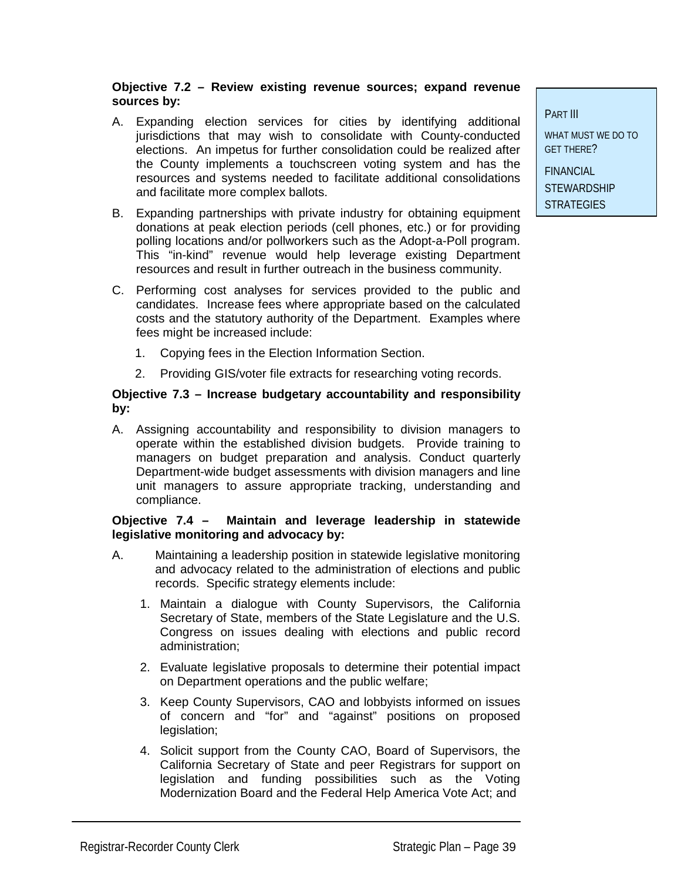#### **Objective 7.2 – Review existing revenue sources; expand revenue sources by:**

- A. Expanding election services for cities by identifying additional jurisdictions that may wish to consolidate with County-conducted elections. An impetus for further consolidation could be realized after the County implements a touchscreen voting system and has the resources and systems needed to facilitate additional consolidations and facilitate more complex ballots.
- B. Expanding partnerships with private industry for obtaining equipment donations at peak election periods (cell phones, etc.) or for providing polling locations and/or pollworkers such as the Adopt-a-Poll program. This "in-kind" revenue would help leverage existing Department resources and result in further outreach in the business community.
- C. Performing cost analyses for services provided to the public and candidates. Increase fees where appropriate based on the calculated costs and the statutory authority of the Department. Examples where fees might be increased include:
	- 1. Copying fees in the Election Information Section.
	- 2. Providing GIS/voter file extracts for researching voting records.

#### **Objective 7.3 – Increase budgetary accountability and responsibility by:**

A. Assigning accountability and responsibility to division managers to operate within the established division budgets. Provide training to managers on budget preparation and analysis. Conduct quarterly Department-wide budget assessments with division managers and line unit managers to assure appropriate tracking, understanding and compliance.

#### **Objective 7.4 – Maintain and leverage leadership in statewide legislative monitoring and advocacy by:**

- A. Maintaining a leadership position in statewide legislative monitoring and advocacy related to the administration of elections and public records. Specific strategy elements include:
	- 1. Maintain a dialogue with County Supervisors, the California Secretary of State, members of the State Legislature and the U.S. Congress on issues dealing with elections and public record administration;
	- 2. Evaluate legislative proposals to determine their potential impact on Department operations and the public welfare;
	- 3. Keep County Supervisors, CAO and lobbyists informed on issues of concern and "for" and "against" positions on proposed legislation;
	- 4. Solicit support from the County CAO, Board of Supervisors, the California Secretary of State and peer Registrars for support on legislation and funding possibilities such as the Voting Modernization Board and the Federal Help America Vote Act; and

PART III

WHAT MUST WE DO TO GET THERE?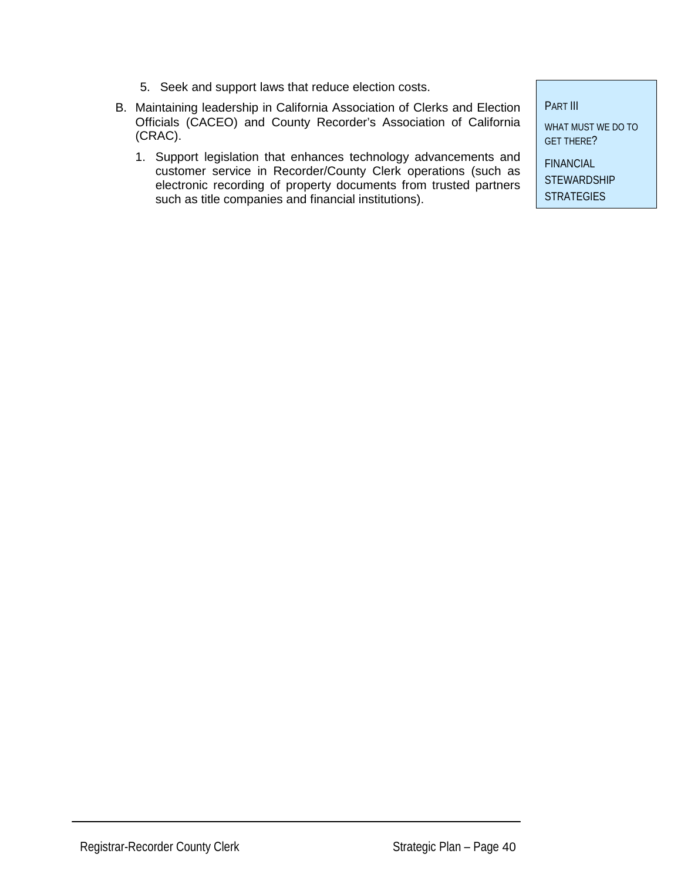- 5. Seek and support laws that reduce election costs.
- B. Maintaining leadership in California Association of Clerks and Election Officials (CACEO) and County Recorder's Association of California (CRAC).
	- 1. Support legislation that enhances technology advancements and customer service in Recorder/County Clerk operations (such as electronic recording of property documents from trusted partners such as title companies and financial institutions).

PART III

WHAT MUST WE DO TO GET THERE?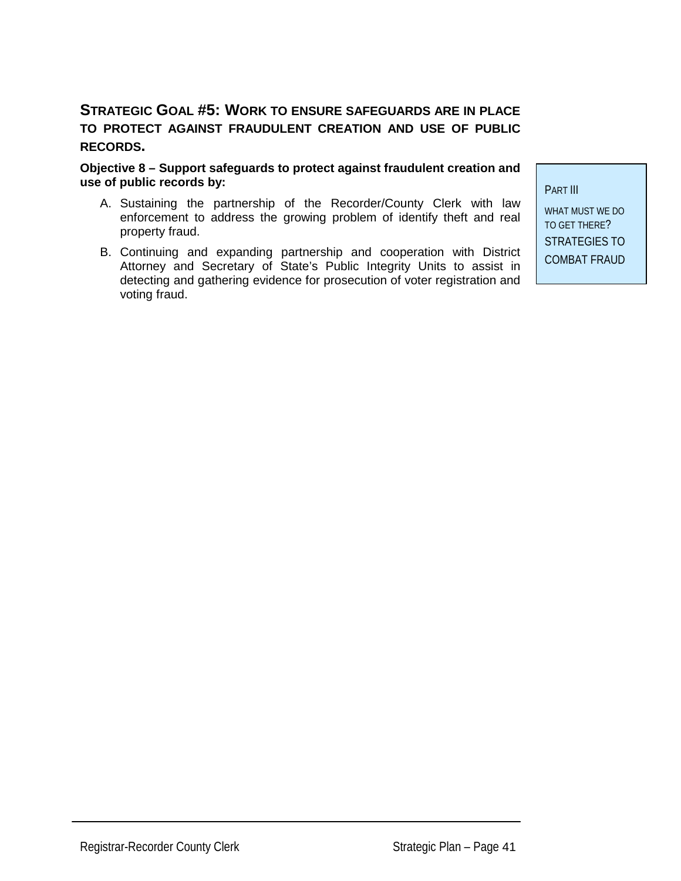### **STRATEGIC GOAL #5: WORK TO ENSURE SAFEGUARDS ARE IN PLACE TO PROTECT AGAINST FRAUDULENT CREATION AND USE OF PUBLIC RECORDS.**

**Objective 8 – Support safeguards to protect against fraudulent creation and use of public records by:**

- A. Sustaining the partnership of the Recorder/County Clerk with law enforcement to address the growing problem of identify theft and real property fraud.
- B. Continuing and expanding partnership and cooperation with District Attorney and Secretary of State's Public Integrity Units to assist in detecting and gathering evidence for prosecution of voter registration and voting fraud.

PART III

WHAT MUST WE DO TO GET THERE? STRATEGIES TO COMBAT FRAUD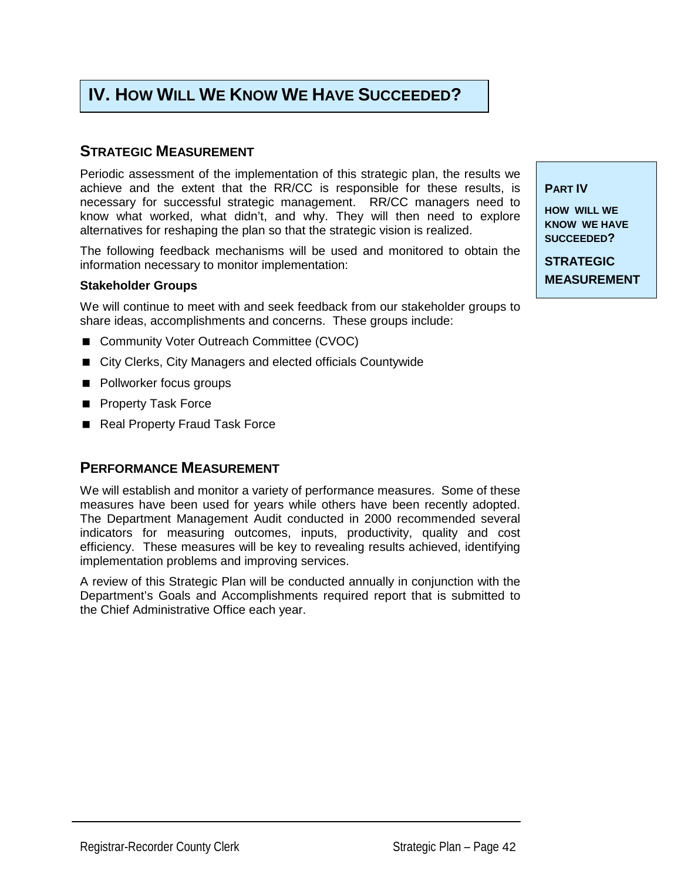## **IV. HOW WILL WE KNOW WE HAVE SUCCEEDED?**

#### **STRATEGIC MEASUREMENT**

Periodic assessment of the implementation of this strategic plan, the results we achieve and the extent that the RR/CC is responsible for these results, is necessary for successful strategic management. RR/CC managers need to know what worked, what didn't, and why. They will then need to explore alternatives for reshaping the plan so that the strategic vision is realized.

The following feedback mechanisms will be used and monitored to obtain the information necessary to monitor implementation:

#### **Stakeholder Groups**

We will continue to meet with and seek feedback from our stakeholder groups to share ideas, accomplishments and concerns. These groups include:

- Community Voter Outreach Committee (CVOC)
- City Clerks, City Managers and elected officials Countywide
- **Pollworker focus groups**
- **Property Task Force**
- Real Property Fraud Task Force

#### **PERFORMANCE MEASUREMENT**

We will establish and monitor a variety of performance measures. Some of these measures have been used for years while others have been recently adopted. The Department Management Audit conducted in 2000 recommended several indicators for measuring outcomes, inputs, productivity, quality and cost efficiency. These measures will be key to revealing results achieved, identifying implementation problems and improving services.

A review of this Strategic Plan will be conducted annually in conjunction with the Department's Goals and Accomplishments required report that is submitted to the Chief Administrative Office each year.

**PART IV** 

**HOW WILL WE KNOW WE HAVE SUCCEEDED?** 

**STRATEGIC MEASUREMENT**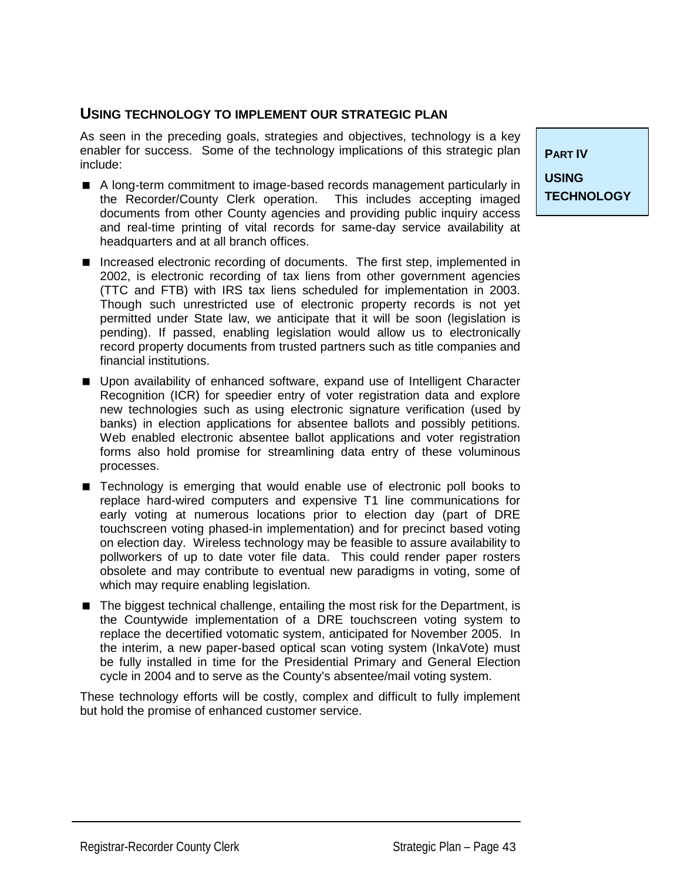#### **USING TECHNOLOGY TO IMPLEMENT OUR STRATEGIC PLAN**

As seen in the preceding goals, strategies and objectives, technology is a key enabler for success. Some of the technology implications of this strategic plan include:

- A long-term commitment to image-based records management particularly in the Recorder/County Clerk operation. This includes accepting imaged documents from other County agencies and providing public inquiry access and real-time printing of vital records for same-day service availability at headquarters and at all branch offices.
- **Increased electronic recording of documents. The first step, implemented in** 2002, is electronic recording of tax liens from other government agencies (TTC and FTB) with IRS tax liens scheduled for implementation in 2003. Though such unrestricted use of electronic property records is not yet permitted under State law, we anticipate that it will be soon (legislation is pending). If passed, enabling legislation would allow us to electronically record property documents from trusted partners such as title companies and financial institutions.
- **I.** Upon availability of enhanced software, expand use of Intelligent Character Recognition (ICR) for speedier entry of voter registration data and explore new technologies such as using electronic signature verification (used by banks) in election applications for absentee ballots and possibly petitions. Web enabled electronic absentee ballot applications and voter registration forms also hold promise for streamlining data entry of these voluminous processes.
- **E** Technology is emerging that would enable use of electronic poll books to replace hard-wired computers and expensive T1 line communications for early voting at numerous locations prior to election day (part of DRE touchscreen voting phased-in implementation) and for precinct based voting on election day. Wireless technology may be feasible to assure availability to pollworkers of up to date voter file data. This could render paper rosters obsolete and may contribute to eventual new paradigms in voting, some of which may require enabling legislation.
- The biggest technical challenge, entailing the most risk for the Department, is the Countywide implementation of a DRE touchscreen voting system to replace the decertified votomatic system, anticipated for November 2005. In the interim, a new paper-based optical scan voting system (InkaVote) must be fully installed in time for the Presidential Primary and General Election cycle in 2004 and to serve as the County's absentee/mail voting system.

These technology efforts will be costly, complex and difficult to fully implement but hold the promise of enhanced customer service.

**PART IV USING TECHNOLOGY**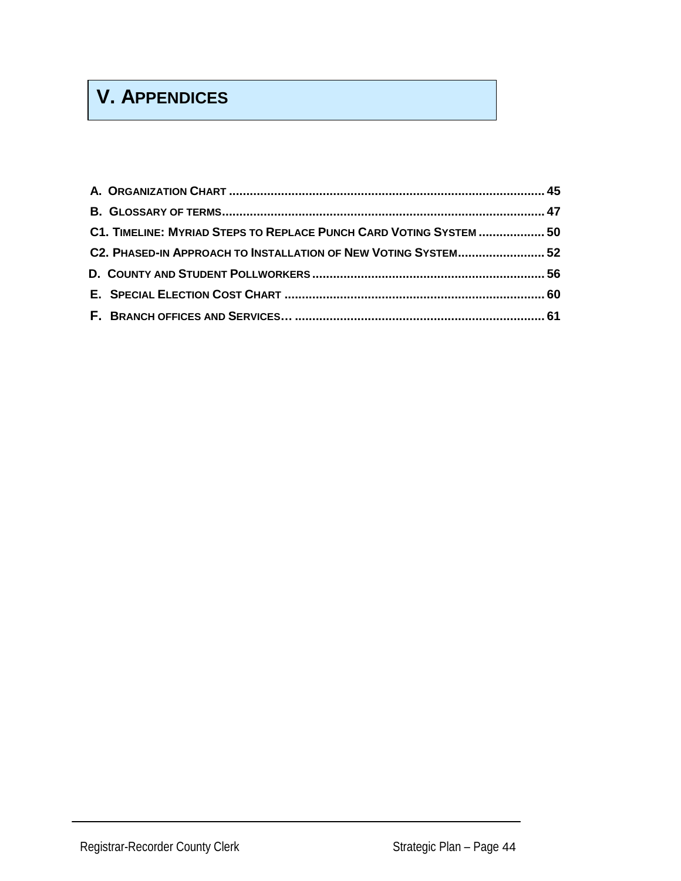## **V. APPENDICES**

| C1. TIMELINE: MYRIAD STEPS TO REPLACE PUNCH CARD VOTING SYSTEM  50 |  |
|--------------------------------------------------------------------|--|
| C2. PHASED-IN APPROACH TO INSTALLATION OF NEW VOTING SYSTEM 52     |  |
|                                                                    |  |
|                                                                    |  |
|                                                                    |  |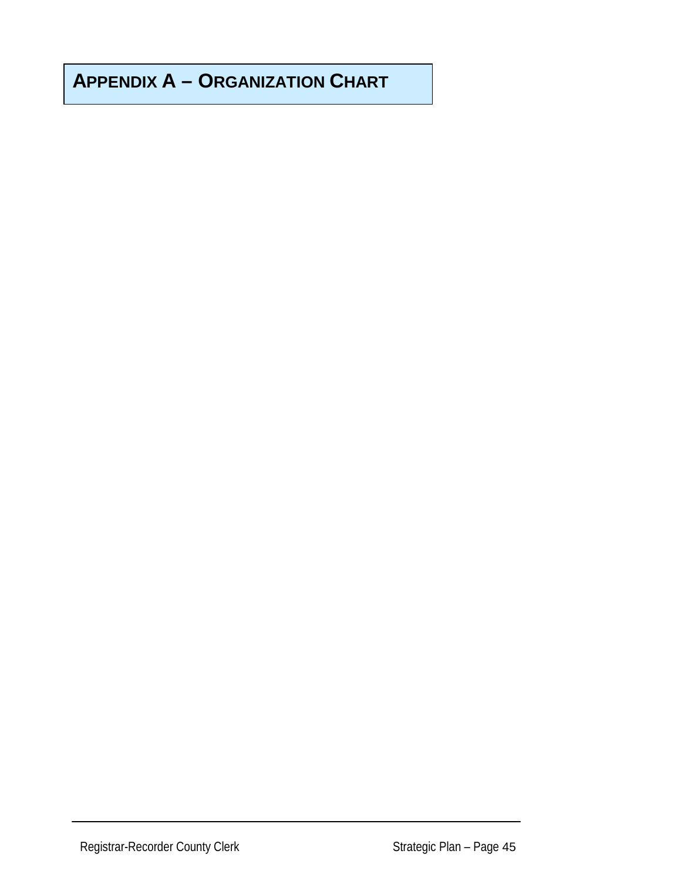## **APPENDIX A – ORGANIZATION CHART**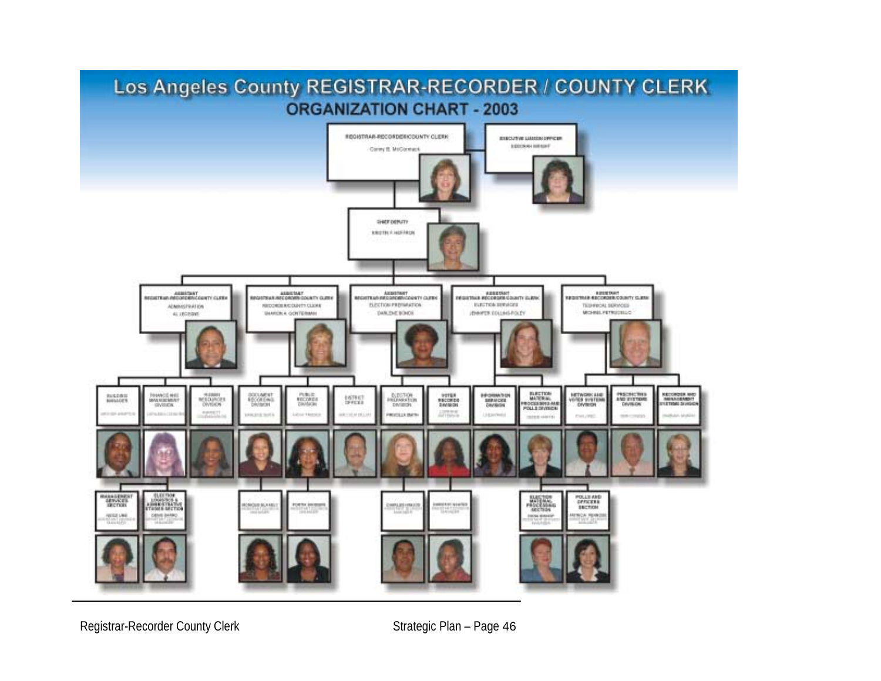

Registrar-Recorder County Clerk Strategic Plan – Page 46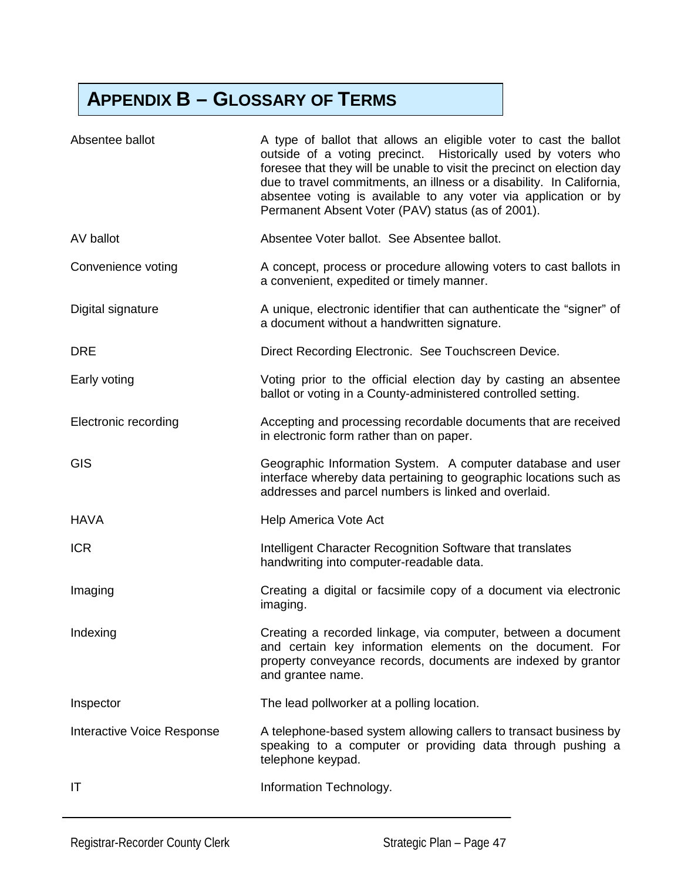## **APPENDIX B – GLOSSARY OF TERMS**

| Absentee ballot            | A type of ballot that allows an eligible voter to cast the ballot<br>outside of a voting precinct. Historically used by voters who<br>foresee that they will be unable to visit the precinct on election day<br>due to travel commitments, an illness or a disability. In California,<br>absentee voting is available to any voter via application or by<br>Permanent Absent Voter (PAV) status (as of 2001). |
|----------------------------|---------------------------------------------------------------------------------------------------------------------------------------------------------------------------------------------------------------------------------------------------------------------------------------------------------------------------------------------------------------------------------------------------------------|
| AV ballot                  | Absentee Voter ballot. See Absentee ballot.                                                                                                                                                                                                                                                                                                                                                                   |
| Convenience voting         | A concept, process or procedure allowing voters to cast ballots in<br>a convenient, expedited or timely manner.                                                                                                                                                                                                                                                                                               |
| Digital signature          | A unique, electronic identifier that can authenticate the "signer" of<br>a document without a handwritten signature.                                                                                                                                                                                                                                                                                          |
| <b>DRE</b>                 | Direct Recording Electronic. See Touchscreen Device.                                                                                                                                                                                                                                                                                                                                                          |
| Early voting               | Voting prior to the official election day by casting an absentee<br>ballot or voting in a County-administered controlled setting.                                                                                                                                                                                                                                                                             |
| Electronic recording       | Accepting and processing recordable documents that are received<br>in electronic form rather than on paper.                                                                                                                                                                                                                                                                                                   |
| <b>GIS</b>                 | Geographic Information System. A computer database and user<br>interface whereby data pertaining to geographic locations such as<br>addresses and parcel numbers is linked and overlaid.                                                                                                                                                                                                                      |
| <b>HAVA</b>                | Help America Vote Act                                                                                                                                                                                                                                                                                                                                                                                         |
| <b>ICR</b>                 | Intelligent Character Recognition Software that translates<br>handwriting into computer-readable data.                                                                                                                                                                                                                                                                                                        |
| Imaging                    | Creating a digital or facsimile copy of a document via electronic<br>imaging.                                                                                                                                                                                                                                                                                                                                 |
| Indexing                   | Creating a recorded linkage, via computer, between a document<br>and certain key information elements on the document. For<br>property conveyance records, documents are indexed by grantor<br>and grantee name.                                                                                                                                                                                              |
| Inspector                  | The lead pollworker at a polling location.                                                                                                                                                                                                                                                                                                                                                                    |
| Interactive Voice Response | A telephone-based system allowing callers to transact business by<br>speaking to a computer or providing data through pushing a<br>telephone keypad.                                                                                                                                                                                                                                                          |
| IT                         | Information Technology.                                                                                                                                                                                                                                                                                                                                                                                       |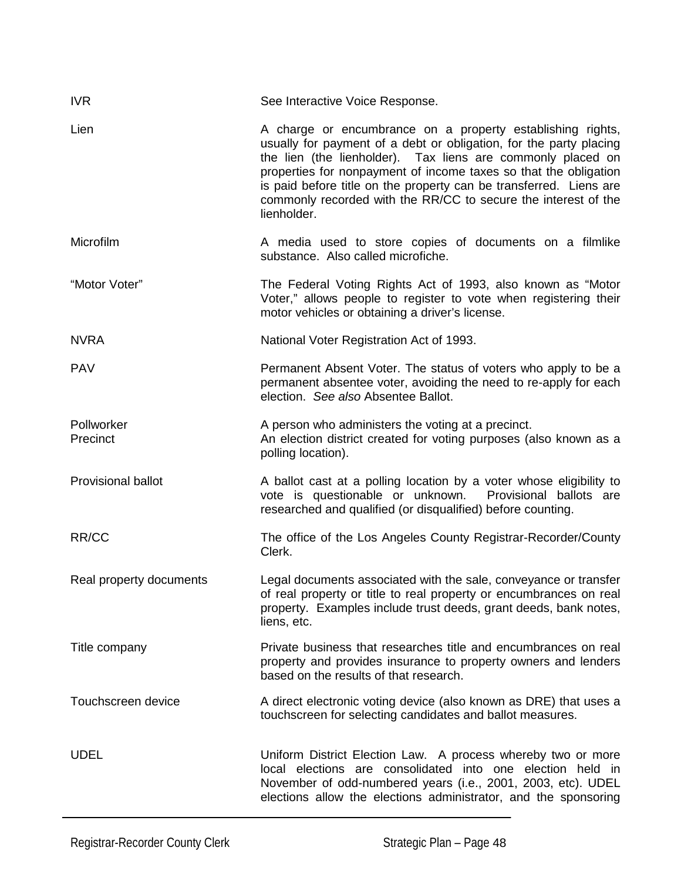| <b>IVR</b>                | See Interactive Voice Response.                                                                                                                                                                                                                                                                                                                                                                                            |
|---------------------------|----------------------------------------------------------------------------------------------------------------------------------------------------------------------------------------------------------------------------------------------------------------------------------------------------------------------------------------------------------------------------------------------------------------------------|
| Lien                      | A charge or encumbrance on a property establishing rights,<br>usually for payment of a debt or obligation, for the party placing<br>the lien (the lienholder). Tax liens are commonly placed on<br>properties for nonpayment of income taxes so that the obligation<br>is paid before title on the property can be transferred. Liens are<br>commonly recorded with the RR/CC to secure the interest of the<br>lienholder. |
| Microfilm                 | A media used to store copies of documents on a filmlike<br>substance. Also called microfiche.                                                                                                                                                                                                                                                                                                                              |
| "Motor Voter"             | The Federal Voting Rights Act of 1993, also known as "Motor<br>Voter," allows people to register to vote when registering their<br>motor vehicles or obtaining a driver's license.                                                                                                                                                                                                                                         |
| <b>NVRA</b>               | National Voter Registration Act of 1993.                                                                                                                                                                                                                                                                                                                                                                                   |
| <b>PAV</b>                | Permanent Absent Voter. The status of voters who apply to be a<br>permanent absentee voter, avoiding the need to re-apply for each<br>election. See also Absentee Ballot.                                                                                                                                                                                                                                                  |
| Pollworker<br>Precinct    | A person who administers the voting at a precinct.<br>An election district created for voting purposes (also known as a<br>polling location).                                                                                                                                                                                                                                                                              |
| <b>Provisional ballot</b> | A ballot cast at a polling location by a voter whose eligibility to<br>vote is questionable or unknown. Provisional ballots are<br>researched and qualified (or disqualified) before counting.                                                                                                                                                                                                                             |
| RR/CC                     | The office of the Los Angeles County Registrar-Recorder/County<br>Clerk.                                                                                                                                                                                                                                                                                                                                                   |
| Real property documents   | Legal documents associated with the sale, conveyance or transfer<br>of real property or title to real property or encumbrances on real<br>property. Examples include trust deeds, grant deeds, bank notes,<br>liens, etc.                                                                                                                                                                                                  |
| Title company             | Private business that researches title and encumbrances on real<br>property and provides insurance to property owners and lenders<br>based on the results of that research.                                                                                                                                                                                                                                                |
| Touchscreen device        | A direct electronic voting device (also known as DRE) that uses a<br>touchscreen for selecting candidates and ballot measures.                                                                                                                                                                                                                                                                                             |
| <b>UDEL</b>               | Uniform District Election Law. A process whereby two or more<br>local elections are consolidated into one election held in<br>November of odd-numbered years (i.e., 2001, 2003, etc). UDEL<br>elections allow the elections administrator, and the sponsoring                                                                                                                                                              |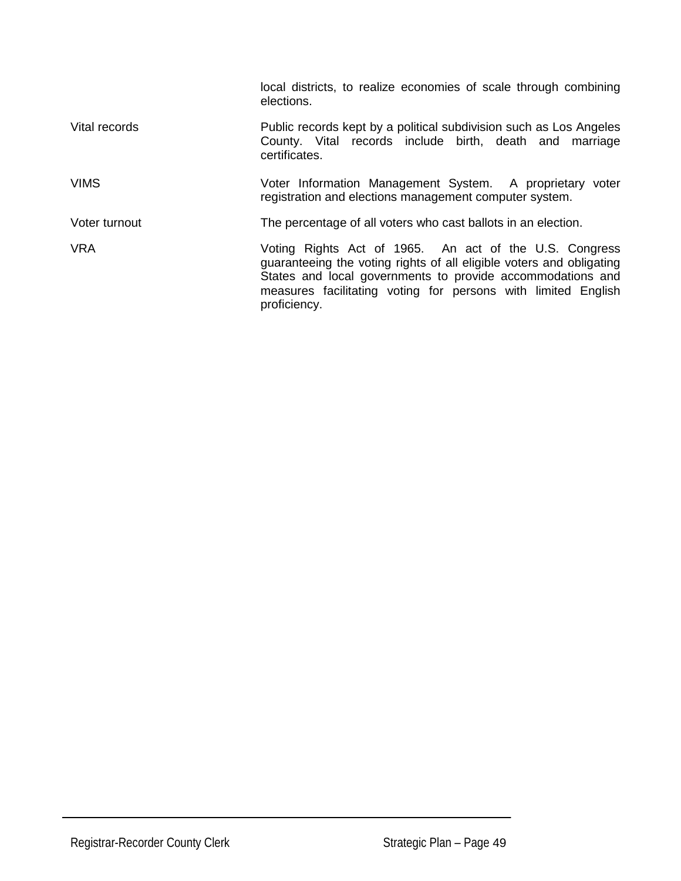|               | local districts, to realize economies of scale through combining<br>elections.                                                                                                                                                                                                |
|---------------|-------------------------------------------------------------------------------------------------------------------------------------------------------------------------------------------------------------------------------------------------------------------------------|
| Vital records | Public records kept by a political subdivision such as Los Angeles<br>County. Vital records include birth, death and marriage<br>certificates.                                                                                                                                |
| <b>VIMS</b>   | Voter Information Management System. A proprietary voter<br>registration and elections management computer system.                                                                                                                                                            |
| Voter turnout | The percentage of all voters who cast ballots in an election.                                                                                                                                                                                                                 |
| <b>VRA</b>    | Voting Rights Act of 1965. An act of the U.S. Congress<br>guaranteeing the voting rights of all eligible voters and obligating<br>States and local governments to provide accommodations and<br>measures facilitating voting for persons with limited English<br>proficiency. |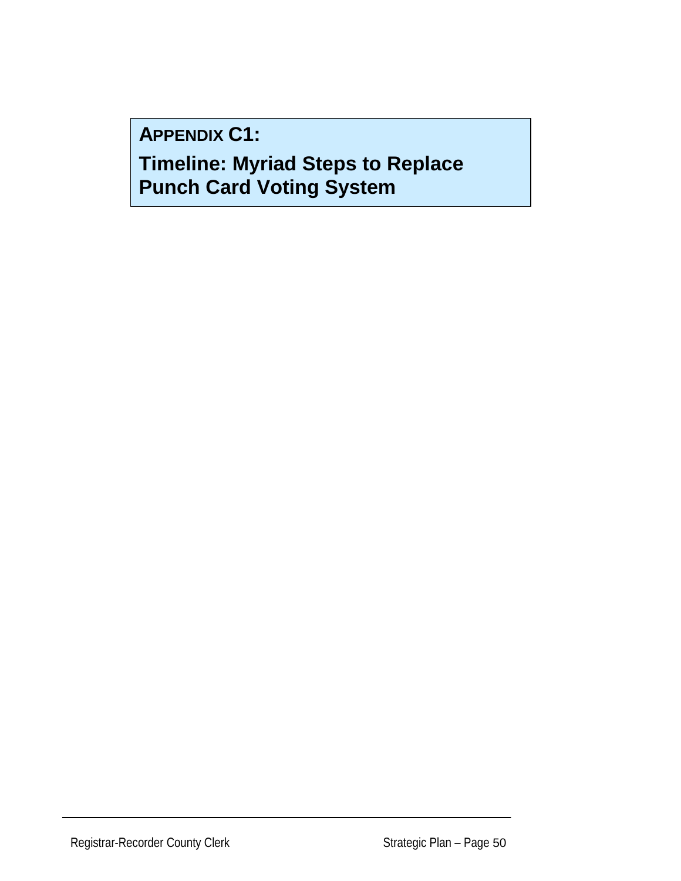**APPENDIX C1:** 

**Timeline: Myriad Steps to Replace Punch Card Voting System**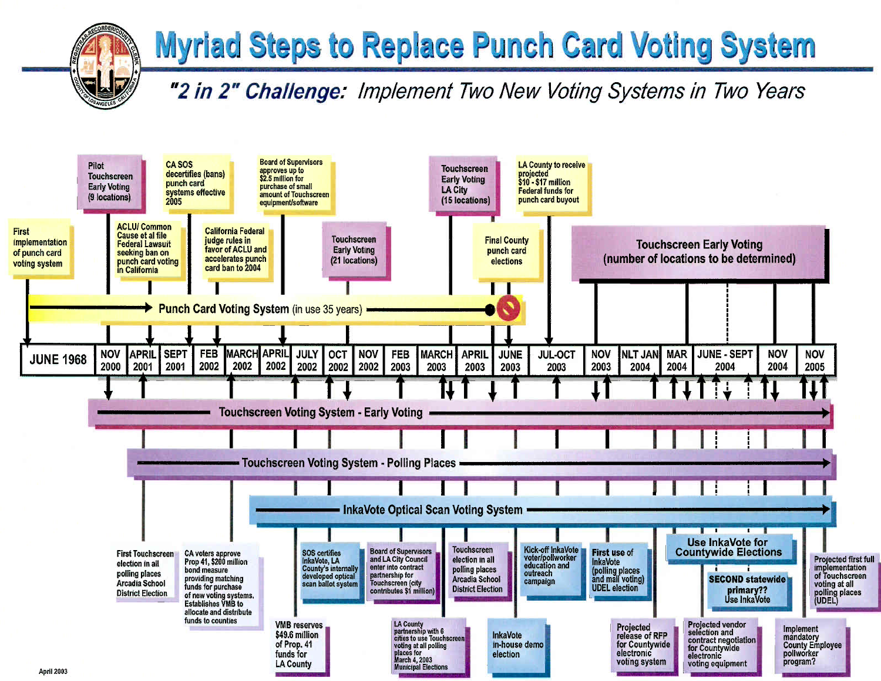# **Myriad Steps to Replace Punch Card Voting System**

"2 in 2" Challenge: Implement Two New Voting Systems in Two Years

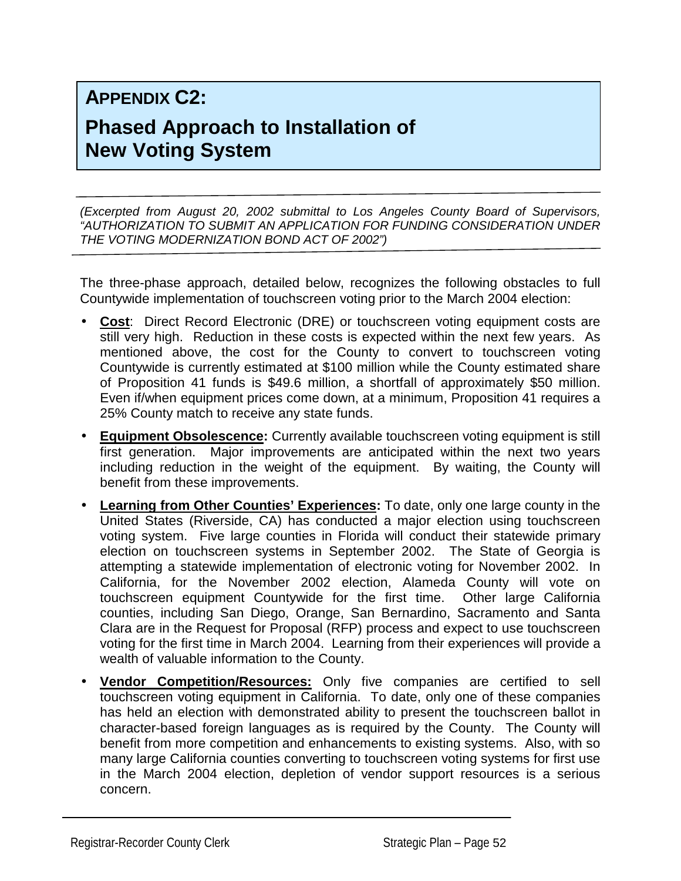## **APPENDIX C2:**

## **Phased Approach to Installation of New Voting System**

*(Excerpted from August 20, 2002 submittal to Los Angeles County Board of Supervisors, "AUTHORIZATION TO SUBMIT AN APPLICATION FOR FUNDING CONSIDERATION UNDER THE VOTING MODERNIZATION BOND ACT OF 2002")* 

The three-phase approach, detailed below, recognizes the following obstacles to full Countywide implementation of touchscreen voting prior to the March 2004 election:

- **Cost**: Direct Record Electronic (DRE) or touchscreen voting equipment costs are still very high. Reduction in these costs is expected within the next few years. As mentioned above, the cost for the County to convert to touchscreen voting Countywide is currently estimated at \$100 million while the County estimated share of Proposition 41 funds is \$49.6 million, a shortfall of approximately \$50 million. Even if/when equipment prices come down, at a minimum, Proposition 41 requires a 25% County match to receive any state funds.
- **Equipment Obsolescence:** Currently available touchscreen voting equipment is still first generation. Major improvements are anticipated within the next two years including reduction in the weight of the equipment. By waiting, the County will benefit from these improvements.
- **Learning from Other Counties' Experiences:** To date, only one large county in the United States (Riverside, CA) has conducted a major election using touchscreen voting system. Five large counties in Florida will conduct their statewide primary election on touchscreen systems in September 2002. The State of Georgia is attempting a statewide implementation of electronic voting for November 2002. In California, for the November 2002 election, Alameda County will vote on touchscreen equipment Countywide for the first time. Other large California counties, including San Diego, Orange, San Bernardino, Sacramento and Santa Clara are in the Request for Proposal (RFP) process and expect to use touchscreen voting for the first time in March 2004. Learning from their experiences will provide a wealth of valuable information to the County.
- **Vendor Competition/Resources:** Only five companies are certified to sell touchscreen voting equipment in California. To date, only one of these companies has held an election with demonstrated ability to present the touchscreen ballot in character-based foreign languages as is required by the County. The County will benefit from more competition and enhancements to existing systems. Also, with so many large California counties converting to touchscreen voting systems for first use in the March 2004 election, depletion of vendor support resources is a serious concern.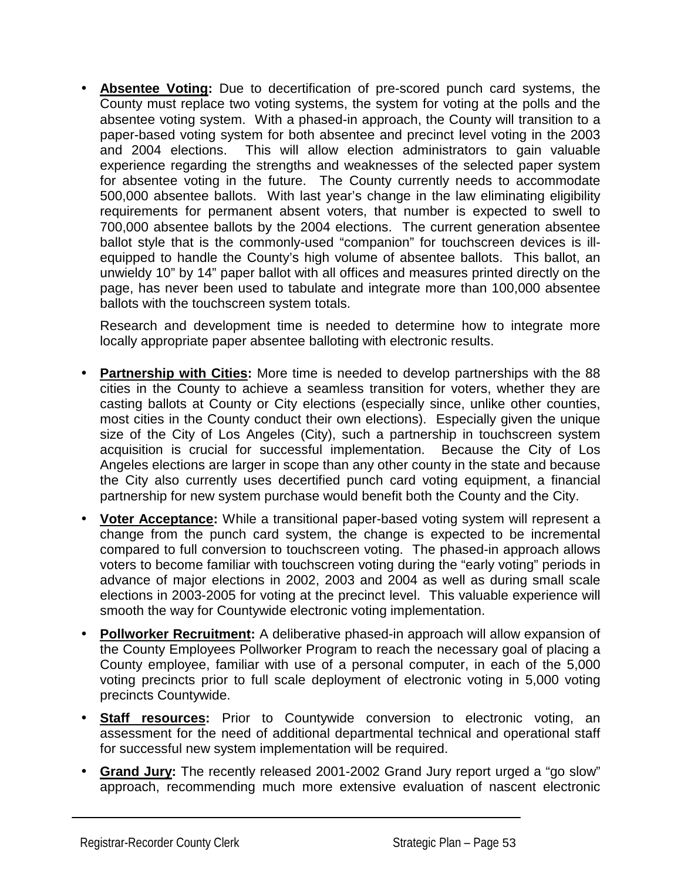• **Absentee Voting:** Due to decertification of pre-scored punch card systems, the County must replace two voting systems, the system for voting at the polls and the absentee voting system. With a phased-in approach, the County will transition to a paper-based voting system for both absentee and precinct level voting in the 2003 and 2004 elections. This will allow election administrators to gain valuable experience regarding the strengths and weaknesses of the selected paper system for absentee voting in the future. The County currently needs to accommodate 500,000 absentee ballots. With last year's change in the law eliminating eligibility requirements for permanent absent voters, that number is expected to swell to 700,000 absentee ballots by the 2004 elections. The current generation absentee ballot style that is the commonly-used "companion" for touchscreen devices is illequipped to handle the County's high volume of absentee ballots. This ballot, an unwieldy 10" by 14" paper ballot with all offices and measures printed directly on the page, has never been used to tabulate and integrate more than 100,000 absentee ballots with the touchscreen system totals.

Research and development time is needed to determine how to integrate more locally appropriate paper absentee balloting with electronic results.

- **Partnership with Cities:** More time is needed to develop partnerships with the 88 cities in the County to achieve a seamless transition for voters, whether they are casting ballots at County or City elections (especially since, unlike other counties, most cities in the County conduct their own elections). Especially given the unique size of the City of Los Angeles (City), such a partnership in touchscreen system acquisition is crucial for successful implementation. Because the City of Los Angeles elections are larger in scope than any other county in the state and because the City also currently uses decertified punch card voting equipment, a financial partnership for new system purchase would benefit both the County and the City.
- **Voter Acceptance:** While a transitional paper-based voting system will represent a change from the punch card system, the change is expected to be incremental compared to full conversion to touchscreen voting. The phased-in approach allows voters to become familiar with touchscreen voting during the "early voting" periods in advance of major elections in 2002, 2003 and 2004 as well as during small scale elections in 2003-2005 for voting at the precinct level. This valuable experience will smooth the way for Countywide electronic voting implementation.
- **Pollworker Recruitment:** A deliberative phased-in approach will allow expansion of the County Employees Pollworker Program to reach the necessary goal of placing a County employee, familiar with use of a personal computer, in each of the 5,000 voting precincts prior to full scale deployment of electronic voting in 5,000 voting precincts Countywide.
- **Staff resources:** Prior to Countywide conversion to electronic voting, an assessment for the need of additional departmental technical and operational staff for successful new system implementation will be required.
- **Grand Jury:** The recently released 2001-2002 Grand Jury report urged a "go slow" approach, recommending much more extensive evaluation of nascent electronic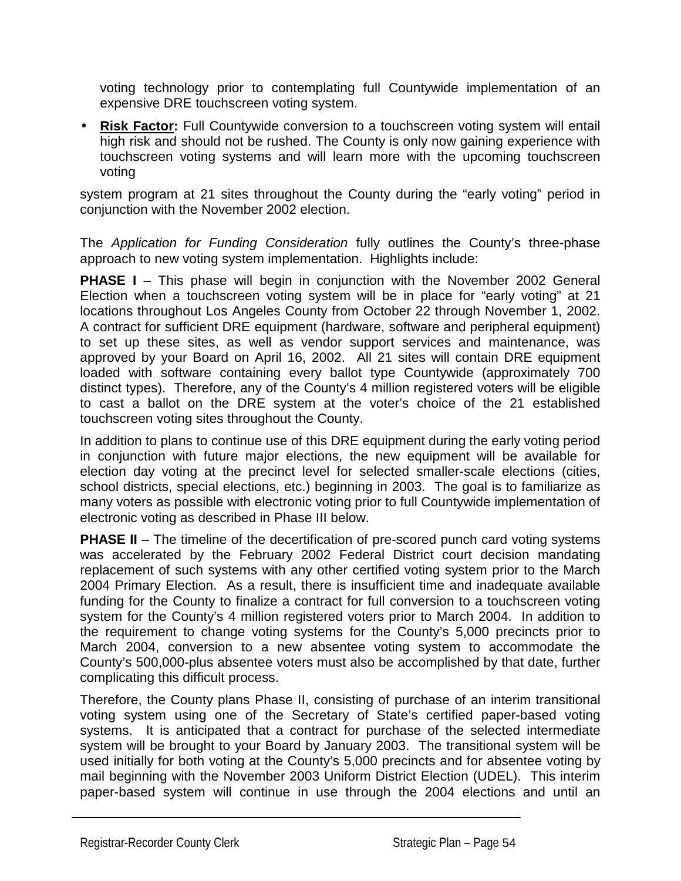voting technology prior to contemplating full Countywide implementation of an expensive DRE touchscreen voting system.

• **Risk Factor:** Full Countywide conversion to a touchscreen voting system will entail high risk and should not be rushed. The County is only now gaining experience with touchscreen voting systems and will learn more with the upcoming touchscreen voting

system program at 21 sites throughout the County during the "early voting" period in conjunction with the November 2002 election.

The *Application for Funding Consideration* fully outlines the County's three-phase approach to new voting system implementation. Highlights include:

**PHASE I** – This phase will begin in conjunction with the November 2002 General Election when a touchscreen voting system will be in place for "early voting" at 21 locations throughout Los Angeles County from October 22 through November 1, 2002. A contract for sufficient DRE equipment (hardware, software and peripheral equipment) to set up these sites, as well as vendor support services and maintenance, was approved by your Board on April 16, 2002. All 21 sites will contain DRE equipment loaded with software containing every ballot type Countywide (approximately 700 distinct types). Therefore, any of the County's 4 million registered voters will be eligible to cast a ballot on the DRE system at the voter's choice of the 21 established touchscreen voting sites throughout the County.

In addition to plans to continue use of this DRE equipment during the early voting period in conjunction with future major elections, the new equipment will be available for election day voting at the precinct level for selected smaller-scale elections (cities, school districts, special elections, etc.) beginning in 2003. The goal is to familiarize as many voters as possible with electronic voting prior to full Countywide implementation of electronic voting as described in Phase III below.

**PHASE II** – The timeline of the decertification of pre-scored punch card voting systems was accelerated by the February 2002 Federal District court decision mandating replacement of such systems with any other certified voting system prior to the March 2004 Primary Election. As a result, there is insufficient time and inadequate available funding for the County to finalize a contract for full conversion to a touchscreen voting system for the County's 4 million registered voters prior to March 2004. In addition to the requirement to change voting systems for the County's 5,000 precincts prior to March 2004, conversion to a new absentee voting system to accommodate the County's 500,000-plus absentee voters must also be accomplished by that date, further complicating this difficult process.

Therefore, the County plans Phase II, consisting of purchase of an interim transitional voting system using one of the Secretary of State's certified paper-based voting systems. It is anticipated that a contract for purchase of the selected intermediate system will be brought to your Board by January 2003. The transitional system will be used initially for both voting at the County's 5,000 precincts and for absentee voting by mail beginning with the November 2003 Uniform District Election (UDEL). This interim paper-based system will continue in use through the 2004 elections and until an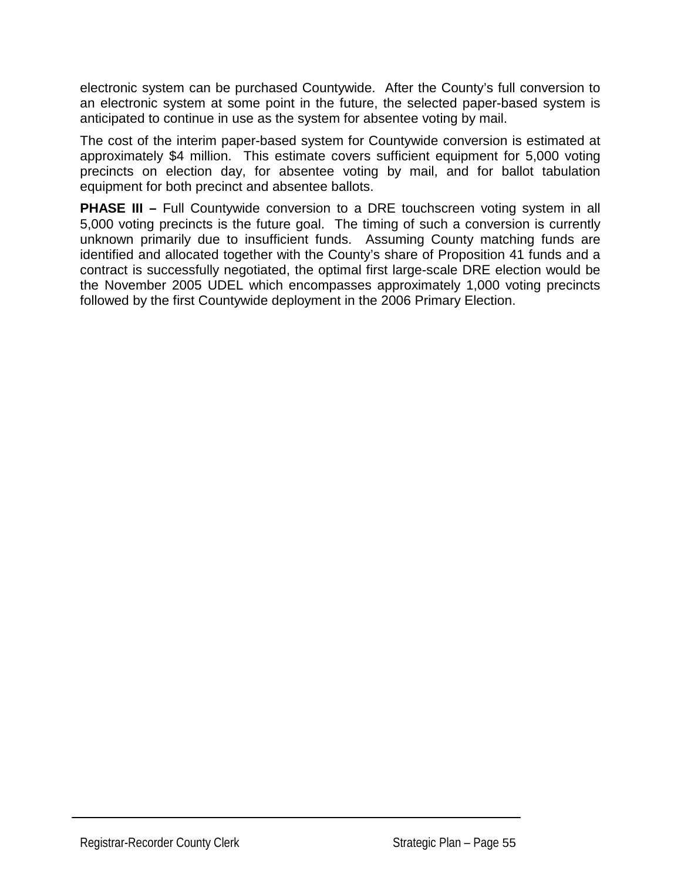electronic system can be purchased Countywide. After the County's full conversion to an electronic system at some point in the future, the selected paper-based system is anticipated to continue in use as the system for absentee voting by mail.

The cost of the interim paper-based system for Countywide conversion is estimated at approximately \$4 million. This estimate covers sufficient equipment for 5,000 voting precincts on election day, for absentee voting by mail, and for ballot tabulation equipment for both precinct and absentee ballots.

**PHASE III –** Full Countywide conversion to a DRE touchscreen voting system in all 5,000 voting precincts is the future goal. The timing of such a conversion is currently unknown primarily due to insufficient funds. Assuming County matching funds are identified and allocated together with the County's share of Proposition 41 funds and a contract is successfully negotiated, the optimal first large-scale DRE election would be the November 2005 UDEL which encompasses approximately 1,000 voting precincts followed by the first Countywide deployment in the 2006 Primary Election.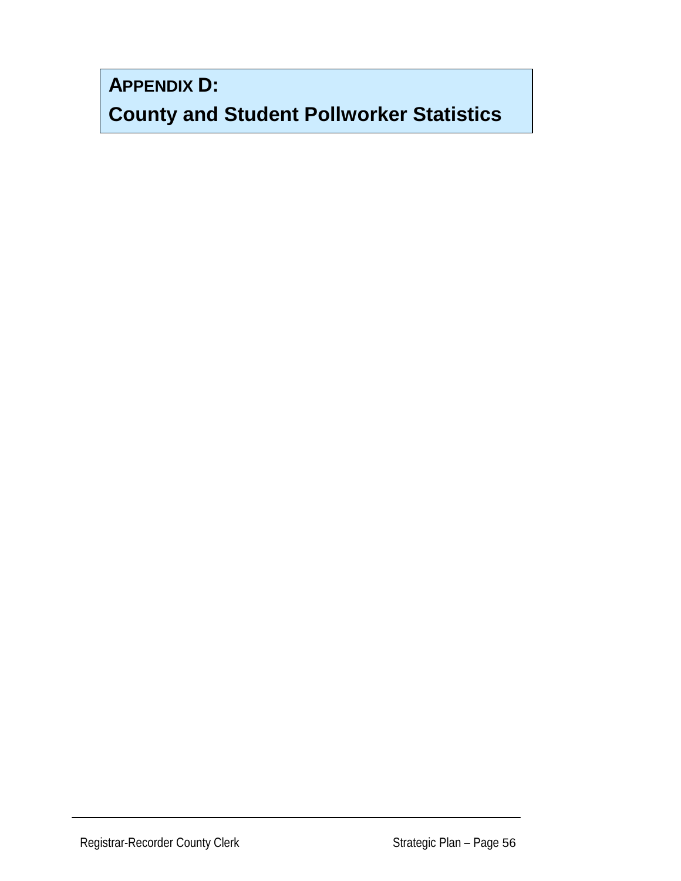**APPENDIX D:** 

**County and Student Pollworker Statistics**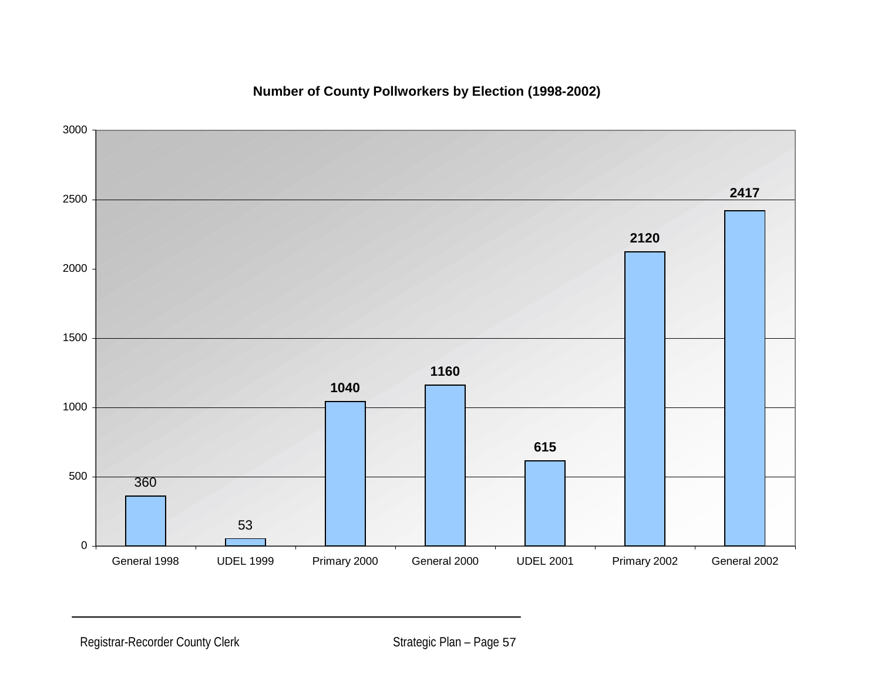

#### **Number of County Pollworkers by Election (1998-2002)**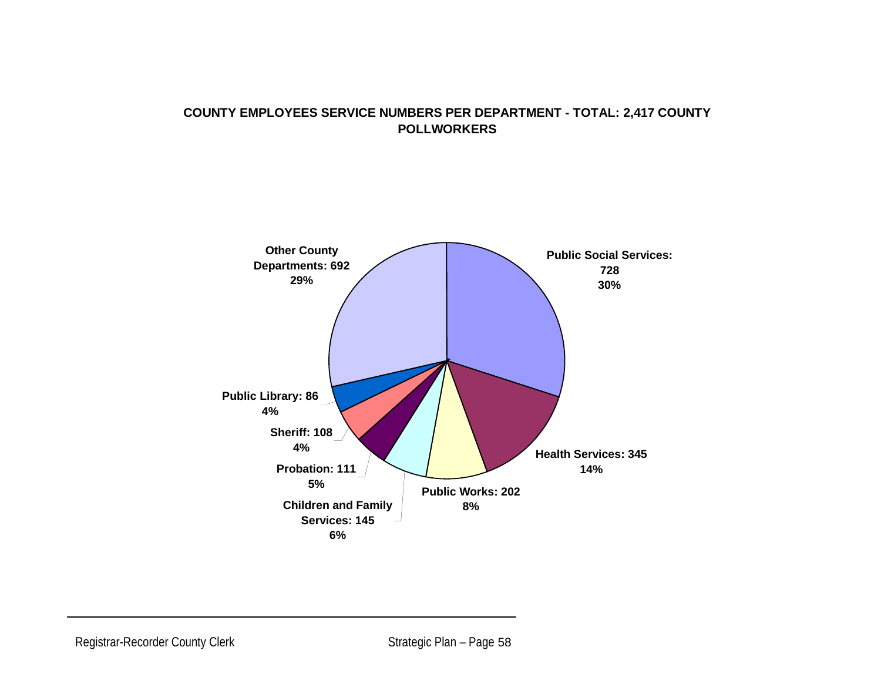#### **COUNTY EMPLOYEES SERVICE NUMBERS PER DEPARTMENT - TOTAL: 2,417 COUNTY POLLWORKERS**

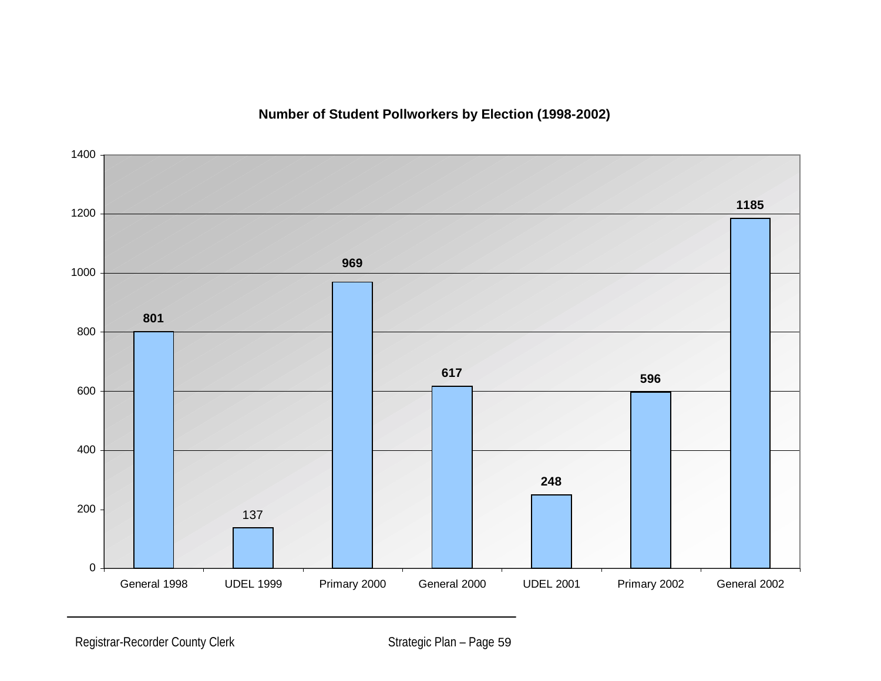**Number of Student Pollworkers by Election (1998-2002)**

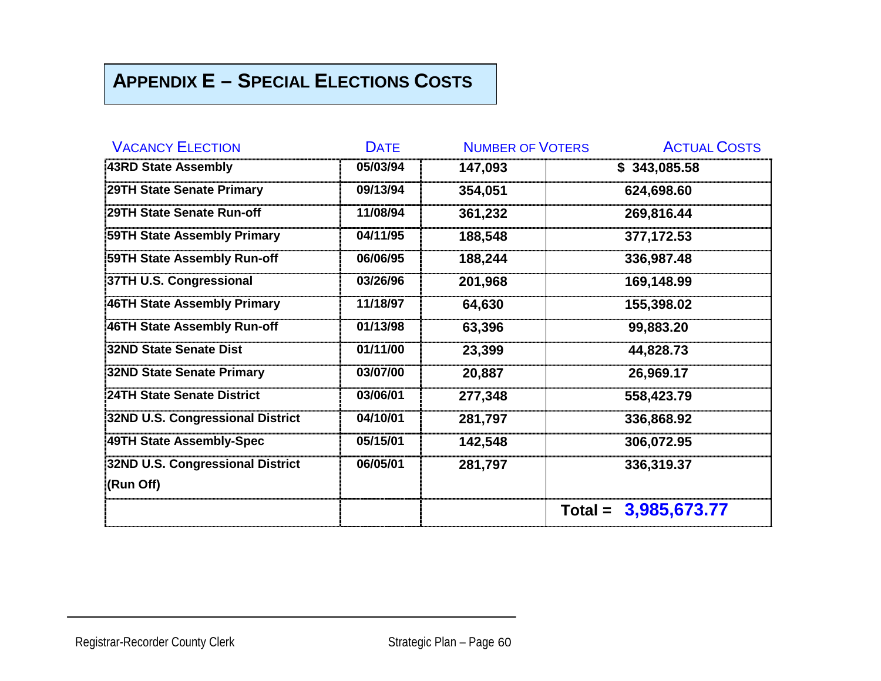## **APPENDIX E – SPECIAL ELECTIONS COSTS**

| <b>VACANCY ELECTION</b>            | <b>DATE</b> | <b>NUMBER OF VOTERS</b> | <b>ACTUAL COSTS</b>    |
|------------------------------------|-------------|-------------------------|------------------------|
| 43RD State Assembly                | 05/03/94    | 147,093                 | \$343,085.58           |
| 29TH State Senate Primary          | 09/13/94    | 354,051                 | 624,698.60             |
| 29TH State Senate Run-off          | 11/08/94    | 361,232                 | 269,816.44             |
| <b>59TH State Assembly Primary</b> | 04/11/95    | 188,548                 | 377,172.53             |
| 59TH State Assembly Run-off        | 06/06/95    | 188,244                 | 336,987.48             |
| 37TH U.S. Congressional            | 03/26/96    | 201,968                 | 169,148.99             |
| 46TH State Assembly Primary        | 11/18/97    | 64,630                  | 155,398.02             |
| 46TH State Assembly Run-off        | 01/13/98    | 63,396                  | 99,883.20              |
| 32ND State Senate Dist             | 01/11/00    | 23,399                  | 44,828.73              |
| 32ND State Senate Primary          | 03/07/00    | 20,887                  | 26,969.17              |
| <b>24TH State Senate District</b>  | 03/06/01    | 277,348                 | 558,423.79             |
| 32ND U.S. Congressional District   | 04/10/01    | 281,797                 | 336,868.92             |
| 49TH State Assembly-Spec           | 05/15/01    | 142,548                 | 306,072.95             |
| 32ND U.S. Congressional District   | 06/05/01    | 281,797                 | 336,319.37             |
| (Run Off)                          |             |                         |                        |
|                                    |             |                         | Total = $3,985,673.77$ |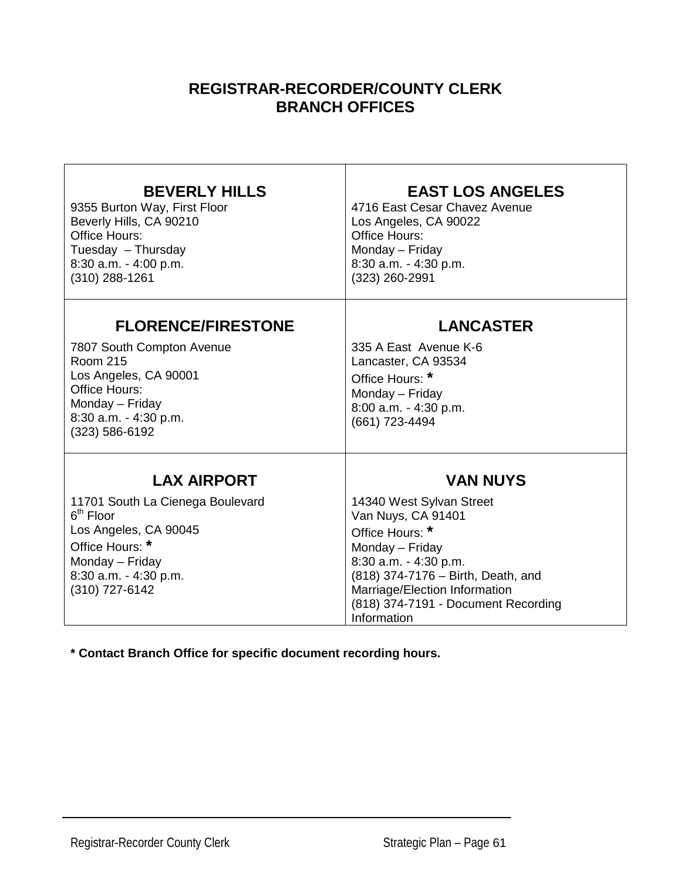## **REGISTRAR-RECORDER/COUNTY CLERK BRANCH OFFICES**

| <b>BEVERLY HILLS</b><br>9355 Burton Way, First Floor<br>Beverly Hills, CA 90210<br><b>Office Hours:</b><br>Tuesday - Thursday<br>8:30 a.m. - 4:00 p.m.<br>$(310)$ 288-1261            | <b>EAST LOS ANGELES</b><br>4716 East Cesar Chavez Avenue<br>Los Angeles, CA 90022<br>Office Hours:<br>Monday - Friday<br>8:30 a.m. - 4:30 p.m.<br>(323) 260-2991                                                                                              |
|---------------------------------------------------------------------------------------------------------------------------------------------------------------------------------------|---------------------------------------------------------------------------------------------------------------------------------------------------------------------------------------------------------------------------------------------------------------|
| <b>FLORENCE/FIRESTONE</b><br>7807 South Compton Avenue<br><b>Room 215</b><br>Los Angeles, CA 90001<br>Office Hours:<br>Monday - Friday<br>8:30 a.m. - 4:30 p.m.<br>$(323) 586 - 6192$ | <b>LANCASTER</b><br>335 A East Avenue K-6<br>Lancaster, CA 93534<br>Office Hours: *<br>Monday - Friday<br>8:00 a.m. - 4:30 p.m.<br>(661) 723-4494                                                                                                             |
| <b>LAX AIRPORT</b><br>11701 South La Cienega Boulevard<br>$6th$ Floor<br>Los Angeles, CA 90045<br>Office Hours: *<br>Monday - Friday<br>8:30 a.m. - 4:30 p.m.<br>(310) 727-6142       | <b>VAN NUYS</b><br>14340 West Sylvan Street<br>Van Nuys, CA 91401<br>Office Hours: *<br>Monday - Friday<br>8:30 a.m. - 4:30 p.m.<br>(818) 374-7176 - Birth, Death, and<br>Marriage/Election Information<br>(818) 374-7191 - Document Recording<br>Information |

**\* Contact Branch Office for specific document recording hours.**